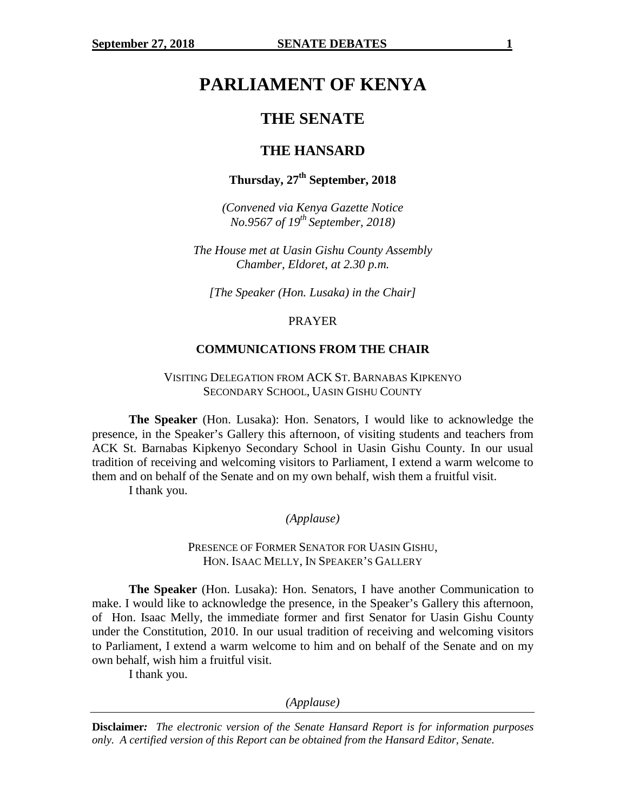# **PARLIAMENT OF KENYA**

## **THE SENATE**

## **THE HANSARD**

## **Thursday, 27th September, 2018**

*(Convened via Kenya Gazette Notice No.9567 of 19th September, 2018)*

*The House met at Uasin Gishu County Assembly Chamber, Eldoret, at 2.30 p.m.*

*[The Speaker (Hon. Lusaka) in the Chair]*

#### PRAYER

#### **COMMUNICATIONS FROM THE CHAIR**

VISITING DELEGATION FROM ACK ST. BARNABAS KIPKENYO SECONDARY SCHOOL, UASIN GISHU COUNTY

**The Speaker** (Hon. Lusaka): Hon. Senators, I would like to acknowledge the presence, in the Speaker's Gallery this afternoon, of visiting students and teachers from ACK St. Barnabas Kipkenyo Secondary School in Uasin Gishu County. In our usual tradition of receiving and welcoming visitors to Parliament, I extend a warm welcome to them and on behalf of the Senate and on my own behalf, wish them a fruitful visit.

I thank you.

*(Applause)*

PRESENCE OF FORMER SENATOR FOR UASIN GISHU, HON. ISAAC MELLY, IN SPEAKER'S GALLERY

**The Speaker** (Hon. Lusaka): Hon. Senators, I have another Communication to make. I would like to acknowledge the presence, in the Speaker's Gallery this afternoon, of Hon. Isaac Melly, the immediate former and first Senator for Uasin Gishu County under the Constitution, 2010. In our usual tradition of receiving and welcoming visitors to Parliament, I extend a warm welcome to him and on behalf of the Senate and on my own behalf, wish him a fruitful visit.

I thank you.

*(Applause)*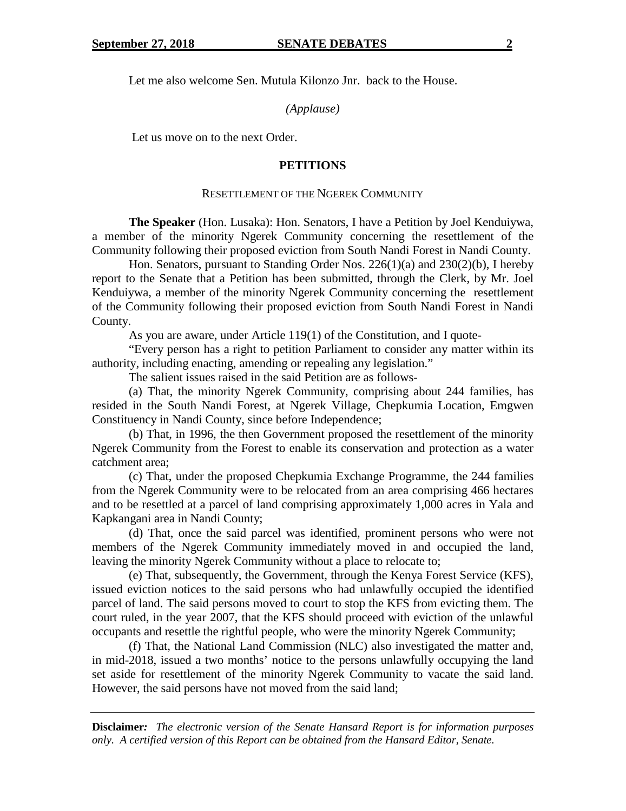Let me also welcome Sen. Mutula Kilonzo Jnr. back to the House.

*(Applause)*

Let us move on to the next Order.

#### **PETITIONS**

#### RESETTLEMENT OF THE NGEREK COMMUNITY

**The Speaker** (Hon. Lusaka): Hon. Senators, I have a Petition by Joel Kenduiywa, a member of the minority Ngerek Community concerning the resettlement of the Community following their proposed eviction from South Nandi Forest in Nandi County.

Hon. Senators, pursuant to Standing Order Nos. 226(1)(a) and 230(2)(b), I hereby report to the Senate that a Petition has been submitted, through the Clerk, by Mr. Joel Kenduiywa, a member of the minority Ngerek Community concerning the resettlement of the Community following their proposed eviction from South Nandi Forest in Nandi County.

As you are aware, under Article 119(1) of the Constitution, and I quote-

"Every person has a right to petition Parliament to consider any matter within its authority, including enacting, amending or repealing any legislation."

The salient issues raised in the said Petition are as follows-

(a) That, the minority Ngerek Community, comprising about 244 families, has resided in the South Nandi Forest, at Ngerek Village, Chepkumia Location, Emgwen Constituency in Nandi County, since before Independence;

(b) That, in 1996, the then Government proposed the resettlement of the minority Ngerek Community from the Forest to enable its conservation and protection as a water catchment area;

(c) That, under the proposed Chepkumia Exchange Programme, the 244 families from the Ngerek Community were to be relocated from an area comprising 466 hectares and to be resettled at a parcel of land comprising approximately 1,000 acres in Yala and Kapkangani area in Nandi County;

(d) That, once the said parcel was identified, prominent persons who were not members of the Ngerek Community immediately moved in and occupied the land, leaving the minority Ngerek Community without a place to relocate to;

(e) That, subsequently, the Government, through the Kenya Forest Service (KFS), issued eviction notices to the said persons who had unlawfully occupied the identified parcel of land. The said persons moved to court to stop the KFS from evicting them. The court ruled, in the year 2007, that the KFS should proceed with eviction of the unlawful occupants and resettle the rightful people, who were the minority Ngerek Community;

(f) That, the National Land Commission (NLC) also investigated the matter and, in mid-2018, issued a two months' notice to the persons unlawfully occupying the land set aside for resettlement of the minority Ngerek Community to vacate the said land. However, the said persons have not moved from the said land;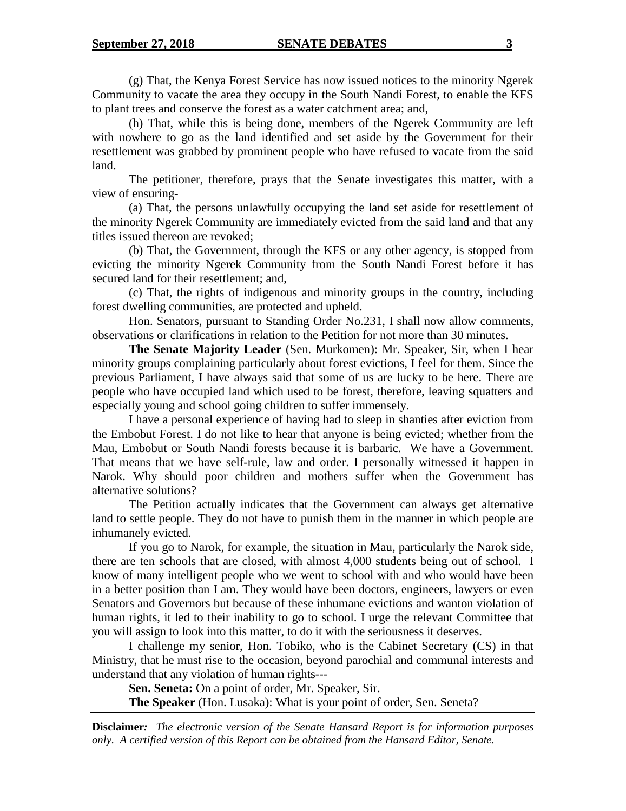(g) That, the Kenya Forest Service has now issued notices to the minority Ngerek Community to vacate the area they occupy in the South Nandi Forest, to enable the KFS to plant trees and conserve the forest as a water catchment area; and,

(h) That, while this is being done, members of the Ngerek Community are left with nowhere to go as the land identified and set aside by the Government for their resettlement was grabbed by prominent people who have refused to vacate from the said land.

The petitioner, therefore, prays that the Senate investigates this matter, with a view of ensuring-

(a) That, the persons unlawfully occupying the land set aside for resettlement of the minority Ngerek Community are immediately evicted from the said land and that any titles issued thereon are revoked;

(b) That, the Government, through the KFS or any other agency, is stopped from evicting the minority Ngerek Community from the South Nandi Forest before it has secured land for their resettlement; and,

(c) That, the rights of indigenous and minority groups in the country, including forest dwelling communities, are protected and upheld.

Hon. Senators, pursuant to Standing Order No.231, I shall now allow comments, observations or clarifications in relation to the Petition for not more than 30 minutes.

**The Senate Majority Leader** (Sen. Murkomen): Mr. Speaker, Sir, when I hear minority groups complaining particularly about forest evictions, I feel for them. Since the previous Parliament, I have always said that some of us are lucky to be here. There are people who have occupied land which used to be forest, therefore, leaving squatters and especially young and school going children to suffer immensely.

I have a personal experience of having had to sleep in shanties after eviction from the Embobut Forest. I do not like to hear that anyone is being evicted; whether from the Mau, Embobut or South Nandi forests because it is barbaric. We have a Government. That means that we have self-rule, law and order. I personally witnessed it happen in Narok. Why should poor children and mothers suffer when the Government has alternative solutions?

The Petition actually indicates that the Government can always get alternative land to settle people. They do not have to punish them in the manner in which people are inhumanely evicted.

If you go to Narok, for example, the situation in Mau, particularly the Narok side, there are ten schools that are closed, with almost 4,000 students being out of school. I know of many intelligent people who we went to school with and who would have been in a better position than I am. They would have been doctors, engineers, lawyers or even Senators and Governors but because of these inhumane evictions and wanton violation of human rights, it led to their inability to go to school. I urge the relevant Committee that you will assign to look into this matter, to do it with the seriousness it deserves.

I challenge my senior, Hon. Tobiko, who is the Cabinet Secretary (CS) in that Ministry, that he must rise to the occasion, beyond parochial and communal interests and understand that any violation of human rights---

**Sen. Seneta:** On a point of order, Mr. Speaker, Sir.

**The Speaker** (Hon. Lusaka): What is your point of order, Sen. Seneta?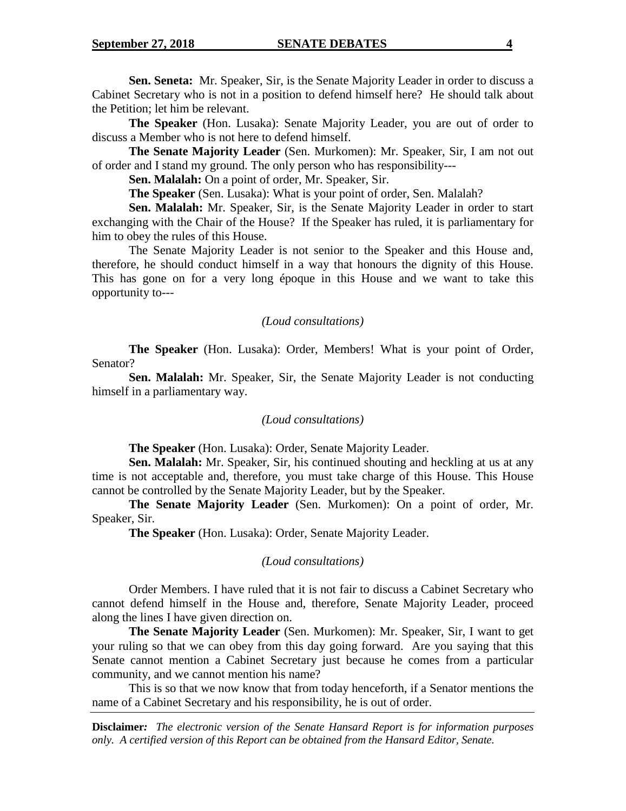**Sen. Seneta:** Mr. Speaker, Sir, is the Senate Majority Leader in order to discuss a Cabinet Secretary who is not in a position to defend himself here? He should talk about the Petition; let him be relevant.

**The Speaker** (Hon. Lusaka): Senate Majority Leader, you are out of order to discuss a Member who is not here to defend himself.

**The Senate Majority Leader** (Sen. Murkomen): Mr. Speaker, Sir, I am not out of order and I stand my ground. The only person who has responsibility---

**Sen. Malalah:** On a point of order, Mr. Speaker, Sir.

**The Speaker** (Sen. Lusaka): What is your point of order, Sen. Malalah?

**Sen. Malalah:** Mr. Speaker, Sir, is the Senate Majority Leader in order to start exchanging with the Chair of the House? If the Speaker has ruled, it is parliamentary for him to obey the rules of this House.

The Senate Majority Leader is not senior to the Speaker and this House and, therefore, he should conduct himself in a way that honours the dignity of this House. This has gone on for a very long époque in this House and we want to take this opportunity to---

## *(Loud consultations)*

**The Speaker** (Hon. Lusaka): Order, Members! What is your point of Order, Senator?

**Sen. Malalah:** Mr. Speaker, Sir, the Senate Majority Leader is not conducting himself in a parliamentary way.

## *(Loud consultations)*

**The Speaker** (Hon. Lusaka): Order, Senate Majority Leader.

**Sen. Malalah:** Mr. Speaker, Sir, his continued shouting and heckling at us at any time is not acceptable and, therefore, you must take charge of this House. This House cannot be controlled by the Senate Majority Leader, but by the Speaker.

**The Senate Majority Leader** (Sen. Murkomen): On a point of order, Mr. Speaker, Sir.

**The Speaker** (Hon. Lusaka): Order, Senate Majority Leader.

## *(Loud consultations)*

Order Members. I have ruled that it is not fair to discuss a Cabinet Secretary who cannot defend himself in the House and, therefore, Senate Majority Leader, proceed along the lines I have given direction on.

**The Senate Majority Leader** (Sen. Murkomen): Mr. Speaker, Sir, I want to get your ruling so that we can obey from this day going forward. Are you saying that this Senate cannot mention a Cabinet Secretary just because he comes from a particular community, and we cannot mention his name?

This is so that we now know that from today henceforth, if a Senator mentions the name of a Cabinet Secretary and his responsibility, he is out of order.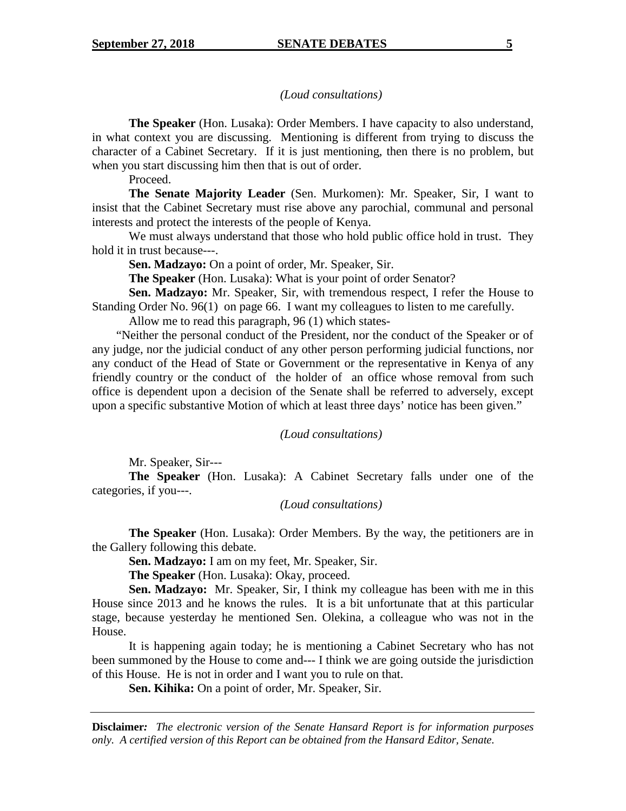## *(Loud consultations)*

**The Speaker** (Hon. Lusaka): Order Members. I have capacity to also understand, in what context you are discussing. Mentioning is different from trying to discuss the character of a Cabinet Secretary. If it is just mentioning, then there is no problem, but when you start discussing him then that is out of order.

Proceed.

**The Senate Majority Leader** (Sen. Murkomen): Mr. Speaker, Sir, I want to insist that the Cabinet Secretary must rise above any parochial, communal and personal interests and protect the interests of the people of Kenya.

We must always understand that those who hold public office hold in trust. They hold it in trust because---.

**Sen. Madzayo:** On a point of order, Mr. Speaker, Sir.

**The Speaker** (Hon. Lusaka): What is your point of order Senator?

**Sen. Madzayo:** Mr. Speaker, Sir, with tremendous respect, I refer the House to Standing Order No. 96(1) on page 66. I want my colleagues to listen to me carefully.

Allow me to read this paragraph, 96 (1) which states-

"Neither the personal conduct of the President, nor the conduct of the Speaker or of any judge, nor the judicial conduct of any other person performing judicial functions, nor any conduct of the Head of State or Government or the representative in Kenya of any friendly country or the conduct of the holder of an office whose removal from such office is dependent upon a decision of the Senate shall be referred to adversely, except upon a specific substantive Motion of which at least three days' notice has been given."

#### *(Loud consultations)*

Mr. Speaker, Sir---

**The Speaker** (Hon. Lusaka): A Cabinet Secretary falls under one of the categories, if you---.

#### *(Loud consultations)*

**The Speaker** (Hon. Lusaka): Order Members. By the way, the petitioners are in the Gallery following this debate.

**Sen. Madzayo:** I am on my feet, Mr. Speaker, Sir.

**The Speaker** (Hon. Lusaka): Okay, proceed.

**Sen. Madzayo:** Mr. Speaker, Sir, I think my colleague has been with me in this House since 2013 and he knows the rules. It is a bit unfortunate that at this particular stage, because yesterday he mentioned Sen. Olekina, a colleague who was not in the House.

It is happening again today; he is mentioning a Cabinet Secretary who has not been summoned by the House to come and--- I think we are going outside the jurisdiction of this House. He is not in order and I want you to rule on that.

**Sen. Kihika:** On a point of order, Mr. Speaker, Sir.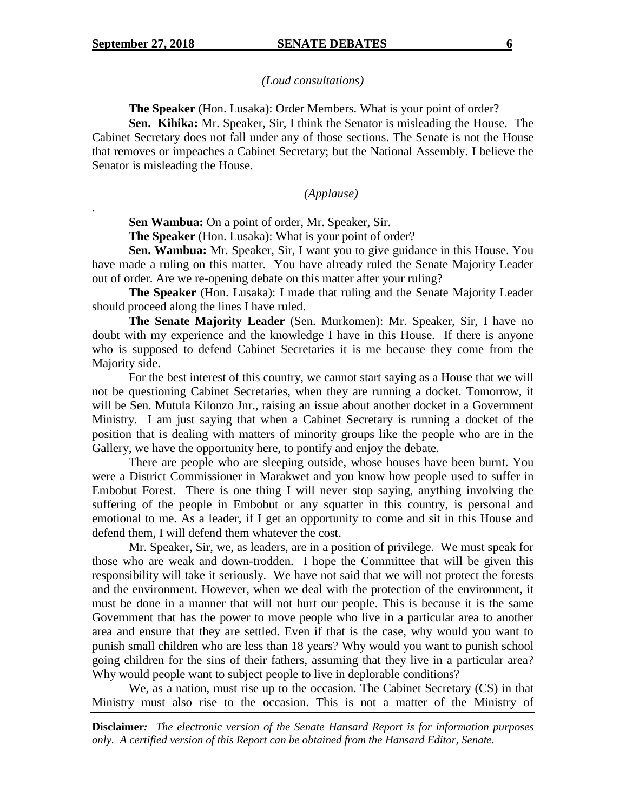.

#### *(Loud consultations)*

**The Speaker** (Hon. Lusaka): Order Members. What is your point of order?

**Sen. Kihika:** Mr. Speaker, Sir, I think the Senator is misleading the House. The Cabinet Secretary does not fall under any of those sections. The Senate is not the House that removes or impeaches a Cabinet Secretary; but the National Assembly. I believe the Senator is misleading the House.

#### *(Applause)*

**Sen Wambua:** On a point of order, Mr. Speaker, Sir.

**The Speaker** (Hon. Lusaka): What is your point of order?

**Sen. Wambua:** Mr. Speaker, Sir, I want you to give guidance in this House. You have made a ruling on this matter. You have already ruled the Senate Majority Leader out of order. Are we re-opening debate on this matter after your ruling?

**The Speaker** (Hon. Lusaka): I made that ruling and the Senate Majority Leader should proceed along the lines I have ruled.

**The Senate Majority Leader** (Sen. Murkomen): Mr. Speaker, Sir, I have no doubt with my experience and the knowledge I have in this House. If there is anyone who is supposed to defend Cabinet Secretaries it is me because they come from the Majority side.

For the best interest of this country, we cannot start saying as a House that we will not be questioning Cabinet Secretaries, when they are running a docket. Tomorrow, it will be Sen. Mutula Kilonzo Jnr., raising an issue about another docket in a Government Ministry. I am just saying that when a Cabinet Secretary is running a docket of the position that is dealing with matters of minority groups like the people who are in the Gallery, we have the opportunity here, to pontify and enjoy the debate.

There are people who are sleeping outside, whose houses have been burnt. You were a District Commissioner in Marakwet and you know how people used to suffer in Embobut Forest. There is one thing I will never stop saying, anything involving the suffering of the people in Embobut or any squatter in this country, is personal and emotional to me. As a leader, if I get an opportunity to come and sit in this House and defend them, I will defend them whatever the cost.

Mr. Speaker, Sir, we, as leaders, are in a position of privilege. We must speak for those who are weak and down-trodden. I hope the Committee that will be given this responsibility will take it seriously. We have not said that we will not protect the forests and the environment. However, when we deal with the protection of the environment, it must be done in a manner that will not hurt our people. This is because it is the same Government that has the power to move people who live in a particular area to another area and ensure that they are settled. Even if that is the case, why would you want to punish small children who are less than 18 years? Why would you want to punish school going children for the sins of their fathers, assuming that they live in a particular area? Why would people want to subject people to live in deplorable conditions?

We, as a nation, must rise up to the occasion. The Cabinet Secretary (CS) in that Ministry must also rise to the occasion. This is not a matter of the Ministry of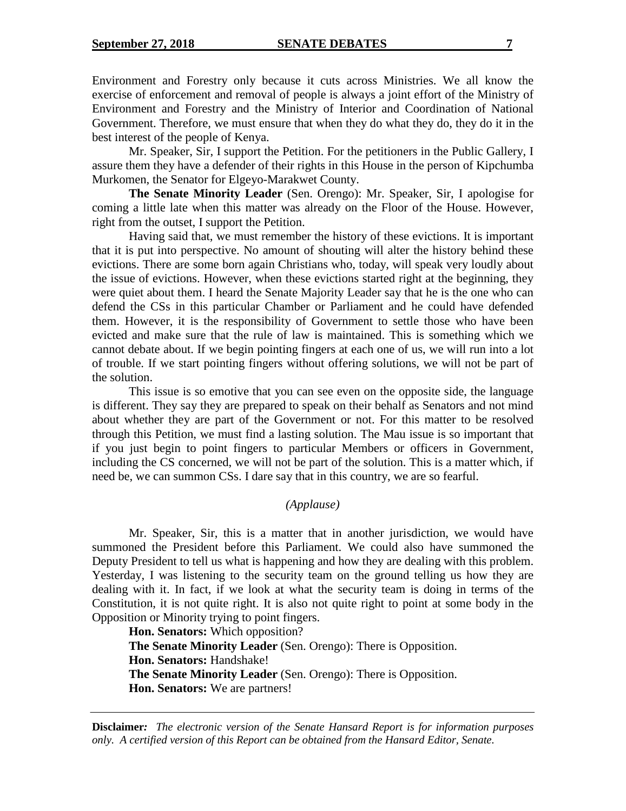Environment and Forestry only because it cuts across Ministries. We all know the exercise of enforcement and removal of people is always a joint effort of the Ministry of Environment and Forestry and the Ministry of Interior and Coordination of National Government. Therefore, we must ensure that when they do what they do, they do it in the best interest of the people of Kenya.

Mr. Speaker, Sir, I support the Petition. For the petitioners in the Public Gallery, I assure them they have a defender of their rights in this House in the person of Kipchumba Murkomen, the Senator for Elgeyo-Marakwet County.

**The Senate Minority Leader** (Sen. Orengo): Mr. Speaker, Sir, I apologise for coming a little late when this matter was already on the Floor of the House. However, right from the outset, I support the Petition.

Having said that, we must remember the history of these evictions. It is important that it is put into perspective. No amount of shouting will alter the history behind these evictions. There are some born again Christians who, today, will speak very loudly about the issue of evictions. However, when these evictions started right at the beginning, they were quiet about them. I heard the Senate Majority Leader say that he is the one who can defend the CSs in this particular Chamber or Parliament and he could have defended them. However, it is the responsibility of Government to settle those who have been evicted and make sure that the rule of law is maintained. This is something which we cannot debate about. If we begin pointing fingers at each one of us, we will run into a lot of trouble. If we start pointing fingers without offering solutions, we will not be part of the solution.

This issue is so emotive that you can see even on the opposite side, the language is different. They say they are prepared to speak on their behalf as Senators and not mind about whether they are part of the Government or not. For this matter to be resolved through this Petition, we must find a lasting solution. The Mau issue is so important that if you just begin to point fingers to particular Members or officers in Government, including the CS concerned, we will not be part of the solution. This is a matter which, if need be, we can summon CSs. I dare say that in this country, we are so fearful.

## *(Applause)*

Mr. Speaker, Sir, this is a matter that in another jurisdiction, we would have summoned the President before this Parliament. We could also have summoned the Deputy President to tell us what is happening and how they are dealing with this problem. Yesterday, I was listening to the security team on the ground telling us how they are dealing with it. In fact, if we look at what the security team is doing in terms of the Constitution, it is not quite right. It is also not quite right to point at some body in the Opposition or Minority trying to point fingers.

**Hon. Senators:** Which opposition? **The Senate Minority Leader** (Sen. Orengo): There is Opposition. **Hon. Senators:** Handshake! **The Senate Minority Leader** (Sen. Orengo): There is Opposition. **Hon. Senators:** We are partners!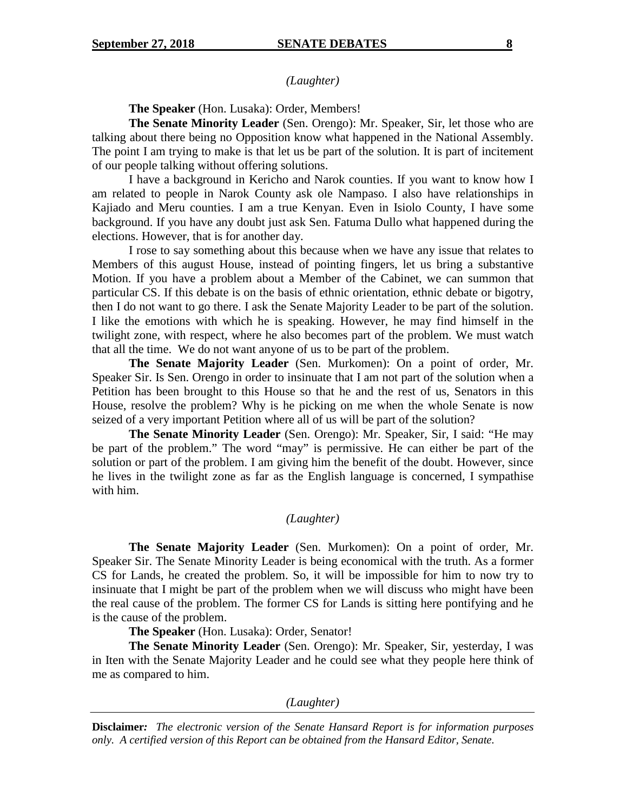*(Laughter)*

**The Speaker** (Hon. Lusaka): Order, Members!

**The Senate Minority Leader** (Sen. Orengo): Mr. Speaker, Sir, let those who are talking about there being no Opposition know what happened in the National Assembly. The point I am trying to make is that let us be part of the solution. It is part of incitement of our people talking without offering solutions.

I have a background in Kericho and Narok counties. If you want to know how I am related to people in Narok County ask ole Nampaso. I also have relationships in Kajiado and Meru counties. I am a true Kenyan. Even in Isiolo County, I have some background. If you have any doubt just ask Sen. Fatuma Dullo what happened during the elections. However, that is for another day.

I rose to say something about this because when we have any issue that relates to Members of this august House, instead of pointing fingers, let us bring a substantive Motion. If you have a problem about a Member of the Cabinet, we can summon that particular CS. If this debate is on the basis of ethnic orientation, ethnic debate or bigotry, then I do not want to go there. I ask the Senate Majority Leader to be part of the solution. I like the emotions with which he is speaking. However, he may find himself in the twilight zone, with respect, where he also becomes part of the problem. We must watch that all the time. We do not want anyone of us to be part of the problem.

**The Senate Majority Leader** (Sen. Murkomen): On a point of order, Mr. Speaker Sir. Is Sen. Orengo in order to insinuate that I am not part of the solution when a Petition has been brought to this House so that he and the rest of us, Senators in this House, resolve the problem? Why is he picking on me when the whole Senate is now seized of a very important Petition where all of us will be part of the solution?

**The Senate Minority Leader** (Sen. Orengo): Mr. Speaker, Sir, I said: "He may be part of the problem." The word "may" is permissive. He can either be part of the solution or part of the problem. I am giving him the benefit of the doubt. However, since he lives in the twilight zone as far as the English language is concerned, I sympathise with him.

## *(Laughter)*

**The Senate Majority Leader** (Sen. Murkomen): On a point of order, Mr. Speaker Sir. The Senate Minority Leader is being economical with the truth. As a former CS for Lands, he created the problem. So, it will be impossible for him to now try to insinuate that I might be part of the problem when we will discuss who might have been the real cause of the problem. The former CS for Lands is sitting here pontifying and he is the cause of the problem.

**The Speaker** (Hon. Lusaka): Order, Senator!

**The Senate Minority Leader** (Sen. Orengo): Mr. Speaker, Sir, yesterday, I was in Iten with the Senate Majority Leader and he could see what they people here think of me as compared to him.

*(Laughter)*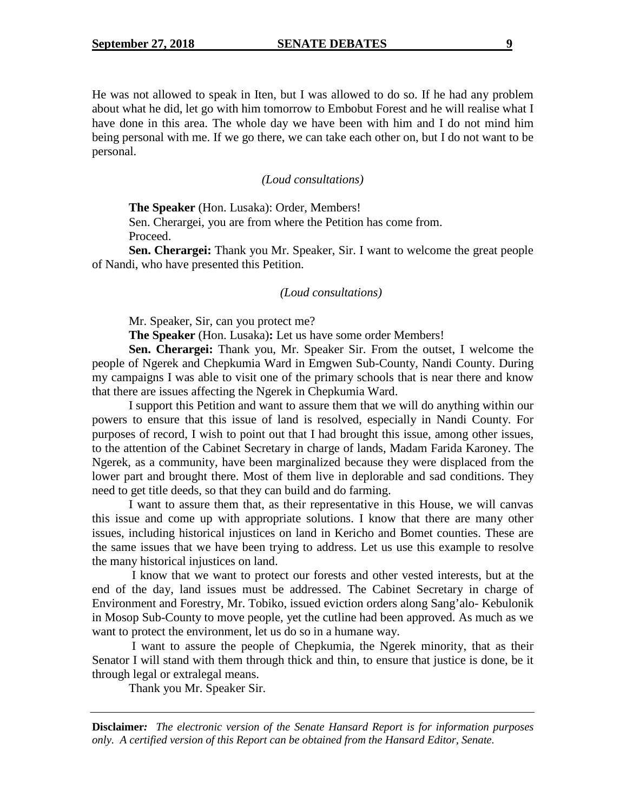He was not allowed to speak in Iten, but I was allowed to do so. If he had any problem about what he did, let go with him tomorrow to Embobut Forest and he will realise what I have done in this area. The whole day we have been with him and I do not mind him being personal with me. If we go there, we can take each other on, but I do not want to be personal.

#### *(Loud consultations)*

**The Speaker** (Hon. Lusaka): Order, Members!

Sen. Cherargei, you are from where the Petition has come from. Proceed.

**Sen. Cherargei:** Thank you Mr. Speaker, Sir. I want to welcome the great people of Nandi, who have presented this Petition.

#### *(Loud consultations)*

Mr. Speaker, Sir, can you protect me?

**The Speaker** (Hon. Lusaka)**:** Let us have some order Members!

**Sen. Cherargei:** Thank you, Mr. Speaker Sir. From the outset, I welcome the people of Ngerek and Chepkumia Ward in Emgwen Sub-County, Nandi County. During my campaigns I was able to visit one of the primary schools that is near there and know that there are issues affecting the Ngerek in Chepkumia Ward.

I support this Petition and want to assure them that we will do anything within our powers to ensure that this issue of land is resolved, especially in Nandi County. For purposes of record, I wish to point out that I had brought this issue, among other issues, to the attention of the Cabinet Secretary in charge of lands, Madam Farida Karoney. The Ngerek, as a community, have been marginalized because they were displaced from the lower part and brought there. Most of them live in deplorable and sad conditions. They need to get title deeds, so that they can build and do farming.

I want to assure them that, as their representative in this House, we will canvas this issue and come up with appropriate solutions. I know that there are many other issues, including historical injustices on land in Kericho and Bomet counties. These are the same issues that we have been trying to address. Let us use this example to resolve the many historical injustices on land.

I know that we want to protect our forests and other vested interests, but at the end of the day, land issues must be addressed. The Cabinet Secretary in charge of Environment and Forestry, Mr. Tobiko, issued eviction orders along Sang'alo- Kebulonik in Mosop Sub-County to move people, yet the cutline had been approved. As much as we want to protect the environment, let us do so in a humane way.

I want to assure the people of Chepkumia, the Ngerek minority, that as their Senator I will stand with them through thick and thin, to ensure that justice is done, be it through legal or extralegal means.

Thank you Mr. Speaker Sir.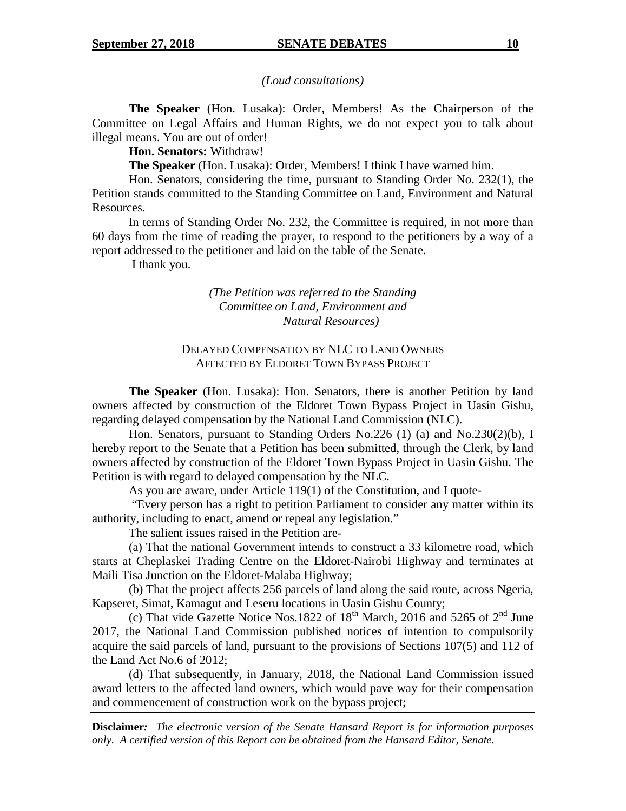*(Loud consultations)*

**The Speaker** (Hon. Lusaka): Order, Members! As the Chairperson of the Committee on Legal Affairs and Human Rights, we do not expect you to talk about illegal means. You are out of order!

**Hon. Senators:** Withdraw!

**The Speaker** (Hon. Lusaka): Order, Members! I think I have warned him.

Hon. Senators, considering the time, pursuant to Standing Order No. 232(1), the Petition stands committed to the Standing Committee on Land, Environment and Natural Resources.

In terms of Standing Order No. 232, the Committee is required, in not more than 60 days from the time of reading the prayer, to respond to the petitioners by a way of a report addressed to the petitioner and laid on the table of the Senate.

I thank you.

## *(The Petition was referred to the Standing Committee on Land, Environment and Natural Resources)*

## DELAYED COMPENSATION BY NLC TO LAND OWNERS AFFECTED BY ELDORET TOWN BYPASS PROJECT

**The Speaker** (Hon. Lusaka): Hon. Senators, there is another Petition by land owners affected by construction of the Eldoret Town Bypass Project in Uasin Gishu, regarding delayed compensation by the National Land Commission (NLC).

Hon. Senators, pursuant to Standing Orders No.226 (1) (a) and No.230(2)(b), I hereby report to the Senate that a Petition has been submitted, through the Clerk, by land owners affected by construction of the Eldoret Town Bypass Project in Uasin Gishu. The Petition is with regard to delayed compensation by the NLC.

As you are aware, under Article 119(1) of the Constitution, and I quote-

"Every person has a right to petition Parliament to consider any matter within its authority, including to enact, amend or repeal any legislation."

The salient issues raised in the Petition are-

(a) That the national Government intends to construct a 33 kilometre road, which starts at Cheplaskei Trading Centre on the Eldoret-Nairobi Highway and terminates at Maili Tisa Junction on the Eldoret-Malaba Highway;

(b) That the project affects 256 parcels of land along the said route, across Ngeria, Kapseret, Simat, Kamagut and Leseru locations in Uasin Gishu County;

(c) That vide Gazette Notice Nos.1822 of  $18<sup>th</sup>$  March, 2016 and 5265 of  $2<sup>nd</sup>$  June 2017, the National Land Commission published notices of intention to compulsorily acquire the said parcels of land, pursuant to the provisions of Sections 107(5) and 112 of the Land Act No.6 of 2012;

(d) That subsequently, in January, 2018, the National Land Commission issued award letters to the affected land owners, which would pave way for their compensation and commencement of construction work on the bypass project;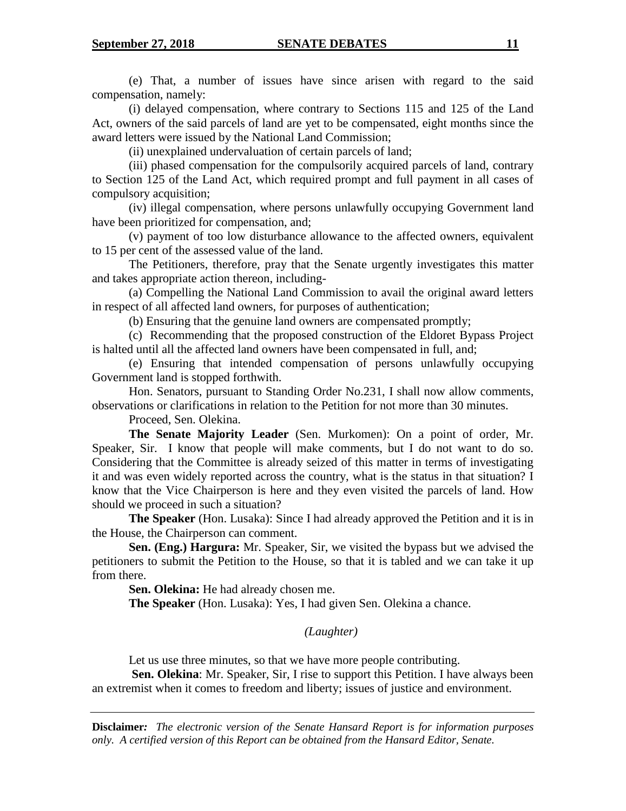(e) That, a number of issues have since arisen with regard to the said compensation, namely:

(i) delayed compensation, where contrary to Sections 115 and 125 of the Land Act, owners of the said parcels of land are yet to be compensated, eight months since the award letters were issued by the National Land Commission;

(ii) unexplained undervaluation of certain parcels of land;

(iii) phased compensation for the compulsorily acquired parcels of land, contrary to Section 125 of the Land Act, which required prompt and full payment in all cases of compulsory acquisition;

(iv) illegal compensation, where persons unlawfully occupying Government land have been prioritized for compensation, and;

(v) payment of too low disturbance allowance to the affected owners, equivalent to 15 per cent of the assessed value of the land.

The Petitioners, therefore, pray that the Senate urgently investigates this matter and takes appropriate action thereon, including-

(a) Compelling the National Land Commission to avail the original award letters in respect of all affected land owners, for purposes of authentication;

(b) Ensuring that the genuine land owners are compensated promptly;

(c) Recommending that the proposed construction of the Eldoret Bypass Project is halted until all the affected land owners have been compensated in full, and;

(e) Ensuring that intended compensation of persons unlawfully occupying Government land is stopped forthwith.

Hon. Senators, pursuant to Standing Order No.231, I shall now allow comments, observations or clarifications in relation to the Petition for not more than 30 minutes.

Proceed, Sen. Olekina.

**The Senate Majority Leader** (Sen. Murkomen): On a point of order, Mr. Speaker, Sir. I know that people will make comments, but I do not want to do so. Considering that the Committee is already seized of this matter in terms of investigating it and was even widely reported across the country, what is the status in that situation? I know that the Vice Chairperson is here and they even visited the parcels of land. How should we proceed in such a situation?

**The Speaker** (Hon. Lusaka): Since I had already approved the Petition and it is in the House, the Chairperson can comment.

**Sen. (Eng.) Hargura:** Mr. Speaker, Sir, we visited the bypass but we advised the petitioners to submit the Petition to the House, so that it is tabled and we can take it up from there.

**Sen. Olekina:** He had already chosen me.

**The Speaker** (Hon. Lusaka): Yes, I had given Sen. Olekina a chance.

*(Laughter)*

Let us use three minutes, so that we have more people contributing.

**Sen. Olekina**: Mr. Speaker, Sir, I rise to support this Petition. I have always been an extremist when it comes to freedom and liberty; issues of justice and environment.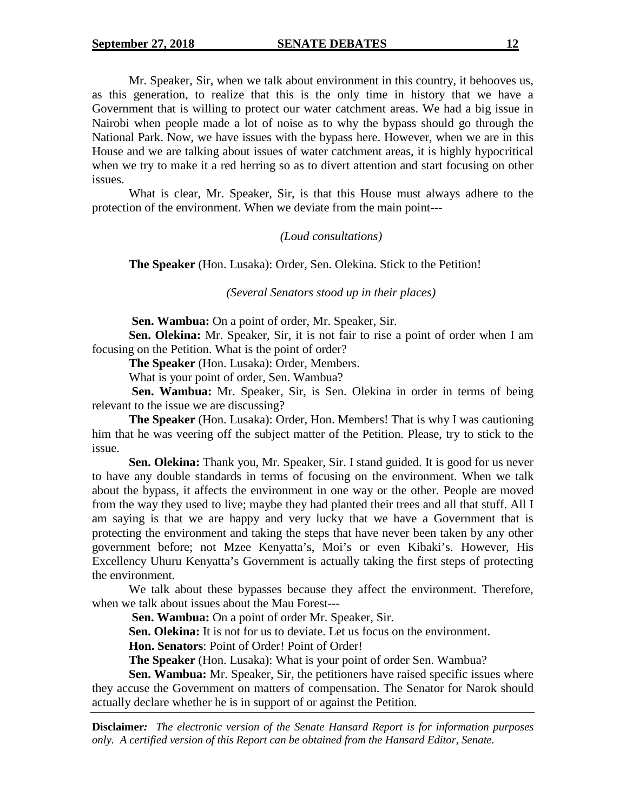Mr. Speaker, Sir, when we talk about environment in this country, it behooves us, as this generation, to realize that this is the only time in history that we have a Government that is willing to protect our water catchment areas. We had a big issue in Nairobi when people made a lot of noise as to why the bypass should go through the National Park. Now, we have issues with the bypass here. However, when we are in this House and we are talking about issues of water catchment areas, it is highly hypocritical when we try to make it a red herring so as to divert attention and start focusing on other issues.

What is clear, Mr. Speaker, Sir, is that this House must always adhere to the protection of the environment. When we deviate from the main point---

#### *(Loud consultations)*

**The Speaker** (Hon. Lusaka): Order, Sen. Olekina. Stick to the Petition!

*(Several Senators stood up in their places)*

**Sen. Wambua:** On a point of order, Mr. Speaker, Sir.

**Sen. Olekina:** Mr. Speaker, Sir, it is not fair to rise a point of order when I am focusing on the Petition. What is the point of order?

**The Speaker** (Hon. Lusaka): Order, Members.

What is your point of order, Sen. Wambua?

**Sen. Wambua:** Mr. Speaker, Sir, is Sen. Olekina in order in terms of being relevant to the issue we are discussing?

**The Speaker** (Hon. Lusaka): Order, Hon. Members! That is why I was cautioning him that he was veering off the subject matter of the Petition. Please, try to stick to the issue.

**Sen. Olekina:** Thank you, Mr. Speaker, Sir. I stand guided. It is good for us never to have any double standards in terms of focusing on the environment. When we talk about the bypass, it affects the environment in one way or the other. People are moved from the way they used to live; maybe they had planted their trees and all that stuff. All I am saying is that we are happy and very lucky that we have a Government that is protecting the environment and taking the steps that have never been taken by any other government before; not Mzee Kenyatta's, Moi's or even Kibaki's. However, His Excellency Uhuru Kenyatta's Government is actually taking the first steps of protecting the environment.

We talk about these bypasses because they affect the environment. Therefore, when we talk about issues about the Mau Forest---

**Sen. Wambua:** On a point of order Mr. Speaker, Sir.

**Sen. Olekina:** It is not for us to deviate. Let us focus on the environment.

**Hon. Senators**: Point of Order! Point of Order!

**The Speaker** (Hon. Lusaka): What is your point of order Sen. Wambua?

**Sen. Wambua:** Mr. Speaker, Sir, the petitioners have raised specific issues where they accuse the Government on matters of compensation. The Senator for Narok should actually declare whether he is in support of or against the Petition.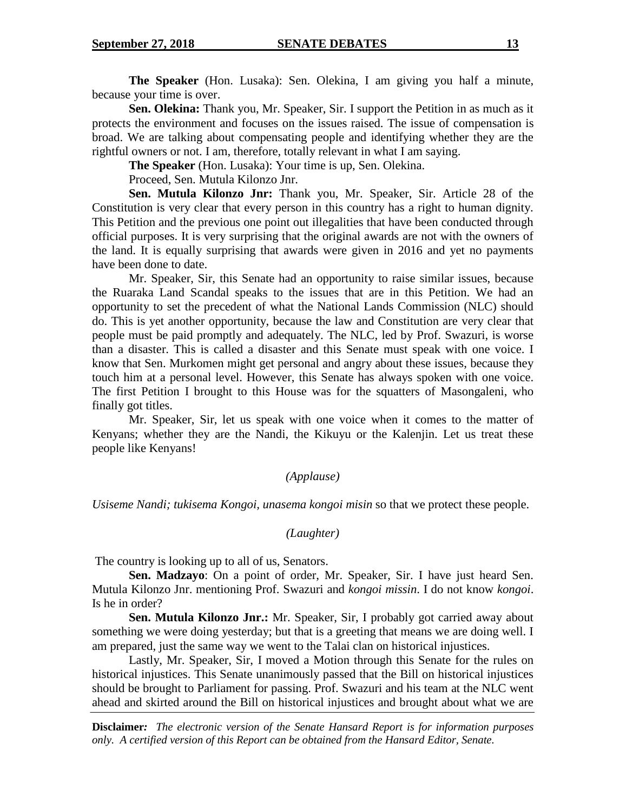**The Speaker** (Hon. Lusaka): Sen. Olekina, I am giving you half a minute, because your time is over.

**Sen. Olekina:** Thank you, Mr. Speaker, Sir. I support the Petition in as much as it protects the environment and focuses on the issues raised. The issue of compensation is broad. We are talking about compensating people and identifying whether they are the rightful owners or not. I am, therefore, totally relevant in what I am saying.

**The Speaker** (Hon. Lusaka): Your time is up, Sen. Olekina.

Proceed, Sen. Mutula Kilonzo Jnr.

**Sen. Mutula Kilonzo Jnr:** Thank you, Mr. Speaker, Sir. Article 28 of the Constitution is very clear that every person in this country has a right to human dignity. This Petition and the previous one point out illegalities that have been conducted through official purposes. It is very surprising that the original awards are not with the owners of the land. It is equally surprising that awards were given in 2016 and yet no payments have been done to date.

Mr. Speaker, Sir, this Senate had an opportunity to raise similar issues, because the Ruaraka Land Scandal speaks to the issues that are in this Petition. We had an opportunity to set the precedent of what the National Lands Commission (NLC) should do. This is yet another opportunity, because the law and Constitution are very clear that people must be paid promptly and adequately. The NLC, led by Prof. Swazuri, is worse than a disaster. This is called a disaster and this Senate must speak with one voice. I know that Sen. Murkomen might get personal and angry about these issues, because they touch him at a personal level. However, this Senate has always spoken with one voice. The first Petition I brought to this House was for the squatters of Masongaleni, who finally got titles.

Mr. Speaker, Sir, let us speak with one voice when it comes to the matter of Kenyans; whether they are the Nandi, the Kikuyu or the Kalenjin. Let us treat these people like Kenyans!

## *(Applause)*

*Usiseme Nandi; tukisema Kongoi, unasema kongoi misin* so that we protect these people.

#### *(Laughter)*

The country is looking up to all of us, Senators.

**Sen. Madzayo**: On a point of order, Mr. Speaker, Sir. I have just heard Sen. Mutula Kilonzo Jnr. mentioning Prof. Swazuri and *kongoi missin*. I do not know *kongoi*. Is he in order?

**Sen. Mutula Kilonzo Jnr.:** Mr. Speaker, Sir, I probably got carried away about something we were doing yesterday; but that is a greeting that means we are doing well. I am prepared, just the same way we went to the Talai clan on historical injustices.

Lastly, Mr. Speaker, Sir, I moved a Motion through this Senate for the rules on historical injustices. This Senate unanimously passed that the Bill on historical injustices should be brought to Parliament for passing. Prof. Swazuri and his team at the NLC went ahead and skirted around the Bill on historical injustices and brought about what we are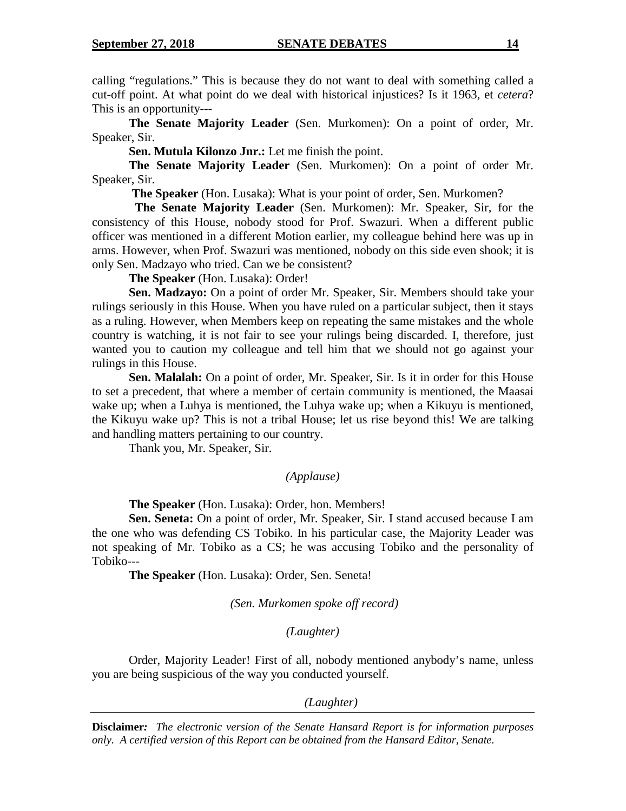calling "regulations." This is because they do not want to deal with something called a cut-off point. At what point do we deal with historical injustices? Is it 1963, et *cetera*? This is an opportunity---

**The Senate Majority Leader** (Sen. Murkomen): On a point of order, Mr. Speaker, Sir.

**Sen. Mutula Kilonzo Jnr.:** Let me finish the point.

**The Senate Majority Leader** (Sen. Murkomen): On a point of order Mr. Speaker, Sir.

**The Speaker** (Hon. Lusaka): What is your point of order, Sen. Murkomen?

**The Senate Majority Leader** (Sen. Murkomen): Mr. Speaker, Sir, for the consistency of this House, nobody stood for Prof. Swazuri. When a different public officer was mentioned in a different Motion earlier, my colleague behind here was up in arms. However, when Prof. Swazuri was mentioned, nobody on this side even shook; it is only Sen. Madzayo who tried. Can we be consistent?

**The Speaker** (Hon. Lusaka): Order!

**Sen. Madzayo:** On a point of order Mr. Speaker, Sir. Members should take your rulings seriously in this House. When you have ruled on a particular subject, then it stays as a ruling. However, when Members keep on repeating the same mistakes and the whole country is watching, it is not fair to see your rulings being discarded. I, therefore, just wanted you to caution my colleague and tell him that we should not go against your rulings in this House.

**Sen. Malalah:** On a point of order, Mr. Speaker, Sir. Is it in order for this House to set a precedent, that where a member of certain community is mentioned, the Maasai wake up; when a Luhya is mentioned, the Luhya wake up; when a Kikuyu is mentioned, the Kikuyu wake up? This is not a tribal House; let us rise beyond this! We are talking and handling matters pertaining to our country.

Thank you, Mr. Speaker, Sir.

## *(Applause)*

**The Speaker** (Hon. Lusaka): Order, hon. Members!

**Sen. Seneta:** On a point of order, Mr. Speaker, Sir. I stand accused because I am the one who was defending CS Tobiko. In his particular case, the Majority Leader was not speaking of Mr. Tobiko as a CS; he was accusing Tobiko and the personality of Tobiko---

**The Speaker** (Hon. Lusaka): Order, Sen. Seneta!

*(Sen. Murkomen spoke off record)*

*(Laughter)*

Order, Majority Leader! First of all, nobody mentioned anybody's name, unless you are being suspicious of the way you conducted yourself.

*(Laughter)*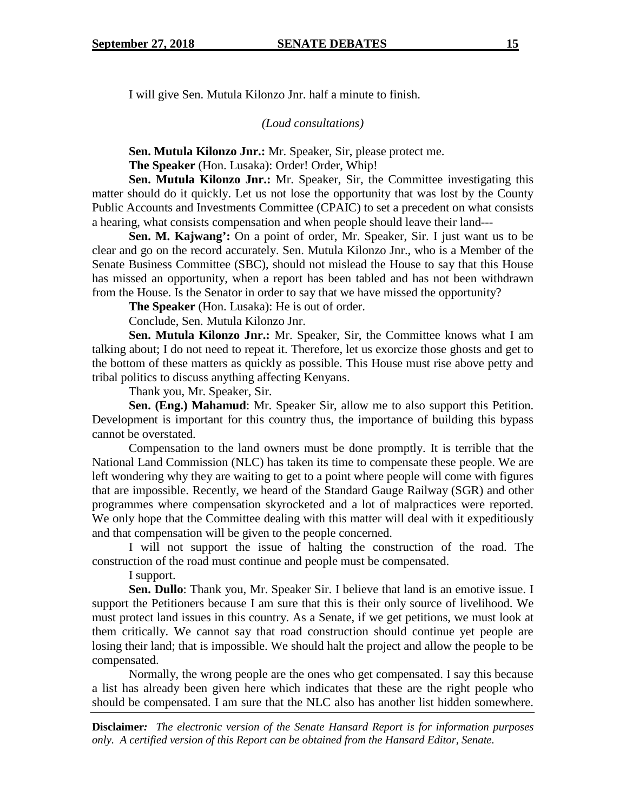I will give Sen. Mutula Kilonzo Jnr. half a minute to finish.

*(Loud consultations)*

**Sen. Mutula Kilonzo Jnr.:** Mr. Speaker, Sir, please protect me.

The Speaker (Hon. Lusaka): Order! Order, Whip!

**Sen. Mutula Kilonzo Jnr.:** Mr. Speaker, Sir, the Committee investigating this matter should do it quickly. Let us not lose the opportunity that was lost by the County Public Accounts and Investments Committee (CPAIC) to set a precedent on what consists a hearing, what consists compensation and when people should leave their land---

**Sen. M. Kajwang':** On a point of order, Mr. Speaker, Sir. I just want us to be clear and go on the record accurately. Sen. Mutula Kilonzo Jnr., who is a Member of the Senate Business Committee (SBC), should not mislead the House to say that this House has missed an opportunity, when a report has been tabled and has not been withdrawn from the House. Is the Senator in order to say that we have missed the opportunity?

**The Speaker** (Hon. Lusaka): He is out of order.

Conclude, Sen. Mutula Kilonzo Jnr.

**Sen. Mutula Kilonzo Jnr.:** Mr. Speaker, Sir, the Committee knows what I am talking about; I do not need to repeat it. Therefore, let us exorcize those ghosts and get to the bottom of these matters as quickly as possible. This House must rise above petty and tribal politics to discuss anything affecting Kenyans.

Thank you, Mr. Speaker, Sir.

**Sen. (Eng.) Mahamud**: Mr. Speaker Sir, allow me to also support this Petition. Development is important for this country thus, the importance of building this bypass cannot be overstated.

Compensation to the land owners must be done promptly. It is terrible that the National Land Commission (NLC) has taken its time to compensate these people. We are left wondering why they are waiting to get to a point where people will come with figures that are impossible. Recently, we heard of the Standard Gauge Railway (SGR) and other programmes where compensation skyrocketed and a lot of malpractices were reported. We only hope that the Committee dealing with this matter will deal with it expeditiously and that compensation will be given to the people concerned.

I will not support the issue of halting the construction of the road. The construction of the road must continue and people must be compensated.

I support.

**Sen. Dullo**: Thank you, Mr. Speaker Sir. I believe that land is an emotive issue. I support the Petitioners because I am sure that this is their only source of livelihood. We must protect land issues in this country. As a Senate, if we get petitions, we must look at them critically. We cannot say that road construction should continue yet people are losing their land; that is impossible. We should halt the project and allow the people to be compensated.

Normally, the wrong people are the ones who get compensated. I say this because a list has already been given here which indicates that these are the right people who should be compensated. I am sure that the NLC also has another list hidden somewhere.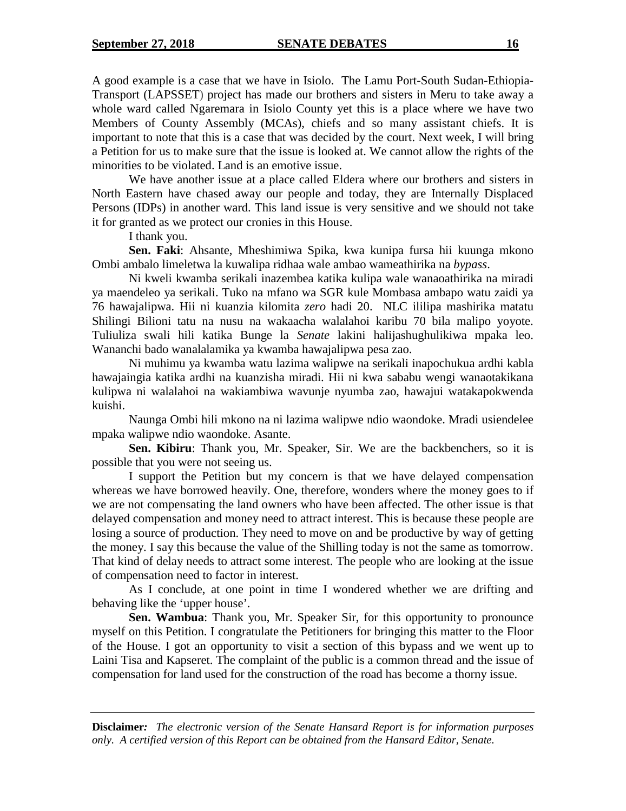A good example is a case that we have in Isiolo. The Lamu Port-South Sudan-Ethiopia-Transport (LAPSSET) project has made our brothers and sisters in Meru to take away a whole ward called Ngaremara in Isiolo County yet this is a place where we have two Members of County Assembly (MCAs), chiefs and so many assistant chiefs. It is important to note that this is a case that was decided by the court. Next week, I will bring a Petition for us to make sure that the issue is looked at. We cannot allow the rights of the minorities to be violated. Land is an emotive issue.

We have another issue at a place called Eldera where our brothers and sisters in North Eastern have chased away our people and today, they are Internally Displaced Persons (IDPs) in another ward. This land issue is very sensitive and we should not take it for granted as we protect our cronies in this House.

I thank you.

**Sen. Faki**: Ahsante, Mheshimiwa Spika, kwa kunipa fursa hii kuunga mkono Ombi ambalo limeletwa la kuwalipa ridhaa wale ambao wameathirika na *bypass*.

Ni kweli kwamba serikali inazembea katika kulipa wale wanaoathirika na miradi ya maendeleo ya serikali. Tuko na mfano wa SGR kule Mombasa ambapo watu zaidi ya 76 hawajalipwa. Hii ni kuanzia kilomita *zero* hadi 20. NLC ililipa mashirika matatu Shilingi Bilioni tatu na nusu na wakaacha walalahoi karibu 70 bila malipo yoyote. Tuliuliza swali hili katika Bunge la *Senate* lakini halijashughulikiwa mpaka leo. Wananchi bado wanalalamika ya kwamba hawajalipwa pesa zao.

Ni muhimu ya kwamba watu lazima walipwe na serikali inapochukua ardhi kabla hawajaingia katika ardhi na kuanzisha miradi. Hii ni kwa sababu wengi wanaotakikana kulipwa ni walalahoi na wakiambiwa wavunje nyumba zao, hawajui watakapokwenda kuishi.

Naunga Ombi hili mkono na ni lazima walipwe ndio waondoke. Mradi usiendelee mpaka walipwe ndio waondoke. Asante.

**Sen. Kibiru**: Thank you, Mr. Speaker, Sir. We are the backbenchers, so it is possible that you were not seeing us.

I support the Petition but my concern is that we have delayed compensation whereas we have borrowed heavily. One, therefore, wonders where the money goes to if we are not compensating the land owners who have been affected. The other issue is that delayed compensation and money need to attract interest. This is because these people are losing a source of production. They need to move on and be productive by way of getting the money. I say this because the value of the Shilling today is not the same as tomorrow. That kind of delay needs to attract some interest. The people who are looking at the issue of compensation need to factor in interest.

As I conclude, at one point in time I wondered whether we are drifting and behaving like the 'upper house'.

**Sen. Wambua**: Thank you, Mr. Speaker Sir, for this opportunity to pronounce myself on this Petition. I congratulate the Petitioners for bringing this matter to the Floor of the House. I got an opportunity to visit a section of this bypass and we went up to Laini Tisa and Kapseret. The complaint of the public is a common thread and the issue of compensation for land used for the construction of the road has become a thorny issue.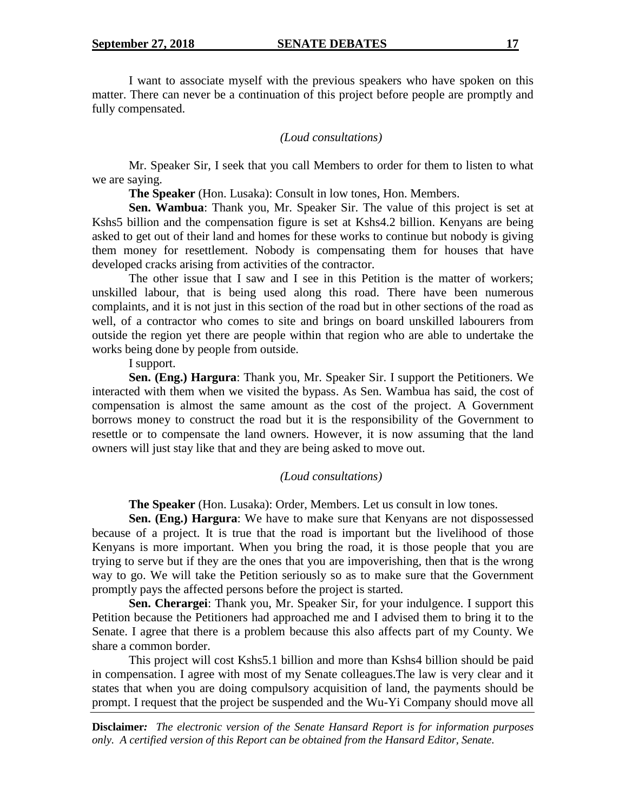I want to associate myself with the previous speakers who have spoken on this matter. There can never be a continuation of this project before people are promptly and fully compensated.

#### *(Loud consultations)*

Mr. Speaker Sir, I seek that you call Members to order for them to listen to what we are saying.

**The Speaker** (Hon. Lusaka): Consult in low tones, Hon. Members.

**Sen. Wambua**: Thank you, Mr. Speaker Sir. The value of this project is set at Kshs5 billion and the compensation figure is set at Kshs4.2 billion. Kenyans are being asked to get out of their land and homes for these works to continue but nobody is giving them money for resettlement. Nobody is compensating them for houses that have developed cracks arising from activities of the contractor.

The other issue that I saw and I see in this Petition is the matter of workers; unskilled labour, that is being used along this road. There have been numerous complaints, and it is not just in this section of the road but in other sections of the road as well, of a contractor who comes to site and brings on board unskilled labourers from outside the region yet there are people within that region who are able to undertake the works being done by people from outside.

I support.

**Sen. (Eng.) Hargura**: Thank you, Mr. Speaker Sir. I support the Petitioners. We interacted with them when we visited the bypass. As Sen. Wambua has said, the cost of compensation is almost the same amount as the cost of the project. A Government borrows money to construct the road but it is the responsibility of the Government to resettle or to compensate the land owners. However, it is now assuming that the land owners will just stay like that and they are being asked to move out.

#### *(Loud consultations)*

**The Speaker** (Hon. Lusaka): Order, Members. Let us consult in low tones.

**Sen. (Eng.) Hargura**: We have to make sure that Kenyans are not dispossessed because of a project. It is true that the road is important but the livelihood of those Kenyans is more important. When you bring the road, it is those people that you are trying to serve but if they are the ones that you are impoverishing, then that is the wrong way to go. We will take the Petition seriously so as to make sure that the Government promptly pays the affected persons before the project is started.

**Sen. Cherargei**: Thank you, Mr. Speaker Sir, for your indulgence. I support this Petition because the Petitioners had approached me and I advised them to bring it to the Senate. I agree that there is a problem because this also affects part of my County. We share a common border.

This project will cost Kshs5.1 billion and more than Kshs4 billion should be paid in compensation. I agree with most of my Senate colleagues.The law is very clear and it states that when you are doing compulsory acquisition of land, the payments should be prompt. I request that the project be suspended and the Wu-Yi Company should move all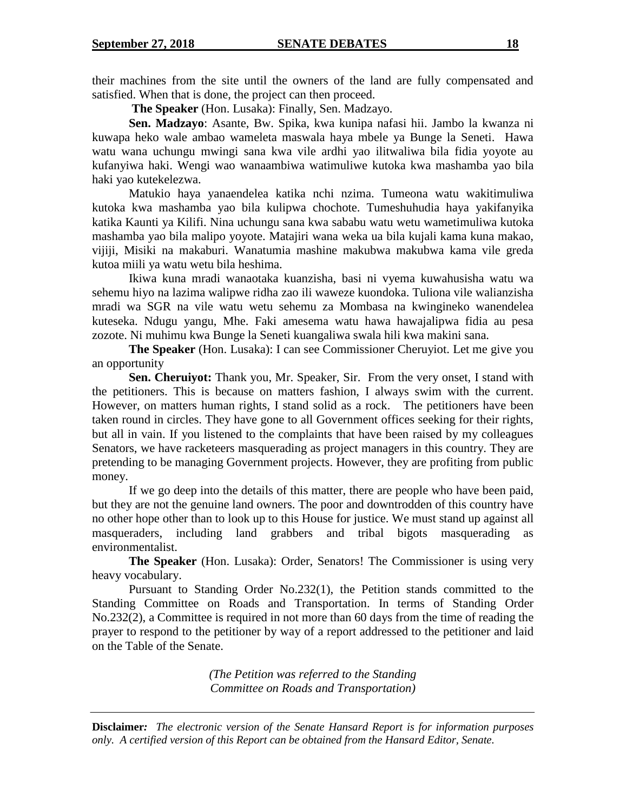their machines from the site until the owners of the land are fully compensated and satisfied. When that is done, the project can then proceed.

**The Speaker** (Hon. Lusaka): Finally, Sen. Madzayo.

**Sen. Madzayo**: Asante, Bw. Spika, kwa kunipa nafasi hii. Jambo la kwanza ni kuwapa heko wale ambao wameleta maswala haya mbele ya Bunge la Seneti. Hawa watu wana uchungu mwingi sana kwa vile ardhi yao ilitwaliwa bila fidia yoyote au kufanyiwa haki. Wengi wao wanaambiwa watimuliwe kutoka kwa mashamba yao bila haki yao kutekelezwa.

Matukio haya yanaendelea katika nchi nzima. Tumeona watu wakitimuliwa kutoka kwa mashamba yao bila kulipwa chochote. Tumeshuhudia haya yakifanyika katika Kaunti ya Kilifi. Nina uchungu sana kwa sababu watu wetu wametimuliwa kutoka mashamba yao bila malipo yoyote. Matajiri wana weka ua bila kujali kama kuna makao, vijiji, Misiki na makaburi. Wanatumia mashine makubwa makubwa kama vile greda kutoa miili ya watu wetu bila heshima.

Ikiwa kuna mradi wanaotaka kuanzisha, basi ni vyema kuwahusisha watu wa sehemu hiyo na lazima walipwe ridha zao ili waweze kuondoka. Tuliona vile walianzisha mradi wa SGR na vile watu wetu sehemu za Mombasa na kwingineko wanendelea kuteseka. Ndugu yangu, Mhe. Faki amesema watu hawa hawajalipwa fidia au pesa zozote. Ni muhimu kwa Bunge la Seneti kuangaliwa swala hili kwa makini sana.

**The Speaker** (Hon. Lusaka): I can see Commissioner Cheruyiot. Let me give you an opportunity

**Sen. Cheruiyot:** Thank you, Mr. Speaker, Sir. From the very onset, I stand with the petitioners. This is because on matters fashion, I always swim with the current. However, on matters human rights, I stand solid as a rock. The petitioners have been taken round in circles. They have gone to all Government offices seeking for their rights, but all in vain. If you listened to the complaints that have been raised by my colleagues Senators, we have racketeers masquerading as project managers in this country. They are pretending to be managing Government projects. However, they are profiting from public money.

If we go deep into the details of this matter, there are people who have been paid, but they are not the genuine land owners. The poor and downtrodden of this country have no other hope other than to look up to this House for justice. We must stand up against all masqueraders, including land grabbers and tribal bigots masquerading as environmentalist.

**The Speaker** (Hon. Lusaka): Order, Senators! The Commissioner is using very heavy vocabulary.

Pursuant to Standing Order No.232(1), the Petition stands committed to the Standing Committee on Roads and Transportation. In terms of Standing Order No.232(2), a Committee is required in not more than 60 days from the time of reading the prayer to respond to the petitioner by way of a report addressed to the petitioner and laid on the Table of the Senate.

> *(The Petition was referred to the Standing Committee on Roads and Transportation)*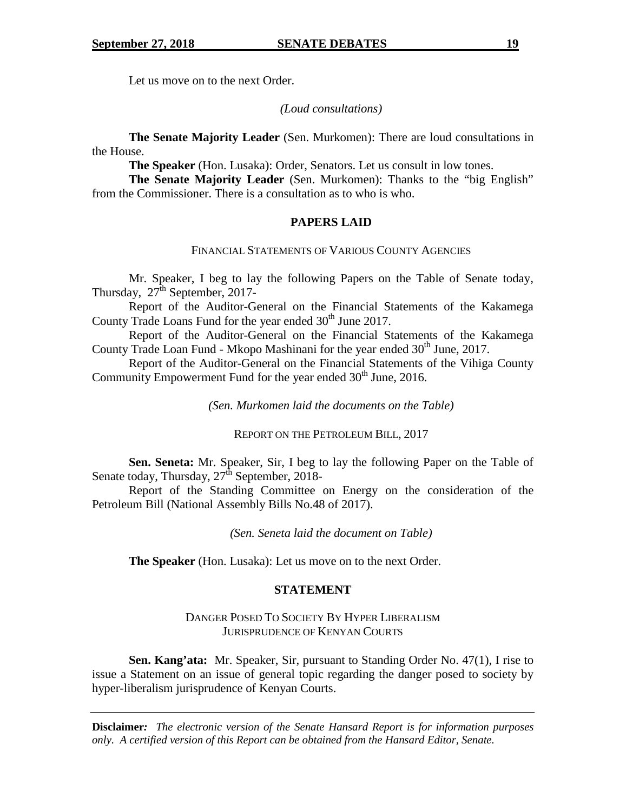Let us move on to the next Order.

*(Loud consultations)*

**The Senate Majority Leader** (Sen. Murkomen): There are loud consultations in the House.

**The Speaker** (Hon. Lusaka): Order, Senators. Let us consult in low tones.

**The Senate Majority Leader** (Sen. Murkomen): Thanks to the "big English" from the Commissioner. There is a consultation as to who is who.

## **PAPERS LAID**

## FINANCIAL STATEMENTS OF VARIOUS COUNTY AGENCIES

Mr. Speaker, I beg to lay the following Papers on the Table of Senate today, Thursday,  $27^{\text{th}}$  September, 2017-

Report of the Auditor-General on the Financial Statements of the Kakamega County Trade Loans Fund for the year ended 30<sup>th</sup> June 2017.

Report of the Auditor-General on the Financial Statements of the Kakamega County Trade Loan Fund - Mkopo Mashinani for the year ended  $30<sup>th</sup>$  June, 2017.

Report of the Auditor-General on the Financial Statements of the Vihiga County Community Empowerment Fund for the year ended  $30<sup>th</sup>$  June, 2016.

*(Sen. Murkomen laid the documents on the Table)*

REPORT ON THE PETROLEUM BILL, 2017

**Sen. Seneta:** Mr. Speaker, Sir, I beg to lay the following Paper on the Table of Senate today, Thursday,  $27<sup>th</sup>$  September, 2018-

Report of the Standing Committee on Energy on the consideration of the Petroleum Bill (National Assembly Bills No.48 of 2017).

*(Sen. Seneta laid the document on Table)*

**The Speaker** (Hon. Lusaka): Let us move on to the next Order.

## **STATEMENT**

## DANGER POSED TO SOCIETY BY HYPER LIBERALISM JURISPRUDENCE OF KENYAN COURTS

**Sen. Kang'ata:** Mr. Speaker, Sir, pursuant to Standing Order No. 47(1), I rise to issue a Statement on an issue of general topic regarding the danger posed to society by hyper-liberalism jurisprudence of Kenyan Courts.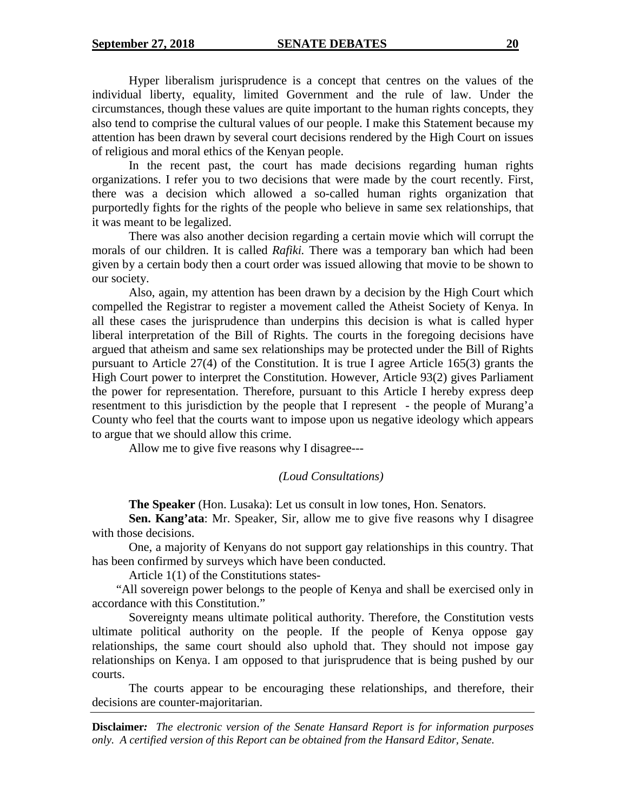Hyper liberalism jurisprudence is a concept that centres on the values of the individual liberty, equality, limited Government and the rule of law. Under the circumstances, though these values are quite important to the human rights concepts, they also tend to comprise the cultural values of our people. I make this Statement because my attention has been drawn by several court decisions rendered by the High Court on issues of religious and moral ethics of the Kenyan people.

In the recent past, the court has made decisions regarding human rights organizations. I refer you to two decisions that were made by the court recently. First, there was a decision which allowed a so-called human rights organization that purportedly fights for the rights of the people who believe in same sex relationships, that it was meant to be legalized.

There was also another decision regarding a certain movie which will corrupt the morals of our children. It is called *Rafiki.* There was a temporary ban which had been given by a certain body then a court order was issued allowing that movie to be shown to our society.

Also, again, my attention has been drawn by a decision by the High Court which compelled the Registrar to register a movement called the Atheist Society of Kenya. In all these cases the jurisprudence than underpins this decision is what is called hyper liberal interpretation of the Bill of Rights. The courts in the foregoing decisions have argued that atheism and same sex relationships may be protected under the Bill of Rights pursuant to Article 27(4) of the Constitution. It is true I agree Article 165(3) grants the High Court power to interpret the Constitution. However, Article 93(2) gives Parliament the power for representation. Therefore, pursuant to this Article I hereby express deep resentment to this jurisdiction by the people that I represent - the people of Murang'a County who feel that the courts want to impose upon us negative ideology which appears to argue that we should allow this crime.

Allow me to give five reasons why I disagree---

## *(Loud Consultations)*

**The Speaker** (Hon. Lusaka): Let us consult in low tones, Hon. Senators.

**Sen. Kang'ata**: Mr. Speaker, Sir, allow me to give five reasons why I disagree with those decisions.

One, a majority of Kenyans do not support gay relationships in this country. That has been confirmed by surveys which have been conducted.

Article 1(1) of the Constitutions states-

"All sovereign power belongs to the people of Kenya and shall be exercised only in accordance with this Constitution."

Sovereignty means ultimate political authority. Therefore, the Constitution vests ultimate political authority on the people. If the people of Kenya oppose gay relationships, the same court should also uphold that. They should not impose gay relationships on Kenya. I am opposed to that jurisprudence that is being pushed by our courts.

The courts appear to be encouraging these relationships, and therefore, their decisions are counter-majoritarian.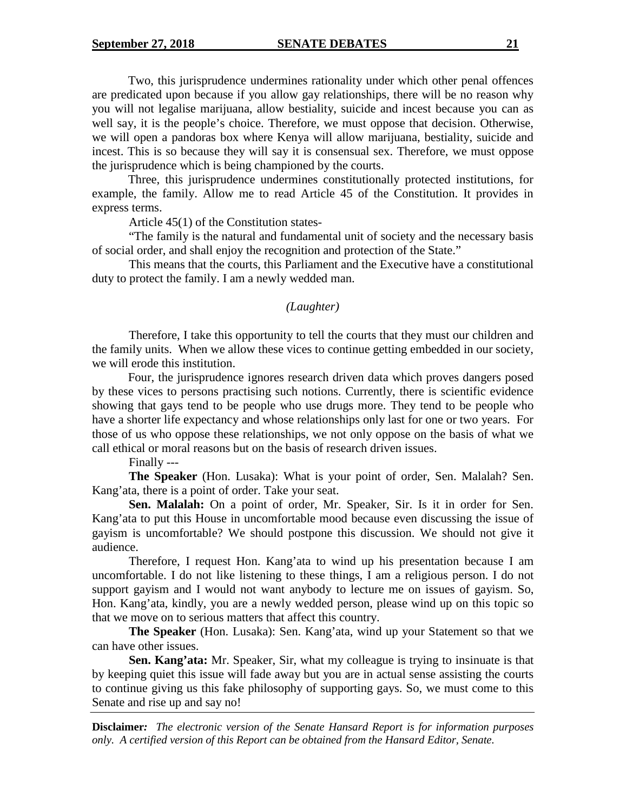Two, this jurisprudence undermines rationality under which other penal offences are predicated upon because if you allow gay relationships, there will be no reason why you will not legalise marijuana, allow bestiality, suicide and incest because you can as well say, it is the people's choice. Therefore, we must oppose that decision. Otherwise, we will open a pandoras box where Kenya will allow marijuana, bestiality, suicide and incest. This is so because they will say it is consensual sex. Therefore, we must oppose the jurisprudence which is being championed by the courts.

Three, this jurisprudence undermines constitutionally protected institutions, for example, the family. Allow me to read Article 45 of the Constitution. It provides in express terms.

Article 45(1) of the Constitution states-

"The family is the natural and fundamental unit of society and the necessary basis of social order, and shall enjoy the recognition and protection of the State."

This means that the courts, this Parliament and the Executive have a constitutional duty to protect the family. I am a newly wedded man.

#### *(Laughter)*

Therefore, I take this opportunity to tell the courts that they must our children and the family units. When we allow these vices to continue getting embedded in our society, we will erode this institution.

Four, the jurisprudence ignores research driven data which proves dangers posed by these vices to persons practising such notions. Currently, there is scientific evidence showing that gays tend to be people who use drugs more. They tend to be people who have a shorter life expectancy and whose relationships only last for one or two years. For those of us who oppose these relationships, we not only oppose on the basis of what we call ethical or moral reasons but on the basis of research driven issues.

Finally ---

**The Speaker** (Hon. Lusaka): What is your point of order, Sen. Malalah? Sen. Kang'ata, there is a point of order. Take your seat.

**Sen. Malalah:** On a point of order, Mr. Speaker, Sir. Is it in order for Sen. Kang'ata to put this House in uncomfortable mood because even discussing the issue of gayism is uncomfortable? We should postpone this discussion. We should not give it audience.

Therefore, I request Hon. Kang'ata to wind up his presentation because I am uncomfortable. I do not like listening to these things, I am a religious person. I do not support gayism and I would not want anybody to lecture me on issues of gayism. So, Hon. Kang'ata, kindly, you are a newly wedded person, please wind up on this topic so that we move on to serious matters that affect this country.

**The Speaker** (Hon. Lusaka): Sen. Kang'ata, wind up your Statement so that we can have other issues.

**Sen. Kang'ata:** Mr. Speaker, Sir, what my colleague is trying to insinuate is that by keeping quiet this issue will fade away but you are in actual sense assisting the courts to continue giving us this fake philosophy of supporting gays. So, we must come to this Senate and rise up and say no!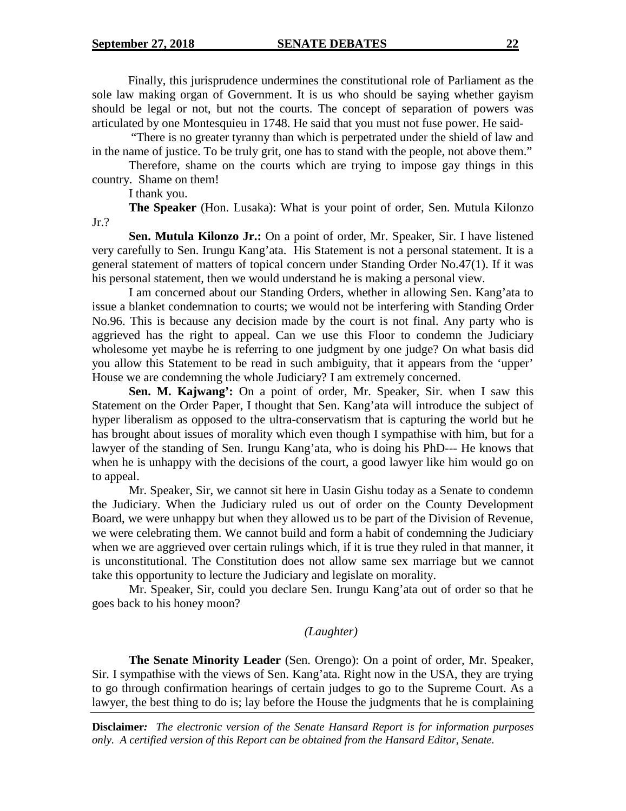Finally, this jurisprudence undermines the constitutional role of Parliament as the sole law making organ of Government. It is us who should be saying whether gayism should be legal or not, but not the courts. The concept of separation of powers was articulated by one Montesquieu in 1748. He said that you must not fuse power. He said-

"There is no greater tyranny than which is perpetrated under the shield of law and in the name of justice. To be truly grit, one has to stand with the people, not above them."

Therefore, shame on the courts which are trying to impose gay things in this country. Shame on them!

I thank you.

**The Speaker** (Hon. Lusaka): What is your point of order, Sen. Mutula Kilonzo Jr.?

**Sen. Mutula Kilonzo Jr.:** On a point of order, Mr. Speaker, Sir. I have listened very carefully to Sen. Irungu Kang'ata. His Statement is not a personal statement. It is a general statement of matters of topical concern under Standing Order No.47(1). If it was his personal statement, then we would understand he is making a personal view.

I am concerned about our Standing Orders, whether in allowing Sen. Kang'ata to issue a blanket condemnation to courts; we would not be interfering with Standing Order No.96. This is because any decision made by the court is not final. Any party who is aggrieved has the right to appeal. Can we use this Floor to condemn the Judiciary wholesome yet maybe he is referring to one judgment by one judge? On what basis did you allow this Statement to be read in such ambiguity, that it appears from the 'upper' House we are condemning the whole Judiciary? I am extremely concerned.

**Sen. M. Kajwang':** On a point of order, Mr. Speaker, Sir. when I saw this Statement on the Order Paper, I thought that Sen. Kang'ata will introduce the subject of hyper liberalism as opposed to the ultra-conservatism that is capturing the world but he has brought about issues of morality which even though I sympathise with him, but for a lawyer of the standing of Sen. Irungu Kang'ata, who is doing his PhD--- He knows that when he is unhappy with the decisions of the court, a good lawyer like him would go on to appeal.

Mr. Speaker, Sir, we cannot sit here in Uasin Gishu today as a Senate to condemn the Judiciary. When the Judiciary ruled us out of order on the County Development Board, we were unhappy but when they allowed us to be part of the Division of Revenue, we were celebrating them. We cannot build and form a habit of condemning the Judiciary when we are aggrieved over certain rulings which, if it is true they ruled in that manner, it is unconstitutional. The Constitution does not allow same sex marriage but we cannot take this opportunity to lecture the Judiciary and legislate on morality.

Mr. Speaker, Sir, could you declare Sen. Irungu Kang'ata out of order so that he goes back to his honey moon?

## *(Laughter)*

**The Senate Minority Leader** (Sen. Orengo): On a point of order, Mr. Speaker, Sir. I sympathise with the views of Sen. Kang'ata. Right now in the USA, they are trying to go through confirmation hearings of certain judges to go to the Supreme Court. As a lawyer, the best thing to do is; lay before the House the judgments that he is complaining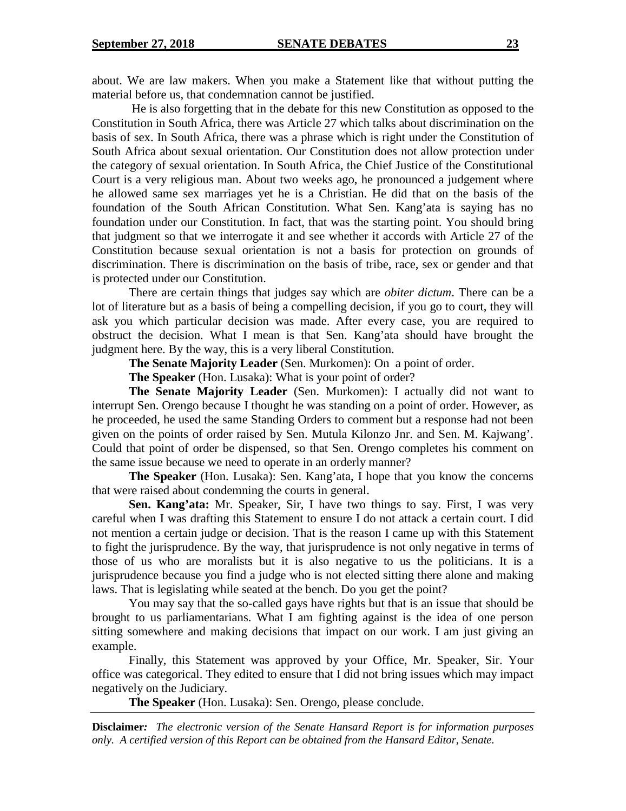about. We are law makers. When you make a Statement like that without putting the material before us, that condemnation cannot be justified.

He is also forgetting that in the debate for this new Constitution as opposed to the Constitution in South Africa, there was Article 27 which talks about discrimination on the basis of sex. In South Africa, there was a phrase which is right under the Constitution of South Africa about sexual orientation. Our Constitution does not allow protection under the category of sexual orientation. In South Africa, the Chief Justice of the Constitutional Court is a very religious man. About two weeks ago, he pronounced a judgement where he allowed same sex marriages yet he is a Christian. He did that on the basis of the foundation of the South African Constitution. What Sen. Kang'ata is saying has no foundation under our Constitution. In fact, that was the starting point. You should bring that judgment so that we interrogate it and see whether it accords with Article 27 of the Constitution because sexual orientation is not a basis for protection on grounds of discrimination. There is discrimination on the basis of tribe, race, sex or gender and that is protected under our Constitution.

There are certain things that judges say which are *obiter dictum*. There can be a lot of literature but as a basis of being a compelling decision, if you go to court, they will ask you which particular decision was made. After every case, you are required to obstruct the decision. What I mean is that Sen. Kang'ata should have brought the judgment here. By the way, this is a very liberal Constitution.

**The Senate Majority Leader** (Sen. Murkomen): On a point of order.

**The Speaker** (Hon. Lusaka): What is your point of order?

**The Senate Majority Leader** (Sen. Murkomen): I actually did not want to interrupt Sen. Orengo because I thought he was standing on a point of order. However, as he proceeded, he used the same Standing Orders to comment but a response had not been given on the points of order raised by Sen. Mutula Kilonzo Jnr. and Sen. M. Kajwang'. Could that point of order be dispensed, so that Sen. Orengo completes his comment on the same issue because we need to operate in an orderly manner?

**The Speaker** (Hon. Lusaka): Sen. Kang'ata, I hope that you know the concerns that were raised about condemning the courts in general.

**Sen. Kang'ata:** Mr. Speaker, Sir, I have two things to say. First, I was very careful when I was drafting this Statement to ensure I do not attack a certain court. I did not mention a certain judge or decision. That is the reason I came up with this Statement to fight the jurisprudence. By the way, that jurisprudence is not only negative in terms of those of us who are moralists but it is also negative to us the politicians. It is a jurisprudence because you find a judge who is not elected sitting there alone and making laws. That is legislating while seated at the bench. Do you get the point?

You may say that the so-called gays have rights but that is an issue that should be brought to us parliamentarians. What I am fighting against is the idea of one person sitting somewhere and making decisions that impact on our work. I am just giving an example.

Finally, this Statement was approved by your Office, Mr. Speaker, Sir. Your office was categorical. They edited to ensure that I did not bring issues which may impact negatively on the Judiciary.

**The Speaker** (Hon. Lusaka): Sen. Orengo, please conclude.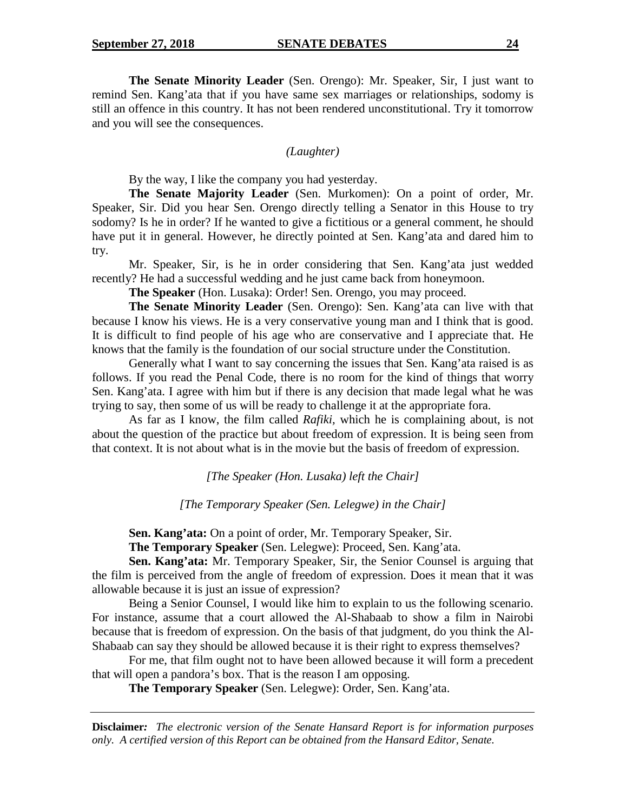**The Senate Minority Leader** (Sen. Orengo): Mr. Speaker, Sir, I just want to remind Sen. Kang'ata that if you have same sex marriages or relationships, sodomy is still an offence in this country. It has not been rendered unconstitutional. Try it tomorrow and you will see the consequences.

#### *(Laughter)*

By the way, I like the company you had yesterday.

**The Senate Majority Leader** (Sen. Murkomen): On a point of order, Mr. Speaker, Sir. Did you hear Sen. Orengo directly telling a Senator in this House to try sodomy? Is he in order? If he wanted to give a fictitious or a general comment, he should have put it in general. However, he directly pointed at Sen. Kang'ata and dared him to try.

Mr. Speaker, Sir, is he in order considering that Sen. Kang'ata just wedded recently? He had a successful wedding and he just came back from honeymoon.

**The Speaker** (Hon. Lusaka): Order! Sen. Orengo, you may proceed.

**The Senate Minority Leader** (Sen. Orengo): Sen. Kang'ata can live with that because I know his views. He is a very conservative young man and I think that is good. It is difficult to find people of his age who are conservative and I appreciate that. He knows that the family is the foundation of our social structure under the Constitution.

Generally what I want to say concerning the issues that Sen. Kang'ata raised is as follows. If you read the Penal Code, there is no room for the kind of things that worry Sen. Kang'ata. I agree with him but if there is any decision that made legal what he was trying to say, then some of us will be ready to challenge it at the appropriate fora.

As far as I know, the film called *Rafiki,* which he is complaining about, is not about the question of the practice but about freedom of expression. It is being seen from that context. It is not about what is in the movie but the basis of freedom of expression.

*[The Speaker (Hon. Lusaka) left the Chair]*

*[The Temporary Speaker (Sen. Lelegwe) in the Chair]*

**Sen. Kang'ata:** On a point of order, Mr. Temporary Speaker, Sir.

**The Temporary Speaker** (Sen. Lelegwe): Proceed, Sen. Kang'ata.

**Sen. Kang'ata:** Mr. Temporary Speaker, Sir, the Senior Counsel is arguing that the film is perceived from the angle of freedom of expression. Does it mean that it was allowable because it is just an issue of expression?

Being a Senior Counsel, I would like him to explain to us the following scenario. For instance, assume that a court allowed the Al-Shabaab to show a film in Nairobi because that is freedom of expression. On the basis of that judgment, do you think the Al-Shabaab can say they should be allowed because it is their right to express themselves?

For me, that film ought not to have been allowed because it will form a precedent that will open a pandora's box. That is the reason I am opposing.

**The Temporary Speaker** (Sen. Lelegwe): Order, Sen. Kang'ata.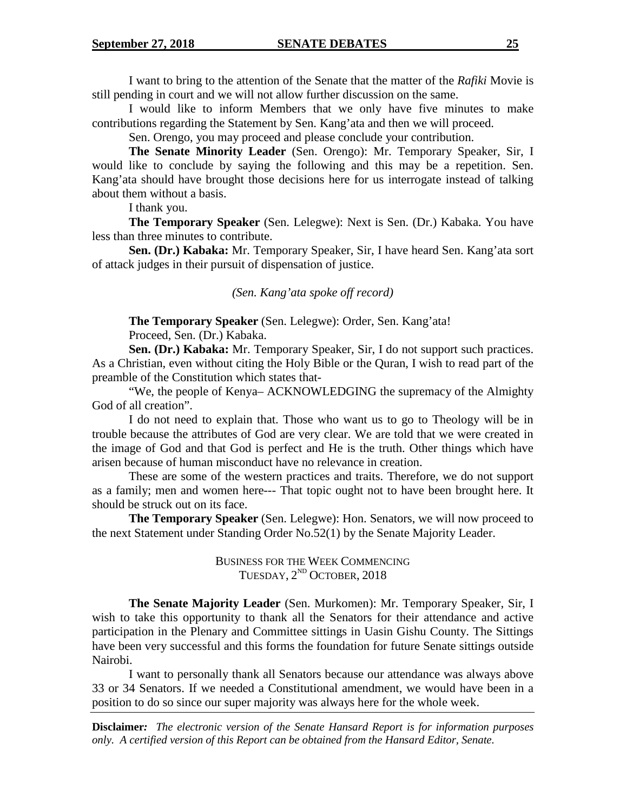I want to bring to the attention of the Senate that the matter of the *Rafiki* Movie is still pending in court and we will not allow further discussion on the same.

I would like to inform Members that we only have five minutes to make contributions regarding the Statement by Sen. Kang'ata and then we will proceed.

Sen. Orengo, you may proceed and please conclude your contribution.

**The Senate Minority Leader** (Sen. Orengo): Mr. Temporary Speaker, Sir, I would like to conclude by saying the following and this may be a repetition. Sen. Kang'ata should have brought those decisions here for us interrogate instead of talking about them without a basis.

I thank you.

**The Temporary Speaker** (Sen. Lelegwe): Next is Sen. (Dr.) Kabaka. You have less than three minutes to contribute.

**Sen. (Dr.) Kabaka:** Mr. Temporary Speaker, Sir, I have heard Sen. Kang'ata sort of attack judges in their pursuit of dispensation of justice.

*(Sen. Kang'ata spoke off record)*

**The Temporary Speaker** (Sen. Lelegwe): Order, Sen. Kang'ata! Proceed, Sen. (Dr.) Kabaka.

**Sen. (Dr.) Kabaka:** Mr. Temporary Speaker, Sir, I do not support such practices. As a Christian, even without citing the Holy Bible or the Quran, I wish to read part of the preamble of the Constitution which states that-

"We, the people of Kenya– ACKNOWLEDGING the supremacy of the Almighty God of all creation".

I do not need to explain that. Those who want us to go to Theology will be in trouble because the attributes of God are very clear. We are told that we were created in the image of God and that God is perfect and He is the truth. Other things which have arisen because of human misconduct have no relevance in creation.

These are some of the western practices and traits. Therefore, we do not support as a family; men and women here--- That topic ought not to have been brought here. It should be struck out on its face.

**The Temporary Speaker** (Sen. Lelegwe): Hon. Senators, we will now proceed to the next Statement under Standing Order No.52(1) by the Senate Majority Leader.

> BUSINESS FOR THE WEEK COMMENCING TUESDAY, 2<sup>ND</sup> OCTOBER, 2018

**The Senate Majority Leader** (Sen. Murkomen): Mr. Temporary Speaker, Sir, I wish to take this opportunity to thank all the Senators for their attendance and active participation in the Plenary and Committee sittings in Uasin Gishu County. The Sittings have been very successful and this forms the foundation for future Senate sittings outside Nairobi.

I want to personally thank all Senators because our attendance was always above 33 or 34 Senators. If we needed a Constitutional amendment, we would have been in a position to do so since our super majority was always here for the whole week.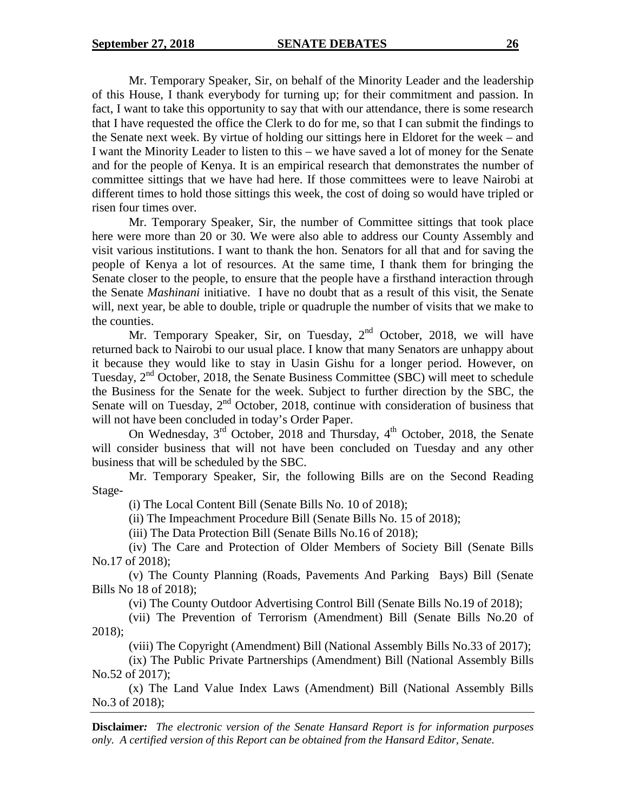Mr. Temporary Speaker, Sir, on behalf of the Minority Leader and the leadership of this House, I thank everybody for turning up; for their commitment and passion. In fact, I want to take this opportunity to say that with our attendance, there is some research that I have requested the office the Clerk to do for me, so that I can submit the findings to the Senate next week. By virtue of holding our sittings here in Eldoret for the week – and I want the Minority Leader to listen to this – we have saved a lot of money for the Senate and for the people of Kenya. It is an empirical research that demonstrates the number of committee sittings that we have had here. If those committees were to leave Nairobi at different times to hold those sittings this week, the cost of doing so would have tripled or risen four times over.

Mr. Temporary Speaker, Sir, the number of Committee sittings that took place here were more than 20 or 30. We were also able to address our County Assembly and visit various institutions. I want to thank the hon. Senators for all that and for saving the people of Kenya a lot of resources. At the same time, I thank them for bringing the Senate closer to the people, to ensure that the people have a firsthand interaction through the Senate *Mashinani* initiative. I have no doubt that as a result of this visit, the Senate will, next year, be able to double, triple or quadruple the number of visits that we make to the counties.

Mr. Temporary Speaker, Sir, on Tuesday,  $2<sup>nd</sup>$  October, 2018, we will have returned back to Nairobi to our usual place. I know that many Senators are unhappy about it because they would like to stay in Uasin Gishu for a longer period. However, on Tuesday, 2<sup>nd</sup> October, 2018, the Senate Business Committee (SBC) will meet to schedule the Business for the Senate for the week. Subject to further direction by the SBC, the Senate will on Tuesday, 2<sup>nd</sup> October, 2018, continue with consideration of business that will not have been concluded in today's Order Paper.

On Wednesday,  $3^{rd}$  October, 2018 and Thursday,  $4^{th}$  October, 2018, the Senate will consider business that will not have been concluded on Tuesday and any other business that will be scheduled by the SBC.

Mr. Temporary Speaker, Sir, the following Bills are on the Second Reading Stage-

(i) The Local Content Bill (Senate Bills No. 10 of 2018);

(ii) The Impeachment Procedure Bill (Senate Bills No. 15 of 2018);

(iii) The Data Protection Bill (Senate Bills No.16 of 2018);

(iv) The Care and Protection of Older Members of Society Bill (Senate Bills No.17 of 2018);

(v) The County Planning (Roads, Pavements And Parking Bays) Bill (Senate Bills No 18 of 2018);

(vi) The County Outdoor Advertising Control Bill (Senate Bills No.19 of 2018);

(vii) The Prevention of Terrorism (Amendment) Bill (Senate Bills No.20 of 2018);

(viii) The Copyright (Amendment) Bill (National Assembly Bills No.33 of 2017);

(ix) The Public Private Partnerships (Amendment) Bill (National Assembly Bills No.52 of 2017);

(x) The Land Value Index Laws (Amendment) Bill (National Assembly Bills No.3 of 2018);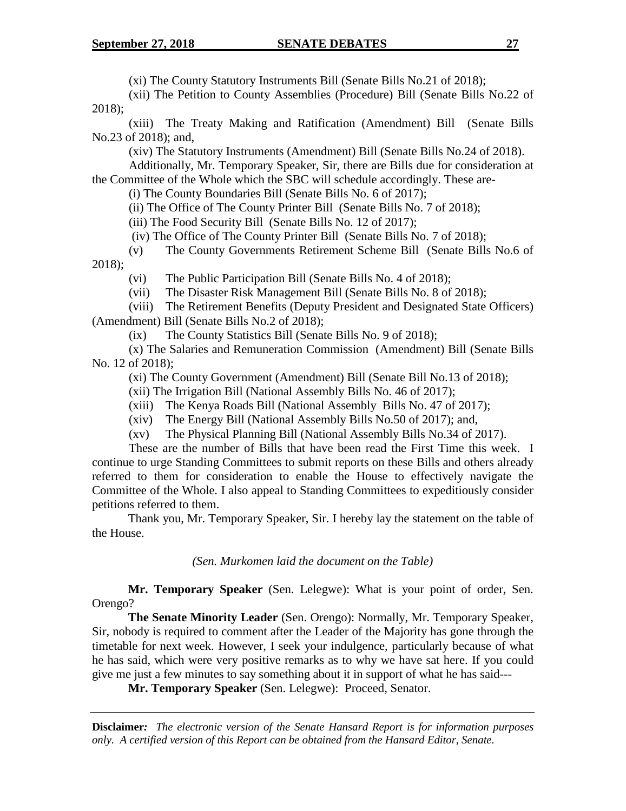(xi) The County Statutory Instruments Bill (Senate Bills No.21 of 2018);

(xii) The Petition to County Assemblies (Procedure) Bill (Senate Bills No.22 of 2018);

(xiii) The Treaty Making and Ratification (Amendment) Bill (Senate Bills No.23 of 2018); and,

(xiv) The Statutory Instruments (Amendment) Bill (Senate Bills No.24 of 2018).

Additionally, Mr. Temporary Speaker, Sir, there are Bills due for consideration at the Committee of the Whole which the SBC will schedule accordingly. These are-

(i) The County Boundaries Bill (Senate Bills No. 6 of 2017);

(ii) The Office of The County Printer Bill (Senate Bills No. 7 of 2018);

(iii) The Food Security Bill (Senate Bills No. 12 of 2017);

(iv) The Office of The County Printer Bill (Senate Bills No. 7 of 2018);

(v) The County Governments Retirement Scheme Bill (Senate Bills No.6 of 2018);

(vi) The Public Participation Bill (Senate Bills No. 4 of 2018);

(vii) The Disaster Risk Management Bill (Senate Bills No. 8 of 2018);

(viii) The Retirement Benefits (Deputy President and Designated State Officers) (Amendment) Bill (Senate Bills No.2 of 2018);

(ix) The County Statistics Bill (Senate Bills No. 9 of 2018);

(x) The Salaries and Remuneration Commission (Amendment) Bill (Senate Bills No. 12 of 2018);

(xi) The County Government (Amendment) Bill (Senate Bill No.13 of 2018);

(xii) The Irrigation Bill (National Assembly Bills No. 46 of 2017);

(xiii) The Kenya Roads Bill (National Assembly Bills No. 47 of 2017);

(xiv) The Energy Bill (National Assembly Bills No.50 of 2017); and,

(xv) The Physical Planning Bill (National Assembly Bills No.34 of 2017).

These are the number of Bills that have been read the First Time this week. I continue to urge Standing Committees to submit reports on these Bills and others already referred to them for consideration to enable the House to effectively navigate the Committee of the Whole. I also appeal to Standing Committees to expeditiously consider petitions referred to them.

Thank you, Mr. Temporary Speaker, Sir. I hereby lay the statement on the table of the House.

*(Sen. Murkomen laid the document on the Table)*

**Mr. Temporary Speaker** (Sen. Lelegwe): What is your point of order, Sen. Orengo?

**The Senate Minority Leader** (Sen. Orengo): Normally, Mr. Temporary Speaker, Sir, nobody is required to comment after the Leader of the Majority has gone through the timetable for next week. However, I seek your indulgence, particularly because of what he has said, which were very positive remarks as to why we have sat here. If you could give me just a few minutes to say something about it in support of what he has said---

**Mr. Temporary Speaker** (Sen. Lelegwe): Proceed, Senator.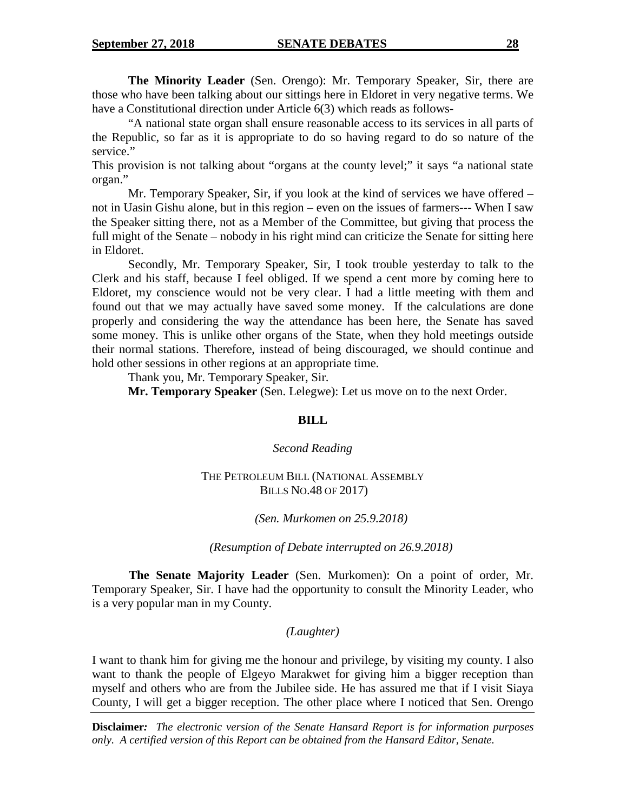**The Minority Leader** (Sen. Orengo): Mr. Temporary Speaker, Sir, there are those who have been talking about our sittings here in Eldoret in very negative terms. We have a Constitutional direction under Article 6(3) which reads as follows-

"A national state organ shall ensure reasonable access to its services in all parts of the Republic, so far as it is appropriate to do so having regard to do so nature of the service."

This provision is not talking about "organs at the county level;" it says "a national state organ."

Mr. Temporary Speaker, Sir, if you look at the kind of services we have offered – not in Uasin Gishu alone, but in this region – even on the issues of farmers--- When I saw the Speaker sitting there, not as a Member of the Committee, but giving that process the full might of the Senate – nobody in his right mind can criticize the Senate for sitting here in Eldoret.

Secondly, Mr. Temporary Speaker, Sir, I took trouble yesterday to talk to the Clerk and his staff, because I feel obliged. If we spend a cent more by coming here to Eldoret, my conscience would not be very clear. I had a little meeting with them and found out that we may actually have saved some money. If the calculations are done properly and considering the way the attendance has been here, the Senate has saved some money. This is unlike other organs of the State, when they hold meetings outside their normal stations. Therefore, instead of being discouraged, we should continue and hold other sessions in other regions at an appropriate time.

Thank you, Mr. Temporary Speaker, Sir.

**Mr. Temporary Speaker** (Sen. Lelegwe): Let us move on to the next Order.

## **BILL**

## *Second Reading*

## THE PETROLEUM BILL (NATIONAL ASSEMBLY BILLS NO.48 OF 2017)

*(Sen. Murkomen on 25.9.2018)*

*(Resumption of Debate interrupted on 26.9.2018)*

**The Senate Majority Leader** (Sen. Murkomen): On a point of order, Mr. Temporary Speaker, Sir. I have had the opportunity to consult the Minority Leader, who is a very popular man in my County.

## *(Laughter)*

I want to thank him for giving me the honour and privilege, by visiting my county. I also want to thank the people of Elgeyo Marakwet for giving him a bigger reception than myself and others who are from the Jubilee side. He has assured me that if I visit Siaya County, I will get a bigger reception. The other place where I noticed that Sen. Orengo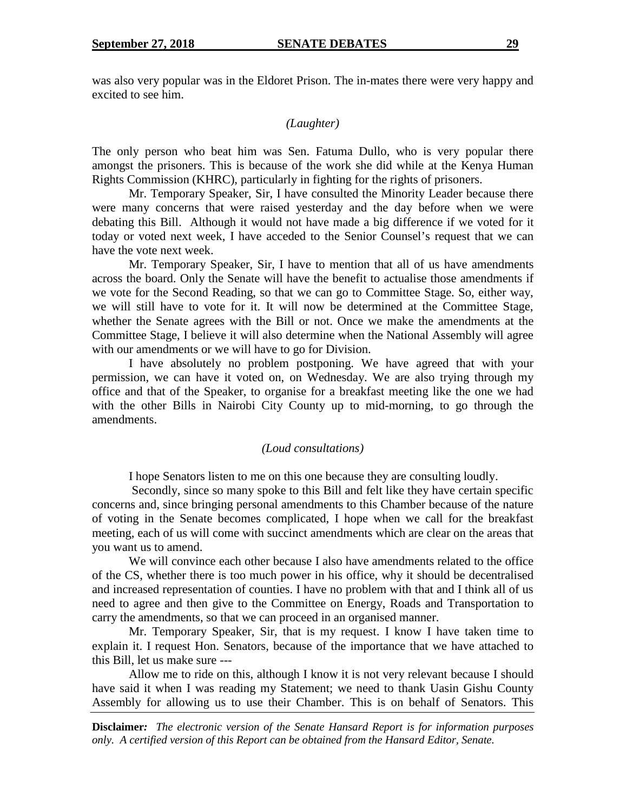was also very popular was in the Eldoret Prison. The in-mates there were very happy and excited to see him.

#### *(Laughter)*

The only person who beat him was Sen. Fatuma Dullo, who is very popular there amongst the prisoners. This is because of the work she did while at the Kenya Human Rights Commission (KHRC), particularly in fighting for the rights of prisoners.

Mr. Temporary Speaker, Sir, I have consulted the Minority Leader because there were many concerns that were raised yesterday and the day before when we were debating this Bill. Although it would not have made a big difference if we voted for it today or voted next week, I have acceded to the Senior Counsel's request that we can have the vote next week.

Mr. Temporary Speaker, Sir, I have to mention that all of us have amendments across the board. Only the Senate will have the benefit to actualise those amendments if we vote for the Second Reading, so that we can go to Committee Stage. So, either way, we will still have to vote for it. It will now be determined at the Committee Stage, whether the Senate agrees with the Bill or not. Once we make the amendments at the Committee Stage, I believe it will also determine when the National Assembly will agree with our amendments or we will have to go for Division.

I have absolutely no problem postponing. We have agreed that with your permission, we can have it voted on, on Wednesday. We are also trying through my office and that of the Speaker, to organise for a breakfast meeting like the one we had with the other Bills in Nairobi City County up to mid-morning, to go through the amendments.

#### *(Loud consultations)*

I hope Senators listen to me on this one because they are consulting loudly.

Secondly, since so many spoke to this Bill and felt like they have certain specific concerns and, since bringing personal amendments to this Chamber because of the nature of voting in the Senate becomes complicated, I hope when we call for the breakfast meeting, each of us will come with succinct amendments which are clear on the areas that you want us to amend.

We will convince each other because I also have amendments related to the office of the CS, whether there is too much power in his office, why it should be decentralised and increased representation of counties. I have no problem with that and I think all of us need to agree and then give to the Committee on Energy, Roads and Transportation to carry the amendments, so that we can proceed in an organised manner.

Mr. Temporary Speaker, Sir, that is my request. I know I have taken time to explain it. I request Hon. Senators, because of the importance that we have attached to this Bill, let us make sure ---

Allow me to ride on this, although I know it is not very relevant because I should have said it when I was reading my Statement; we need to thank Uasin Gishu County Assembly for allowing us to use their Chamber. This is on behalf of Senators. This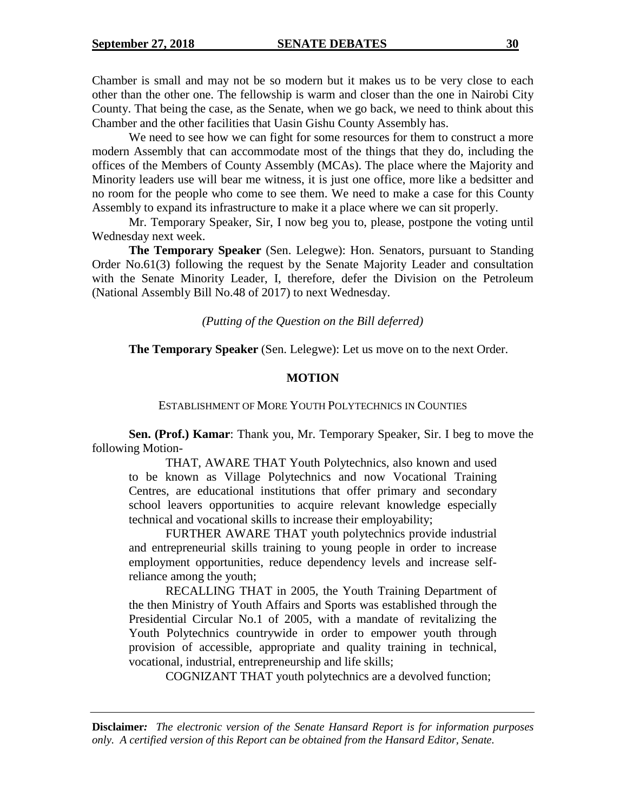Chamber is small and may not be so modern but it makes us to be very close to each other than the other one. The fellowship is warm and closer than the one in Nairobi City County. That being the case, as the Senate, when we go back, we need to think about this Chamber and the other facilities that Uasin Gishu County Assembly has.

We need to see how we can fight for some resources for them to construct a more modern Assembly that can accommodate most of the things that they do, including the offices of the Members of County Assembly (MCAs). The place where the Majority and Minority leaders use will bear me witness, it is just one office, more like a bedsitter and no room for the people who come to see them. We need to make a case for this County Assembly to expand its infrastructure to make it a place where we can sit properly.

Mr. Temporary Speaker, Sir, I now beg you to, please, postpone the voting until Wednesday next week.

**The Temporary Speaker** (Sen. Lelegwe): Hon. Senators, pursuant to Standing Order No.61(3) following the request by the Senate Majority Leader and consultation with the Senate Minority Leader, I, therefore, defer the Division on the Petroleum (National Assembly Bill No.48 of 2017) to next Wednesday.

*(Putting of the Question on the Bill deferred)*

**The Temporary Speaker** (Sen. Lelegwe): Let us move on to the next Order.

## **MOTION**

ESTABLISHMENT OF MORE YOUTH POLYTECHNICS IN COUNTIES

**Sen. (Prof.) Kamar**: Thank you, Mr. Temporary Speaker, Sir. I beg to move the following Motion-

THAT, AWARE THAT Youth Polytechnics, also known and used to be known as Village Polytechnics and now Vocational Training Centres, are educational institutions that offer primary and secondary school leavers opportunities to acquire relevant knowledge especially technical and vocational skills to increase their employability;

FURTHER AWARE THAT youth polytechnics provide industrial and entrepreneurial skills training to young people in order to increase employment opportunities, reduce dependency levels and increase selfreliance among the youth;

RECALLING THAT in 2005, the Youth Training Department of the then Ministry of Youth Affairs and Sports was established through the Presidential Circular No.1 of 2005, with a mandate of revitalizing the Youth Polytechnics countrywide in order to empower youth through provision of accessible, appropriate and quality training in technical, vocational, industrial, entrepreneurship and life skills;

COGNIZANT THAT youth polytechnics are a devolved function;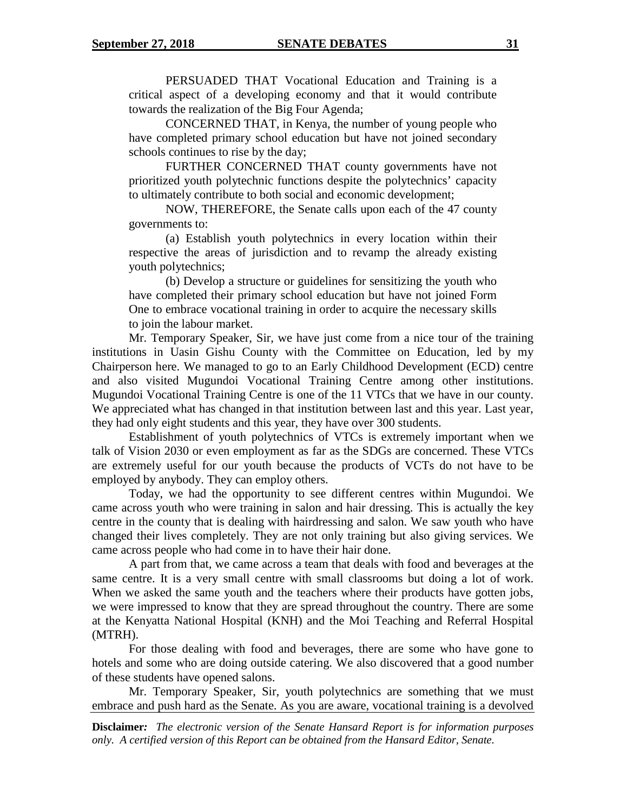PERSUADED THAT Vocational Education and Training is a critical aspect of a developing economy and that it would contribute towards the realization of the Big Four Agenda;

CONCERNED THAT, in Kenya, the number of young people who have completed primary school education but have not joined secondary schools continues to rise by the day;

FURTHER CONCERNED THAT county governments have not prioritized youth polytechnic functions despite the polytechnics' capacity to ultimately contribute to both social and economic development;

NOW, THEREFORE, the Senate calls upon each of the 47 county governments to:

(a) Establish youth polytechnics in every location within their respective the areas of jurisdiction and to revamp the already existing youth polytechnics;

(b) Develop a structure or guidelines for sensitizing the youth who have completed their primary school education but have not joined Form One to embrace vocational training in order to acquire the necessary skills to join the labour market.

Mr. Temporary Speaker, Sir, we have just come from a nice tour of the training institutions in Uasin Gishu County with the Committee on Education, led by my Chairperson here. We managed to go to an Early Childhood Development (ECD) centre and also visited Mugundoi Vocational Training Centre among other institutions. Mugundoi Vocational Training Centre is one of the 11 VTCs that we have in our county. We appreciated what has changed in that institution between last and this year. Last year, they had only eight students and this year, they have over 300 students.

Establishment of youth polytechnics of VTCs is extremely important when we talk of Vision 2030 or even employment as far as the SDGs are concerned. These VTCs are extremely useful for our youth because the products of VCTs do not have to be employed by anybody. They can employ others.

Today, we had the opportunity to see different centres within Mugundoi. We came across youth who were training in salon and hair dressing. This is actually the key centre in the county that is dealing with hairdressing and salon. We saw youth who have changed their lives completely. They are not only training but also giving services. We came across people who had come in to have their hair done.

A part from that, we came across a team that deals with food and beverages at the same centre. It is a very small centre with small classrooms but doing a lot of work. When we asked the same youth and the teachers where their products have gotten jobs, we were impressed to know that they are spread throughout the country. There are some at the Kenyatta National Hospital (KNH) and the Moi Teaching and Referral Hospital (MTRH).

For those dealing with food and beverages, there are some who have gone to hotels and some who are doing outside catering. We also discovered that a good number of these students have opened salons.

Mr. Temporary Speaker, Sir, youth polytechnics are something that we must embrace and push hard as the Senate. As you are aware, vocational training is a devolved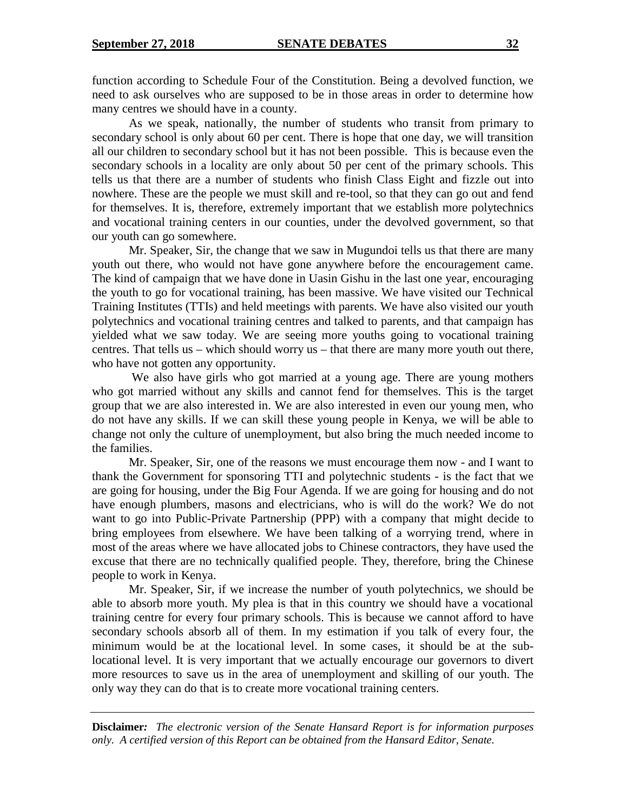function according to Schedule Four of the Constitution. Being a devolved function, we need to ask ourselves who are supposed to be in those areas in order to determine how many centres we should have in a county.

As we speak, nationally, the number of students who transit from primary to secondary school is only about 60 per cent. There is hope that one day, we will transition all our children to secondary school but it has not been possible. This is because even the secondary schools in a locality are only about 50 per cent of the primary schools. This tells us that there are a number of students who finish Class Eight and fizzle out into nowhere. These are the people we must skill and re-tool, so that they can go out and fend for themselves. It is, therefore, extremely important that we establish more polytechnics and vocational training centers in our counties, under the devolved government, so that our youth can go somewhere.

Mr. Speaker, Sir, the change that we saw in Mugundoi tells us that there are many youth out there, who would not have gone anywhere before the encouragement came. The kind of campaign that we have done in Uasin Gishu in the last one year, encouraging the youth to go for vocational training, has been massive. We have visited our Technical Training Institutes (TTIs) and held meetings with parents. We have also visited our youth polytechnics and vocational training centres and talked to parents, and that campaign has yielded what we saw today. We are seeing more youths going to vocational training centres. That tells us – which should worry us – that there are many more youth out there, who have not gotten any opportunity.

We also have girls who got married at a young age. There are young mothers who got married without any skills and cannot fend for themselves. This is the target group that we are also interested in. We are also interested in even our young men, who do not have any skills. If we can skill these young people in Kenya, we will be able to change not only the culture of unemployment, but also bring the much needed income to the families.

Mr. Speaker, Sir, one of the reasons we must encourage them now - and I want to thank the Government for sponsoring TTI and polytechnic students - is the fact that we are going for housing, under the Big Four Agenda. If we are going for housing and do not have enough plumbers, masons and electricians, who is will do the work? We do not want to go into Public-Private Partnership (PPP) with a company that might decide to bring employees from elsewhere. We have been talking of a worrying trend, where in most of the areas where we have allocated jobs to Chinese contractors, they have used the excuse that there are no technically qualified people. They, therefore, bring the Chinese people to work in Kenya.

Mr. Speaker, Sir, if we increase the number of youth polytechnics, we should be able to absorb more youth. My plea is that in this country we should have a vocational training centre for every four primary schools. This is because we cannot afford to have secondary schools absorb all of them. In my estimation if you talk of every four, the minimum would be at the locational level. In some cases, it should be at the sublocational level. It is very important that we actually encourage our governors to divert more resources to save us in the area of unemployment and skilling of our youth. The only way they can do that is to create more vocational training centers.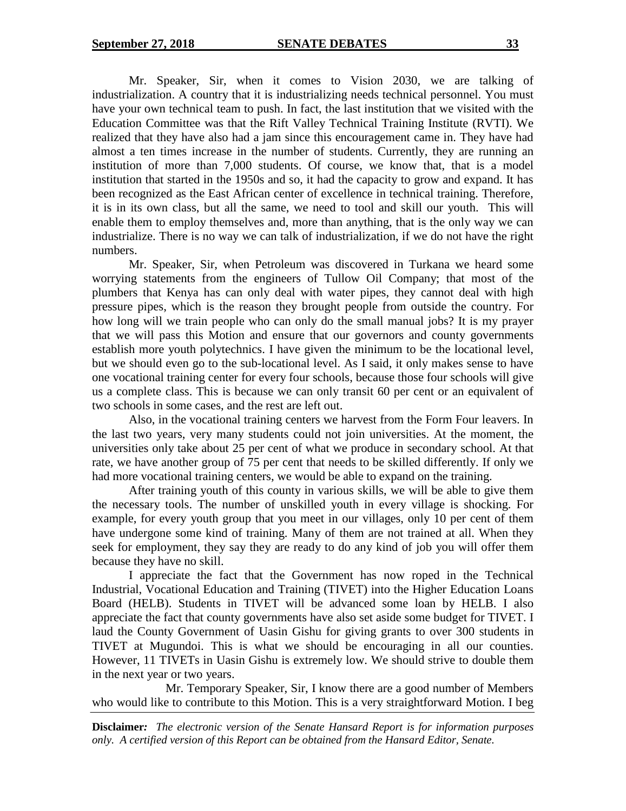Mr. Speaker, Sir, when it comes to Vision 2030, we are talking of industrialization. A country that it is industrializing needs technical personnel. You must have your own technical team to push. In fact, the last institution that we visited with the Education Committee was that the Rift Valley Technical Training Institute (RVTI). We realized that they have also had a jam since this encouragement came in. They have had almost a ten times increase in the number of students. Currently, they are running an institution of more than 7,000 students. Of course, we know that, that is a model institution that started in the 1950s and so, it had the capacity to grow and expand. It has been recognized as the East African center of excellence in technical training. Therefore, it is in its own class, but all the same, we need to tool and skill our youth. This will enable them to employ themselves and, more than anything, that is the only way we can industrialize. There is no way we can talk of industrialization, if we do not have the right numbers.

Mr. Speaker, Sir, when Petroleum was discovered in Turkana we heard some worrying statements from the engineers of Tullow Oil Company; that most of the plumbers that Kenya has can only deal with water pipes, they cannot deal with high pressure pipes, which is the reason they brought people from outside the country. For how long will we train people who can only do the small manual jobs? It is my prayer that we will pass this Motion and ensure that our governors and county governments establish more youth polytechnics. I have given the minimum to be the locational level, but we should even go to the sub-locational level. As I said, it only makes sense to have one vocational training center for every four schools, because those four schools will give us a complete class. This is because we can only transit 60 per cent or an equivalent of two schools in some cases, and the rest are left out.

Also, in the vocational training centers we harvest from the Form Four leavers. In the last two years, very many students could not join universities. At the moment, the universities only take about 25 per cent of what we produce in secondary school. At that rate, we have another group of 75 per cent that needs to be skilled differently. If only we had more vocational training centers, we would be able to expand on the training.

After training youth of this county in various skills, we will be able to give them the necessary tools. The number of unskilled youth in every village is shocking. For example, for every youth group that you meet in our villages, only 10 per cent of them have undergone some kind of training. Many of them are not trained at all. When they seek for employment, they say they are ready to do any kind of job you will offer them because they have no skill.

I appreciate the fact that the Government has now roped in the Technical Industrial, Vocational Education and Training (TIVET) into the Higher Education Loans Board (HELB). Students in TIVET will be advanced some loan by HELB. I also appreciate the fact that county governments have also set aside some budget for TIVET. I laud the County Government of Uasin Gishu for giving grants to over 300 students in TIVET at Mugundoi. This is what we should be encouraging in all our counties. However, 11 TIVETs in Uasin Gishu is extremely low. We should strive to double them in the next year or two years.

Mr. Temporary Speaker, Sir, I know there are a good number of Members who would like to contribute to this Motion. This is a very straightforward Motion. I beg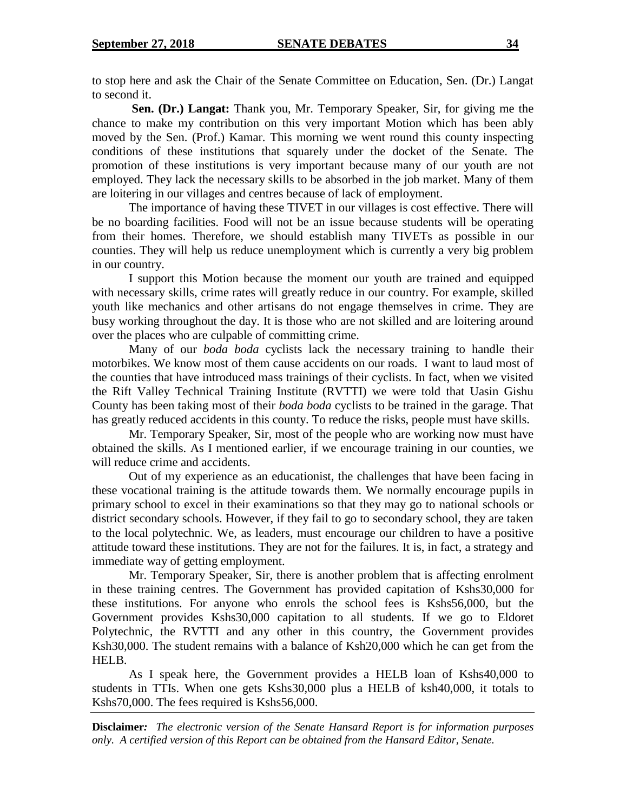to stop here and ask the Chair of the Senate Committee on Education, Sen. (Dr.) Langat to second it.

**Sen. (Dr.) Langat:** Thank you, Mr. Temporary Speaker, Sir, for giving me the chance to make my contribution on this very important Motion which has been ably moved by the Sen. (Prof.) Kamar. This morning we went round this county inspecting conditions of these institutions that squarely under the docket of the Senate. The promotion of these institutions is very important because many of our youth are not employed. They lack the necessary skills to be absorbed in the job market. Many of them are loitering in our villages and centres because of lack of employment.

The importance of having these TIVET in our villages is cost effective. There will be no boarding facilities. Food will not be an issue because students will be operating from their homes. Therefore, we should establish many TIVETs as possible in our counties. They will help us reduce unemployment which is currently a very big problem in our country.

I support this Motion because the moment our youth are trained and equipped with necessary skills, crime rates will greatly reduce in our country. For example, skilled youth like mechanics and other artisans do not engage themselves in crime. They are busy working throughout the day. It is those who are not skilled and are loitering around over the places who are culpable of committing crime.

Many of our *boda boda* cyclists lack the necessary training to handle their motorbikes. We know most of them cause accidents on our roads. I want to laud most of the counties that have introduced mass trainings of their cyclists. In fact, when we visited the Rift Valley Technical Training Institute (RVTTI) we were told that Uasin Gishu County has been taking most of their *boda boda* cyclists to be trained in the garage. That has greatly reduced accidents in this county. To reduce the risks, people must have skills.

Mr. Temporary Speaker, Sir, most of the people who are working now must have obtained the skills. As I mentioned earlier, if we encourage training in our counties, we will reduce crime and accidents.

Out of my experience as an educationist, the challenges that have been facing in these vocational training is the attitude towards them. We normally encourage pupils in primary school to excel in their examinations so that they may go to national schools or district secondary schools. However, if they fail to go to secondary school, they are taken to the local polytechnic. We, as leaders, must encourage our children to have a positive attitude toward these institutions. They are not for the failures. It is, in fact, a strategy and immediate way of getting employment.

Mr. Temporary Speaker, Sir, there is another problem that is affecting enrolment in these training centres. The Government has provided capitation of Kshs30,000 for these institutions. For anyone who enrols the school fees is Kshs56,000, but the Government provides Kshs30,000 capitation to all students. If we go to Eldoret Polytechnic, the RVTTI and any other in this country, the Government provides Ksh30,000. The student remains with a balance of Ksh20,000 which he can get from the HELB.

As I speak here, the Government provides a HELB loan of Kshs40,000 to students in TTIs. When one gets Kshs30,000 plus a HELB of ksh40,000, it totals to Kshs70,000. The fees required is Kshs56,000.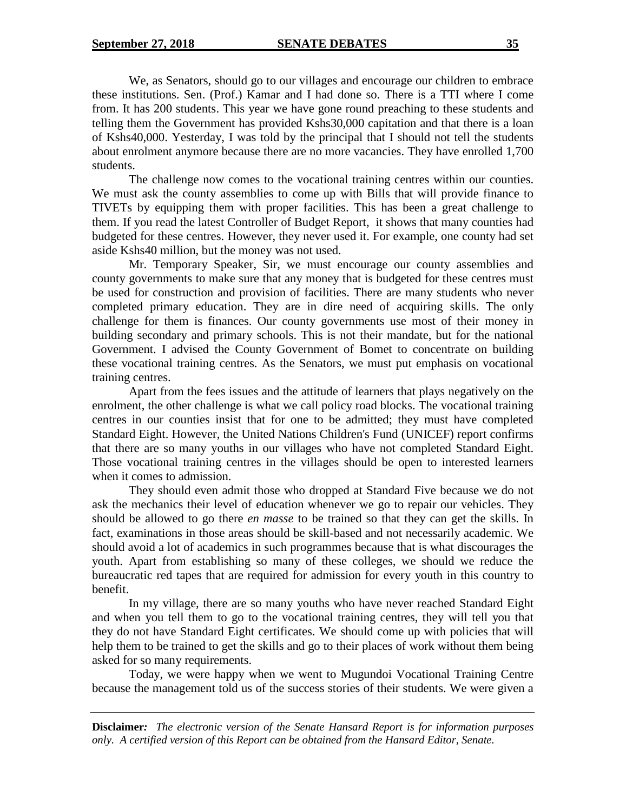We, as Senators, should go to our villages and encourage our children to embrace these institutions. Sen. (Prof.) Kamar and I had done so. There is a TTI where I come from. It has 200 students. This year we have gone round preaching to these students and telling them the Government has provided Kshs30,000 capitation and that there is a loan of Kshs40,000. Yesterday, I was told by the principal that I should not tell the students about enrolment anymore because there are no more vacancies. They have enrolled 1,700 students.

The challenge now comes to the vocational training centres within our counties. We must ask the county assemblies to come up with Bills that will provide finance to TIVETs by equipping them with proper facilities. This has been a great challenge to them. If you read the latest Controller of Budget Report, it shows that many counties had budgeted for these centres. However, they never used it. For example, one county had set aside Kshs40 million, but the money was not used.

Mr. Temporary Speaker, Sir, we must encourage our county assemblies and county governments to make sure that any money that is budgeted for these centres must be used for construction and provision of facilities. There are many students who never completed primary education. They are in dire need of acquiring skills. The only challenge for them is finances. Our county governments use most of their money in building secondary and primary schools. This is not their mandate, but for the national Government. I advised the County Government of Bomet to concentrate on building these vocational training centres. As the Senators, we must put emphasis on vocational training centres.

Apart from the fees issues and the attitude of learners that plays negatively on the enrolment, the other challenge is what we call policy road blocks. The vocational training centres in our counties insist that for one to be admitted; they must have completed Standard Eight. However, the United Nations Children's Fund (UNICEF) report confirms that there are so many youths in our villages who have not completed Standard Eight. Those vocational training centres in the villages should be open to interested learners when it comes to admission.

They should even admit those who dropped at Standard Five because we do not ask the mechanics their level of education whenever we go to repair our vehicles. They should be allowed to go there *en masse* to be trained so that they can get the skills. In fact, examinations in those areas should be skill-based and not necessarily academic. We should avoid a lot of academics in such programmes because that is what discourages the youth. Apart from establishing so many of these colleges, we should we reduce the bureaucratic red tapes that are required for admission for every youth in this country to benefit.

In my village, there are so many youths who have never reached Standard Eight and when you tell them to go to the vocational training centres, they will tell you that they do not have Standard Eight certificates. We should come up with policies that will help them to be trained to get the skills and go to their places of work without them being asked for so many requirements.

Today, we were happy when we went to Mugundoi Vocational Training Centre because the management told us of the success stories of their students. We were given a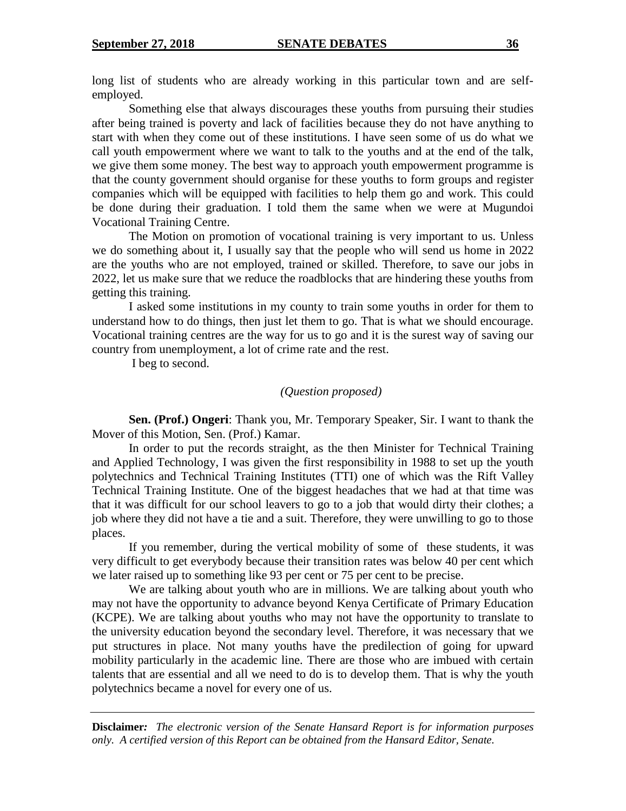long list of students who are already working in this particular town and are selfemployed.

Something else that always discourages these youths from pursuing their studies after being trained is poverty and lack of facilities because they do not have anything to start with when they come out of these institutions. I have seen some of us do what we call youth empowerment where we want to talk to the youths and at the end of the talk, we give them some money. The best way to approach youth empowerment programme is that the county government should organise for these youths to form groups and register companies which will be equipped with facilities to help them go and work. This could be done during their graduation. I told them the same when we were at Mugundoi Vocational Training Centre.

The Motion on promotion of vocational training is very important to us. Unless we do something about it, I usually say that the people who will send us home in 2022 are the youths who are not employed, trained or skilled. Therefore, to save our jobs in 2022, let us make sure that we reduce the roadblocks that are hindering these youths from getting this training.

I asked some institutions in my county to train some youths in order for them to understand how to do things, then just let them to go. That is what we should encourage. Vocational training centres are the way for us to go and it is the surest way of saving our country from unemployment, a lot of crime rate and the rest.

I beg to second.

#### *(Question proposed)*

**Sen. (Prof.) Ongeri**: Thank you, Mr. Temporary Speaker, Sir. I want to thank the Mover of this Motion, Sen. (Prof.) Kamar.

In order to put the records straight, as the then Minister for Technical Training and Applied Technology, I was given the first responsibility in 1988 to set up the youth polytechnics and Technical Training Institutes (TTI) one of which was the Rift Valley Technical Training Institute. One of the biggest headaches that we had at that time was that it was difficult for our school leavers to go to a job that would dirty their clothes; a job where they did not have a tie and a suit. Therefore, they were unwilling to go to those places.

If you remember, during the vertical mobility of some of these students, it was very difficult to get everybody because their transition rates was below 40 per cent which we later raised up to something like 93 per cent or 75 per cent to be precise.

We are talking about youth who are in millions. We are talking about youth who may not have the opportunity to advance beyond Kenya Certificate of Primary Education (KCPE). We are talking about youths who may not have the opportunity to translate to the university education beyond the secondary level. Therefore, it was necessary that we put structures in place. Not many youths have the predilection of going for upward mobility particularly in the academic line. There are those who are imbued with certain talents that are essential and all we need to do is to develop them. That is why the youth polytechnics became a novel for every one of us.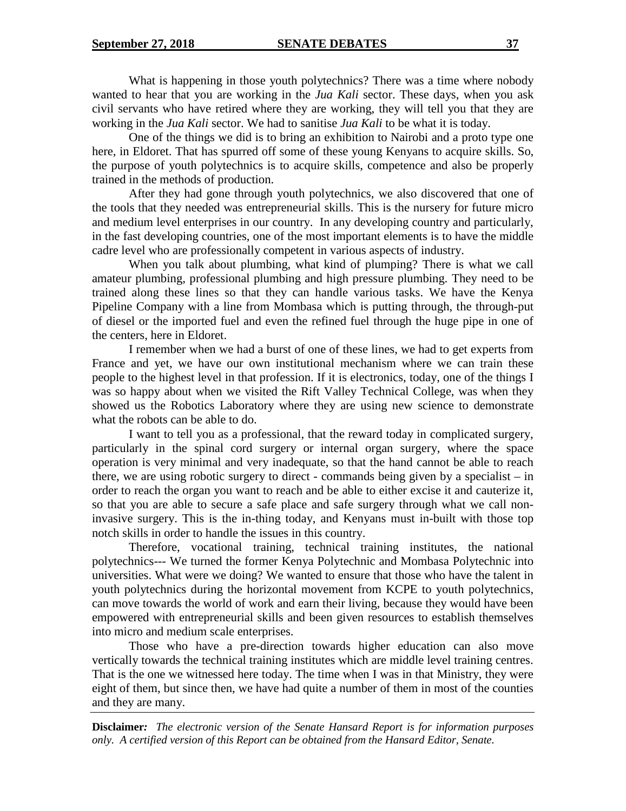What is happening in those youth polytechnics? There was a time where nobody wanted to hear that you are working in the *Jua Kali* sector. These days, when you ask civil servants who have retired where they are working, they will tell you that they are working in the *Jua Kali* sector. We had to sanitise *Jua Kali* to be what it is today.

One of the things we did is to bring an exhibition to Nairobi and a proto type one here, in Eldoret. That has spurred off some of these young Kenyans to acquire skills. So, the purpose of youth polytechnics is to acquire skills, competence and also be properly trained in the methods of production.

After they had gone through youth polytechnics, we also discovered that one of the tools that they needed was entrepreneurial skills. This is the nursery for future micro and medium level enterprises in our country. In any developing country and particularly, in the fast developing countries, one of the most important elements is to have the middle cadre level who are professionally competent in various aspects of industry.

When you talk about plumbing, what kind of plumping? There is what we call amateur plumbing, professional plumbing and high pressure plumbing. They need to be trained along these lines so that they can handle various tasks. We have the Kenya Pipeline Company with a line from Mombasa which is putting through, the through-put of diesel or the imported fuel and even the refined fuel through the huge pipe in one of the centers, here in Eldoret.

I remember when we had a burst of one of these lines, we had to get experts from France and yet, we have our own institutional mechanism where we can train these people to the highest level in that profession. If it is electronics, today, one of the things I was so happy about when we visited the Rift Valley Technical College, was when they showed us the Robotics Laboratory where they are using new science to demonstrate what the robots can be able to do.

I want to tell you as a professional, that the reward today in complicated surgery, particularly in the spinal cord surgery or internal organ surgery, where the space operation is very minimal and very inadequate, so that the hand cannot be able to reach there, we are using robotic surgery to direct - commands being given by a specialist – in order to reach the organ you want to reach and be able to either excise it and cauterize it, so that you are able to secure a safe place and safe surgery through what we call noninvasive surgery. This is the in-thing today, and Kenyans must in-built with those top notch skills in order to handle the issues in this country.

Therefore, vocational training, technical training institutes, the national polytechnics--- We turned the former Kenya Polytechnic and Mombasa Polytechnic into universities. What were we doing? We wanted to ensure that those who have the talent in youth polytechnics during the horizontal movement from KCPE to youth polytechnics, can move towards the world of work and earn their living, because they would have been empowered with entrepreneurial skills and been given resources to establish themselves into micro and medium scale enterprises.

Those who have a pre-direction towards higher education can also move vertically towards the technical training institutes which are middle level training centres. That is the one we witnessed here today. The time when I was in that Ministry, they were eight of them, but since then, we have had quite a number of them in most of the counties and they are many.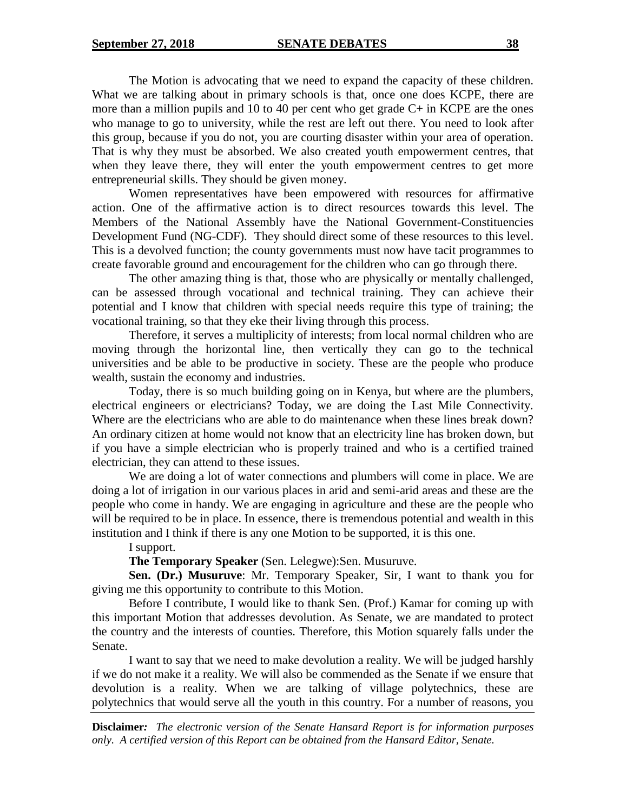The Motion is advocating that we need to expand the capacity of these children. What we are talking about in primary schools is that, once one does KCPE, there are more than a million pupils and 10 to 40 per cent who get grade C+ in KCPE are the ones who manage to go to university, while the rest are left out there. You need to look after this group, because if you do not, you are courting disaster within your area of operation. That is why they must be absorbed. We also created youth empowerment centres, that when they leave there, they will enter the youth empowerment centres to get more entrepreneurial skills. They should be given money.

Women representatives have been empowered with resources for affirmative action. One of the affirmative action is to direct resources towards this level. The Members of the National Assembly have the National Government-Constituencies Development Fund (NG-CDF). They should direct some of these resources to this level. This is a devolved function; the county governments must now have tacit programmes to create favorable ground and encouragement for the children who can go through there.

The other amazing thing is that, those who are physically or mentally challenged, can be assessed through vocational and technical training. They can achieve their potential and I know that children with special needs require this type of training; the vocational training, so that they eke their living through this process.

Therefore, it serves a multiplicity of interests; from local normal children who are moving through the horizontal line, then vertically they can go to the technical universities and be able to be productive in society. These are the people who produce wealth, sustain the economy and industries.

Today, there is so much building going on in Kenya, but where are the plumbers, electrical engineers or electricians? Today, we are doing the Last Mile Connectivity. Where are the electricians who are able to do maintenance when these lines break down? An ordinary citizen at home would not know that an electricity line has broken down, but if you have a simple electrician who is properly trained and who is a certified trained electrician, they can attend to these issues.

We are doing a lot of water connections and plumbers will come in place. We are doing a lot of irrigation in our various places in arid and semi-arid areas and these are the people who come in handy. We are engaging in agriculture and these are the people who will be required to be in place. In essence, there is tremendous potential and wealth in this institution and I think if there is any one Motion to be supported, it is this one.

I support.

**The Temporary Speaker** (Sen. Lelegwe):Sen. Musuruve.

**Sen. (Dr.) Musuruve**: Mr. Temporary Speaker, Sir, I want to thank you for giving me this opportunity to contribute to this Motion.

Before I contribute, I would like to thank Sen. (Prof.) Kamar for coming up with this important Motion that addresses devolution. As Senate, we are mandated to protect the country and the interests of counties. Therefore, this Motion squarely falls under the Senate.

I want to say that we need to make devolution a reality. We will be judged harshly if we do not make it a reality. We will also be commended as the Senate if we ensure that devolution is a reality. When we are talking of village polytechnics, these are polytechnics that would serve all the youth in this country. For a number of reasons, you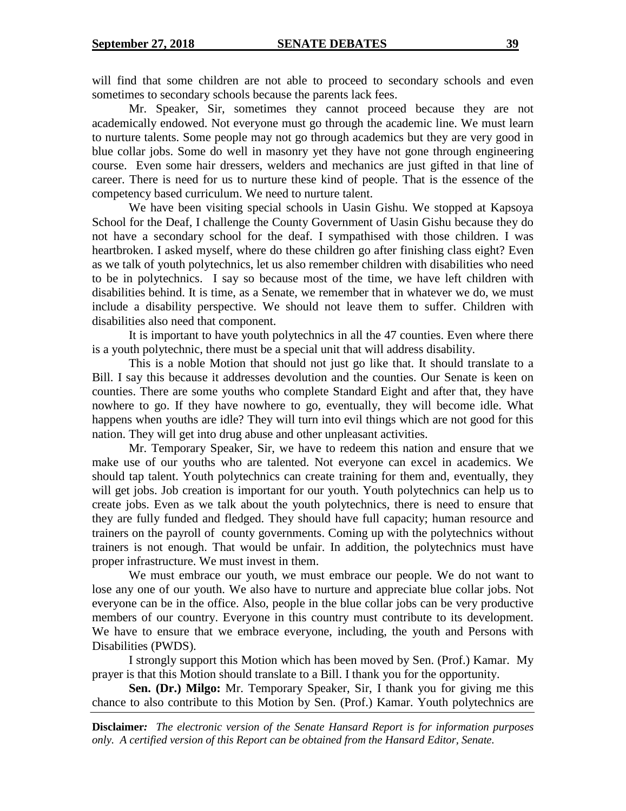will find that some children are not able to proceed to secondary schools and even sometimes to secondary schools because the parents lack fees.

Mr. Speaker, Sir, sometimes they cannot proceed because they are not academically endowed. Not everyone must go through the academic line. We must learn to nurture talents. Some people may not go through academics but they are very good in blue collar jobs. Some do well in masonry yet they have not gone through engineering course. Even some hair dressers, welders and mechanics are just gifted in that line of career. There is need for us to nurture these kind of people. That is the essence of the competency based curriculum. We need to nurture talent.

We have been visiting special schools in Uasin Gishu. We stopped at Kapsoya School for the Deaf, I challenge the County Government of Uasin Gishu because they do not have a secondary school for the deaf. I sympathised with those children. I was heartbroken. I asked myself, where do these children go after finishing class eight? Even as we talk of youth polytechnics, let us also remember children with disabilities who need to be in polytechnics. I say so because most of the time, we have left children with disabilities behind. It is time, as a Senate, we remember that in whatever we do, we must include a disability perspective. We should not leave them to suffer. Children with disabilities also need that component.

It is important to have youth polytechnics in all the 47 counties. Even where there is a youth polytechnic, there must be a special unit that will address disability.

This is a noble Motion that should not just go like that. It should translate to a Bill. I say this because it addresses devolution and the counties. Our Senate is keen on counties. There are some youths who complete Standard Eight and after that, they have nowhere to go. If they have nowhere to go, eventually, they will become idle. What happens when youths are idle? They will turn into evil things which are not good for this nation. They will get into drug abuse and other unpleasant activities.

Mr. Temporary Speaker, Sir, we have to redeem this nation and ensure that we make use of our youths who are talented. Not everyone can excel in academics. We should tap talent. Youth polytechnics can create training for them and, eventually, they will get jobs. Job creation is important for our youth. Youth polytechnics can help us to create jobs. Even as we talk about the youth polytechnics, there is need to ensure that they are fully funded and fledged. They should have full capacity; human resource and trainers on the payroll of county governments. Coming up with the polytechnics without trainers is not enough. That would be unfair. In addition, the polytechnics must have proper infrastructure. We must invest in them.

We must embrace our youth, we must embrace our people. We do not want to lose any one of our youth. We also have to nurture and appreciate blue collar jobs. Not everyone can be in the office. Also, people in the blue collar jobs can be very productive members of our country. Everyone in this country must contribute to its development. We have to ensure that we embrace everyone, including, the youth and Persons with Disabilities (PWDS).

I strongly support this Motion which has been moved by Sen. (Prof.) Kamar. My prayer is that this Motion should translate to a Bill. I thank you for the opportunity.

**Sen. (Dr.) Milgo:** Mr. Temporary Speaker, Sir, I thank you for giving me this chance to also contribute to this Motion by Sen. (Prof.) Kamar. Youth polytechnics are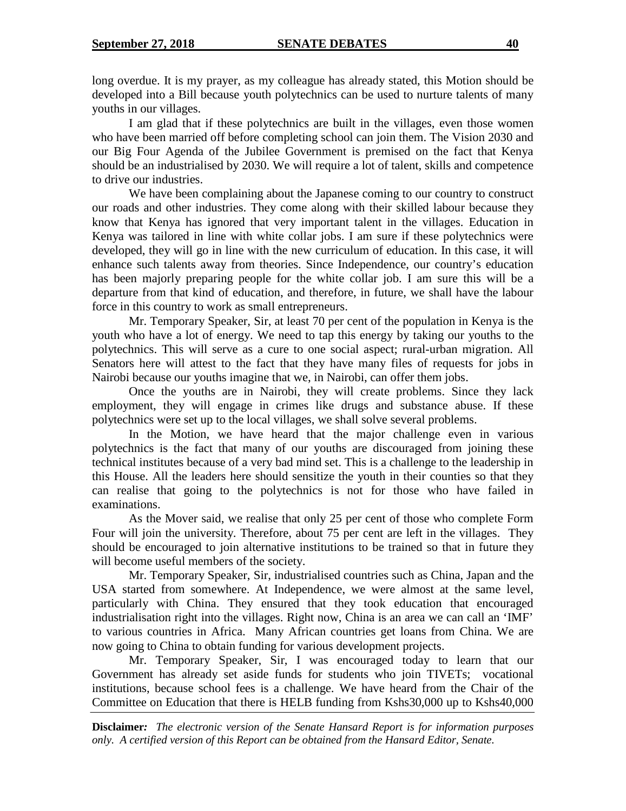long overdue. It is my prayer, as my colleague has already stated, this Motion should be developed into a Bill because youth polytechnics can be used to nurture talents of many youths in our villages.

I am glad that if these polytechnics are built in the villages, even those women who have been married off before completing school can join them. The Vision 2030 and our Big Four Agenda of the Jubilee Government is premised on the fact that Kenya should be an industrialised by 2030. We will require a lot of talent, skills and competence to drive our industries.

We have been complaining about the Japanese coming to our country to construct our roads and other industries. They come along with their skilled labour because they know that Kenya has ignored that very important talent in the villages. Education in Kenya was tailored in line with white collar jobs. I am sure if these polytechnics were developed, they will go in line with the new curriculum of education. In this case, it will enhance such talents away from theories. Since Independence, our country's education has been majorly preparing people for the white collar job. I am sure this will be a departure from that kind of education, and therefore, in future, we shall have the labour force in this country to work as small entrepreneurs.

Mr. Temporary Speaker, Sir, at least 70 per cent of the population in Kenya is the youth who have a lot of energy. We need to tap this energy by taking our youths to the polytechnics. This will serve as a cure to one social aspect; rural-urban migration. All Senators here will attest to the fact that they have many files of requests for jobs in Nairobi because our youths imagine that we, in Nairobi, can offer them jobs.

Once the youths are in Nairobi, they will create problems. Since they lack employment, they will engage in crimes like drugs and substance abuse. If these polytechnics were set up to the local villages, we shall solve several problems.

In the Motion, we have heard that the major challenge even in various polytechnics is the fact that many of our youths are discouraged from joining these technical institutes because of a very bad mind set. This is a challenge to the leadership in this House. All the leaders here should sensitize the youth in their counties so that they can realise that going to the polytechnics is not for those who have failed in examinations.

As the Mover said, we realise that only 25 per cent of those who complete Form Four will join the university. Therefore, about 75 per cent are left in the villages. They should be encouraged to join alternative institutions to be trained so that in future they will become useful members of the society.

Mr. Temporary Speaker, Sir, industrialised countries such as China, Japan and the USA started from somewhere. At Independence, we were almost at the same level, particularly with China. They ensured that they took education that encouraged industrialisation right into the villages. Right now, China is an area we can call an 'IMF' to various countries in Africa. Many African countries get loans from China. We are now going to China to obtain funding for various development projects.

Mr. Temporary Speaker, Sir, I was encouraged today to learn that our Government has already set aside funds for students who join TIVETs; vocational institutions, because school fees is a challenge. We have heard from the Chair of the Committee on Education that there is HELB funding from Kshs30,000 up to Kshs40,000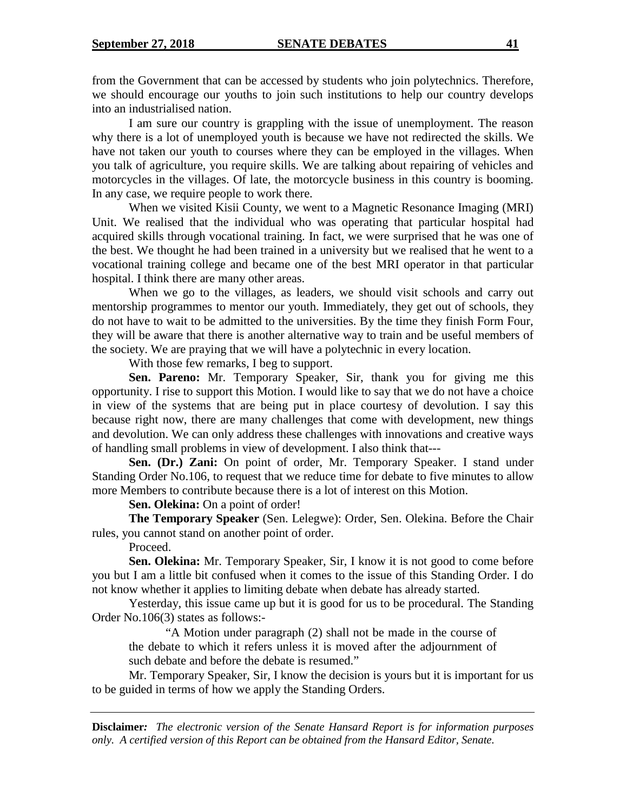from the Government that can be accessed by students who join polytechnics. Therefore, we should encourage our youths to join such institutions to help our country develops into an industrialised nation.

I am sure our country is grappling with the issue of unemployment. The reason why there is a lot of unemployed youth is because we have not redirected the skills. We have not taken our youth to courses where they can be employed in the villages. When you talk of agriculture, you require skills. We are talking about repairing of vehicles and motorcycles in the villages. Of late, the motorcycle business in this country is booming. In any case, we require people to work there.

When we visited Kisii County, we went to a Magnetic Resonance Imaging (MRI) Unit. We realised that the individual who was operating that particular hospital had acquired skills through vocational training. In fact, we were surprised that he was one of the best. We thought he had been trained in a university but we realised that he went to a vocational training college and became one of the best MRI operator in that particular hospital. I think there are many other areas.

When we go to the villages, as leaders, we should visit schools and carry out mentorship programmes to mentor our youth. Immediately, they get out of schools, they do not have to wait to be admitted to the universities. By the time they finish Form Four, they will be aware that there is another alternative way to train and be useful members of the society. We are praying that we will have a polytechnic in every location.

With those few remarks, I beg to support.

**Sen. Pareno:** Mr. Temporary Speaker, Sir, thank you for giving me this opportunity. I rise to support this Motion. I would like to say that we do not have a choice in view of the systems that are being put in place courtesy of devolution. I say this because right now, there are many challenges that come with development, new things and devolution. We can only address these challenges with innovations and creative ways of handling small problems in view of development. I also think that---

**Sen. (Dr.) Zani:** On point of order, Mr. Temporary Speaker. I stand under Standing Order No.106, to request that we reduce time for debate to five minutes to allow more Members to contribute because there is a lot of interest on this Motion.

**Sen. Olekina:** On a point of order!

**The Temporary Speaker** (Sen. Lelegwe): Order, Sen. Olekina. Before the Chair rules, you cannot stand on another point of order.

Proceed.

**Sen. Olekina:** Mr. Temporary Speaker, Sir, I know it is not good to come before you but I am a little bit confused when it comes to the issue of this Standing Order. I do not know whether it applies to limiting debate when debate has already started.

Yesterday, this issue came up but it is good for us to be procedural. The Standing Order No.106(3) states as follows:-

"A Motion under paragraph (2) shall not be made in the course of the debate to which it refers unless it is moved after the adjournment of such debate and before the debate is resumed."

Mr. Temporary Speaker, Sir, I know the decision is yours but it is important for us to be guided in terms of how we apply the Standing Orders.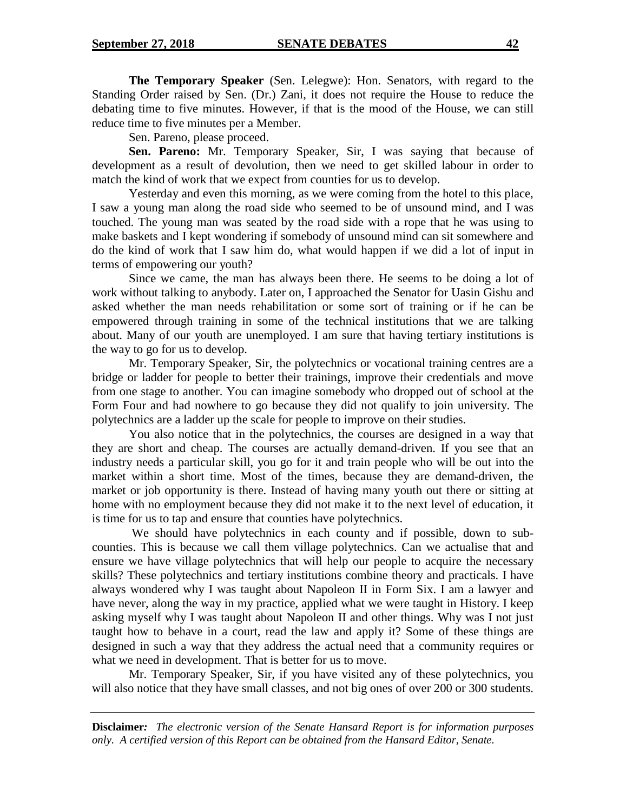**The Temporary Speaker** (Sen. Lelegwe): Hon. Senators, with regard to the Standing Order raised by Sen. (Dr.) Zani, it does not require the House to reduce the debating time to five minutes. However, if that is the mood of the House, we can still reduce time to five minutes per a Member.

Sen. Pareno, please proceed.

**Sen. Pareno:** Mr. Temporary Speaker, Sir, I was saying that because of development as a result of devolution, then we need to get skilled labour in order to match the kind of work that we expect from counties for us to develop.

Yesterday and even this morning, as we were coming from the hotel to this place, I saw a young man along the road side who seemed to be of unsound mind, and I was touched. The young man was seated by the road side with a rope that he was using to make baskets and I kept wondering if somebody of unsound mind can sit somewhere and do the kind of work that I saw him do, what would happen if we did a lot of input in terms of empowering our youth?

Since we came, the man has always been there. He seems to be doing a lot of work without talking to anybody. Later on, I approached the Senator for Uasin Gishu and asked whether the man needs rehabilitation or some sort of training or if he can be empowered through training in some of the technical institutions that we are talking about. Many of our youth are unemployed. I am sure that having tertiary institutions is the way to go for us to develop.

Mr. Temporary Speaker, Sir, the polytechnics or vocational training centres are a bridge or ladder for people to better their trainings, improve their credentials and move from one stage to another. You can imagine somebody who dropped out of school at the Form Four and had nowhere to go because they did not qualify to join university. The polytechnics are a ladder up the scale for people to improve on their studies.

You also notice that in the polytechnics, the courses are designed in a way that they are short and cheap. The courses are actually demand-driven. If you see that an industry needs a particular skill, you go for it and train people who will be out into the market within a short time. Most of the times, because they are demand-driven, the market or job opportunity is there. Instead of having many youth out there or sitting at home with no employment because they did not make it to the next level of education, it is time for us to tap and ensure that counties have polytechnics.

We should have polytechnics in each county and if possible, down to subcounties. This is because we call them village polytechnics. Can we actualise that and ensure we have village polytechnics that will help our people to acquire the necessary skills? These polytechnics and tertiary institutions combine theory and practicals. I have always wondered why I was taught about Napoleon II in Form Six. I am a lawyer and have never, along the way in my practice, applied what we were taught in History. I keep asking myself why I was taught about Napoleon II and other things. Why was I not just taught how to behave in a court, read the law and apply it? Some of these things are designed in such a way that they address the actual need that a community requires or what we need in development. That is better for us to move.

Mr. Temporary Speaker, Sir, if you have visited any of these polytechnics, you will also notice that they have small classes, and not big ones of over 200 or 300 students.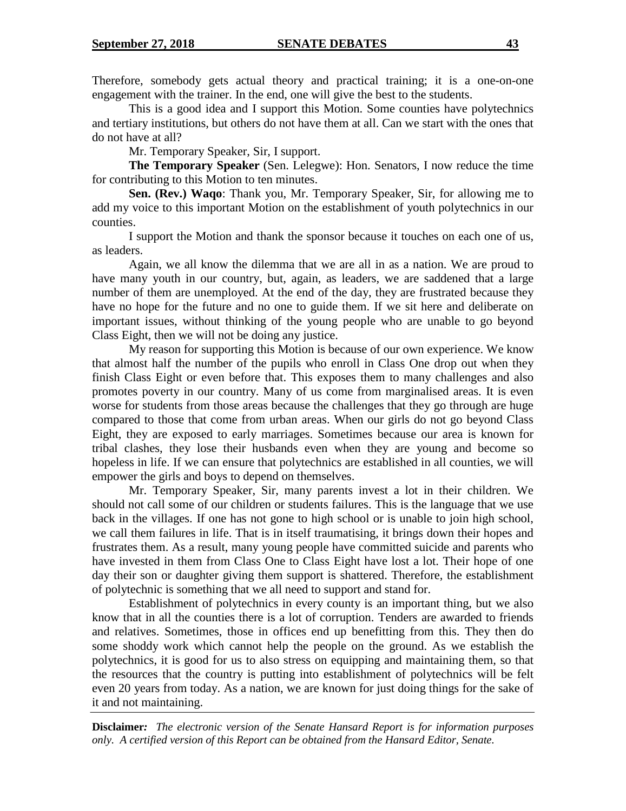Therefore, somebody gets actual theory and practical training; it is a one-on-one engagement with the trainer. In the end, one will give the best to the students.

This is a good idea and I support this Motion. Some counties have polytechnics and tertiary institutions, but others do not have them at all. Can we start with the ones that do not have at all?

Mr. Temporary Speaker, Sir, I support.

**The Temporary Speaker** (Sen. Lelegwe): Hon. Senators, I now reduce the time for contributing to this Motion to ten minutes.

**Sen. (Rev.) Waqo**: Thank you, Mr. Temporary Speaker, Sir, for allowing me to add my voice to this important Motion on the establishment of youth polytechnics in our counties.

I support the Motion and thank the sponsor because it touches on each one of us, as leaders.

Again, we all know the dilemma that we are all in as a nation. We are proud to have many youth in our country, but, again, as leaders, we are saddened that a large number of them are unemployed. At the end of the day, they are frustrated because they have no hope for the future and no one to guide them. If we sit here and deliberate on important issues, without thinking of the young people who are unable to go beyond Class Eight, then we will not be doing any justice.

My reason for supporting this Motion is because of our own experience. We know that almost half the number of the pupils who enroll in Class One drop out when they finish Class Eight or even before that. This exposes them to many challenges and also promotes poverty in our country. Many of us come from marginalised areas. It is even worse for students from those areas because the challenges that they go through are huge compared to those that come from urban areas. When our girls do not go beyond Class Eight, they are exposed to early marriages. Sometimes because our area is known for tribal clashes, they lose their husbands even when they are young and become so hopeless in life. If we can ensure that polytechnics are established in all counties, we will empower the girls and boys to depend on themselves.

Mr. Temporary Speaker, Sir, many parents invest a lot in their children. We should not call some of our children or students failures. This is the language that we use back in the villages. If one has not gone to high school or is unable to join high school, we call them failures in life. That is in itself traumatising, it brings down their hopes and frustrates them. As a result, many young people have committed suicide and parents who have invested in them from Class One to Class Eight have lost a lot. Their hope of one day their son or daughter giving them support is shattered. Therefore, the establishment of polytechnic is something that we all need to support and stand for.

Establishment of polytechnics in every county is an important thing, but we also know that in all the counties there is a lot of corruption. Tenders are awarded to friends and relatives. Sometimes, those in offices end up benefitting from this. They then do some shoddy work which cannot help the people on the ground. As we establish the polytechnics, it is good for us to also stress on equipping and maintaining them, so that the resources that the country is putting into establishment of polytechnics will be felt even 20 years from today. As a nation, we are known for just doing things for the sake of it and not maintaining.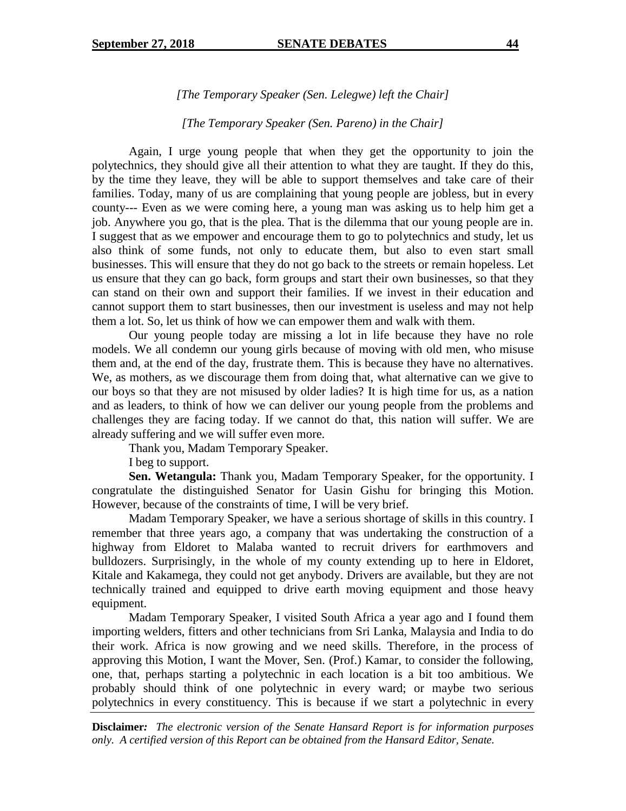*[The Temporary Speaker (Sen. Lelegwe) left the Chair]*

*[The Temporary Speaker (Sen. Pareno) in the Chair]*

Again, I urge young people that when they get the opportunity to join the polytechnics, they should give all their attention to what they are taught. If they do this, by the time they leave, they will be able to support themselves and take care of their families. Today, many of us are complaining that young people are jobless, but in every county--- Even as we were coming here, a young man was asking us to help him get a job. Anywhere you go, that is the plea. That is the dilemma that our young people are in. I suggest that as we empower and encourage them to go to polytechnics and study, let us also think of some funds, not only to educate them, but also to even start small businesses. This will ensure that they do not go back to the streets or remain hopeless. Let us ensure that they can go back, form groups and start their own businesses, so that they can stand on their own and support their families. If we invest in their education and cannot support them to start businesses, then our investment is useless and may not help them a lot. So, let us think of how we can empower them and walk with them.

Our young people today are missing a lot in life because they have no role models. We all condemn our young girls because of moving with old men, who misuse them and, at the end of the day, frustrate them. This is because they have no alternatives. We, as mothers, as we discourage them from doing that, what alternative can we give to our boys so that they are not misused by older ladies? It is high time for us, as a nation and as leaders, to think of how we can deliver our young people from the problems and challenges they are facing today. If we cannot do that, this nation will suffer. We are already suffering and we will suffer even more.

Thank you, Madam Temporary Speaker.

I beg to support.

**Sen. Wetangula:** Thank you, Madam Temporary Speaker, for the opportunity. I congratulate the distinguished Senator for Uasin Gishu for bringing this Motion. However, because of the constraints of time, I will be very brief.

Madam Temporary Speaker, we have a serious shortage of skills in this country. I remember that three years ago, a company that was undertaking the construction of a highway from Eldoret to Malaba wanted to recruit drivers for earthmovers and bulldozers. Surprisingly, in the whole of my county extending up to here in Eldoret, Kitale and Kakamega, they could not get anybody. Drivers are available, but they are not technically trained and equipped to drive earth moving equipment and those heavy equipment.

Madam Temporary Speaker, I visited South Africa a year ago and I found them importing welders, fitters and other technicians from Sri Lanka, Malaysia and India to do their work. Africa is now growing and we need skills. Therefore, in the process of approving this Motion, I want the Mover, Sen. (Prof.) Kamar, to consider the following, one, that, perhaps starting a polytechnic in each location is a bit too ambitious. We probably should think of one polytechnic in every ward; or maybe two serious polytechnics in every constituency. This is because if we start a polytechnic in every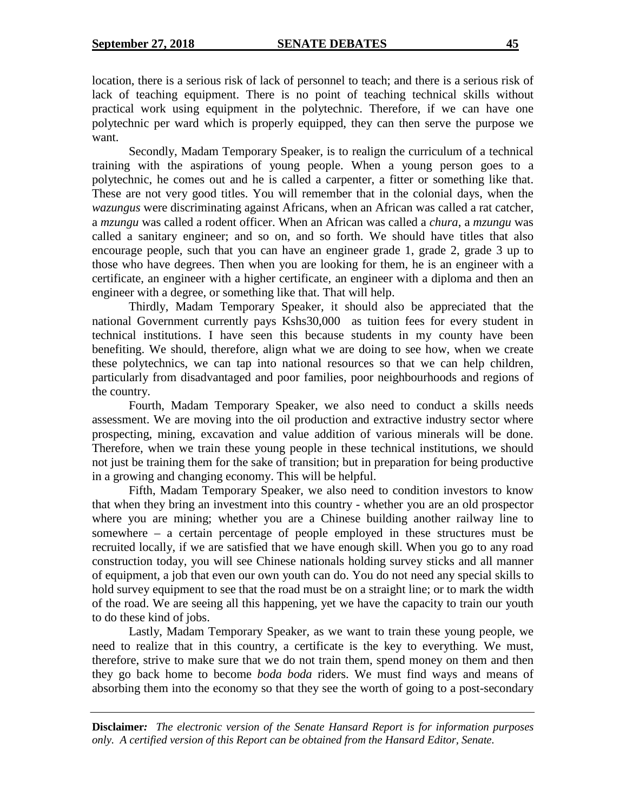location, there is a serious risk of lack of personnel to teach; and there is a serious risk of lack of teaching equipment. There is no point of teaching technical skills without practical work using equipment in the polytechnic. Therefore, if we can have one polytechnic per ward which is properly equipped, they can then serve the purpose we want.

Secondly, Madam Temporary Speaker, is to realign the curriculum of a technical training with the aspirations of young people. When a young person goes to a polytechnic, he comes out and he is called a carpenter, a fitter or something like that. These are not very good titles. You will remember that in the colonial days, when the *wazungus* were discriminating against Africans, when an African was called a rat catcher, a *mzungu* was called a rodent officer. When an African was called a *chura*, a *mzungu* was called a sanitary engineer; and so on, and so forth. We should have titles that also encourage people, such that you can have an engineer grade 1, grade 2, grade 3 up to those who have degrees. Then when you are looking for them, he is an engineer with a certificate, an engineer with a higher certificate, an engineer with a diploma and then an engineer with a degree, or something like that. That will help.

Thirdly, Madam Temporary Speaker, it should also be appreciated that the national Government currently pays Kshs30,000 as tuition fees for every student in technical institutions. I have seen this because students in my county have been benefiting. We should, therefore, align what we are doing to see how, when we create these polytechnics, we can tap into national resources so that we can help children, particularly from disadvantaged and poor families, poor neighbourhoods and regions of the country.

Fourth, Madam Temporary Speaker, we also need to conduct a skills needs assessment. We are moving into the oil production and extractive industry sector where prospecting, mining, excavation and value addition of various minerals will be done. Therefore, when we train these young people in these technical institutions, we should not just be training them for the sake of transition; but in preparation for being productive in a growing and changing economy. This will be helpful.

Fifth, Madam Temporary Speaker, we also need to condition investors to know that when they bring an investment into this country - whether you are an old prospector where you are mining; whether you are a Chinese building another railway line to somewhere – a certain percentage of people employed in these structures must be recruited locally, if we are satisfied that we have enough skill. When you go to any road construction today, you will see Chinese nationals holding survey sticks and all manner of equipment, a job that even our own youth can do. You do not need any special skills to hold survey equipment to see that the road must be on a straight line; or to mark the width of the road. We are seeing all this happening, yet we have the capacity to train our youth to do these kind of jobs.

Lastly, Madam Temporary Speaker, as we want to train these young people, we need to realize that in this country, a certificate is the key to everything. We must, therefore, strive to make sure that we do not train them, spend money on them and then they go back home to become *boda boda* riders. We must find ways and means of absorbing them into the economy so that they see the worth of going to a post-secondary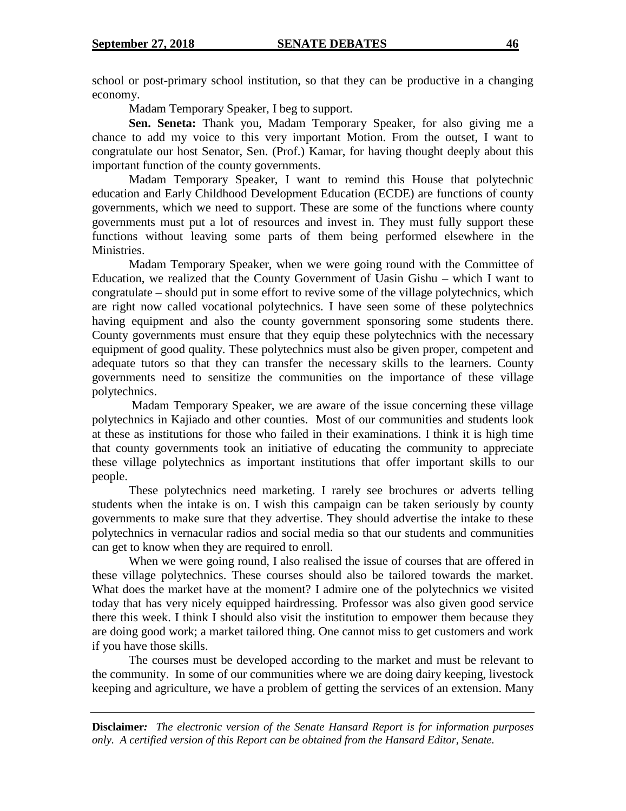school or post-primary school institution, so that they can be productive in a changing economy.

Madam Temporary Speaker, I beg to support.

**Sen. Seneta:** Thank you, Madam Temporary Speaker, for also giving me a chance to add my voice to this very important Motion. From the outset, I want to congratulate our host Senator, Sen. (Prof.) Kamar, for having thought deeply about this important function of the county governments.

Madam Temporary Speaker, I want to remind this House that polytechnic education and Early Childhood Development Education (ECDE) are functions of county governments, which we need to support. These are some of the functions where county governments must put a lot of resources and invest in. They must fully support these functions without leaving some parts of them being performed elsewhere in the Ministries.

Madam Temporary Speaker, when we were going round with the Committee of Education, we realized that the County Government of Uasin Gishu – which I want to congratulate – should put in some effort to revive some of the village polytechnics, which are right now called vocational polytechnics. I have seen some of these polytechnics having equipment and also the county government sponsoring some students there. County governments must ensure that they equip these polytechnics with the necessary equipment of good quality. These polytechnics must also be given proper, competent and adequate tutors so that they can transfer the necessary skills to the learners. County governments need to sensitize the communities on the importance of these village polytechnics.

Madam Temporary Speaker, we are aware of the issue concerning these village polytechnics in Kajiado and other counties. Most of our communities and students look at these as institutions for those who failed in their examinations. I think it is high time that county governments took an initiative of educating the community to appreciate these village polytechnics as important institutions that offer important skills to our people.

These polytechnics need marketing. I rarely see brochures or adverts telling students when the intake is on. I wish this campaign can be taken seriously by county governments to make sure that they advertise. They should advertise the intake to these polytechnics in vernacular radios and social media so that our students and communities can get to know when they are required to enroll.

When we were going round, I also realised the issue of courses that are offered in these village polytechnics. These courses should also be tailored towards the market. What does the market have at the moment? I admire one of the polytechnics we visited today that has very nicely equipped hairdressing. Professor was also given good service there this week. I think I should also visit the institution to empower them because they are doing good work; a market tailored thing. One cannot miss to get customers and work if you have those skills.

The courses must be developed according to the market and must be relevant to the community. In some of our communities where we are doing dairy keeping, livestock keeping and agriculture, we have a problem of getting the services of an extension. Many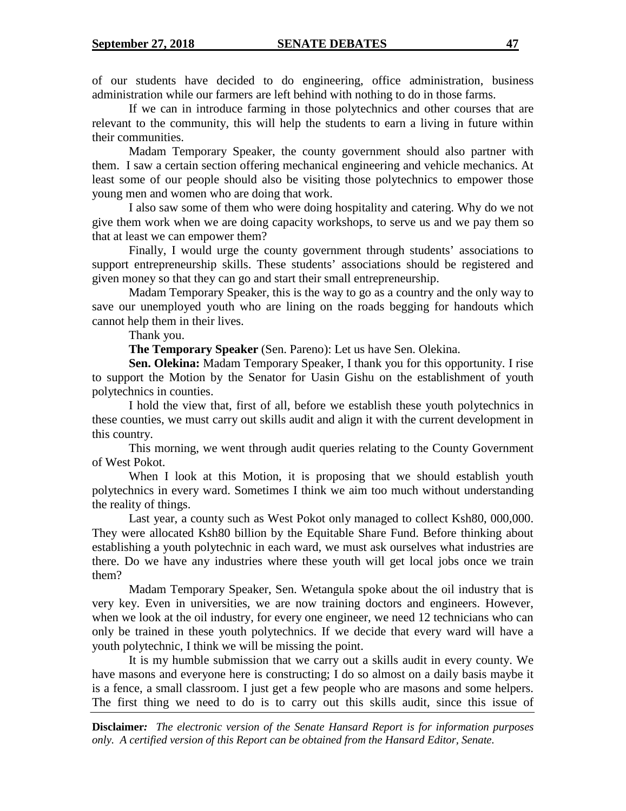of our students have decided to do engineering, office administration, business administration while our farmers are left behind with nothing to do in those farms.

If we can in introduce farming in those polytechnics and other courses that are relevant to the community, this will help the students to earn a living in future within their communities.

Madam Temporary Speaker, the county government should also partner with them. I saw a certain section offering mechanical engineering and vehicle mechanics. At least some of our people should also be visiting those polytechnics to empower those young men and women who are doing that work.

I also saw some of them who were doing hospitality and catering. Why do we not give them work when we are doing capacity workshops, to serve us and we pay them so that at least we can empower them?

Finally, I would urge the county government through students' associations to support entrepreneurship skills. These students' associations should be registered and given money so that they can go and start their small entrepreneurship.

Madam Temporary Speaker, this is the way to go as a country and the only way to save our unemployed youth who are lining on the roads begging for handouts which cannot help them in their lives.

Thank you.

**The Temporary Speaker** (Sen. Pareno): Let us have Sen. Olekina.

**Sen. Olekina:** Madam Temporary Speaker, I thank you for this opportunity. I rise to support the Motion by the Senator for Uasin Gishu on the establishment of youth polytechnics in counties.

I hold the view that, first of all, before we establish these youth polytechnics in these counties, we must carry out skills audit and align it with the current development in this country.

This morning, we went through audit queries relating to the County Government of West Pokot.

When I look at this Motion, it is proposing that we should establish youth polytechnics in every ward. Sometimes I think we aim too much without understanding the reality of things.

Last year, a county such as West Pokot only managed to collect Ksh80, 000,000. They were allocated Ksh80 billion by the Equitable Share Fund. Before thinking about establishing a youth polytechnic in each ward, we must ask ourselves what industries are there. Do we have any industries where these youth will get local jobs once we train them?

Madam Temporary Speaker, Sen. Wetangula spoke about the oil industry that is very key. Even in universities, we are now training doctors and engineers. However, when we look at the oil industry, for every one engineer, we need 12 technicians who can only be trained in these youth polytechnics. If we decide that every ward will have a youth polytechnic, I think we will be missing the point.

It is my humble submission that we carry out a skills audit in every county. We have masons and everyone here is constructing; I do so almost on a daily basis maybe it is a fence, a small classroom. I just get a few people who are masons and some helpers. The first thing we need to do is to carry out this skills audit, since this issue of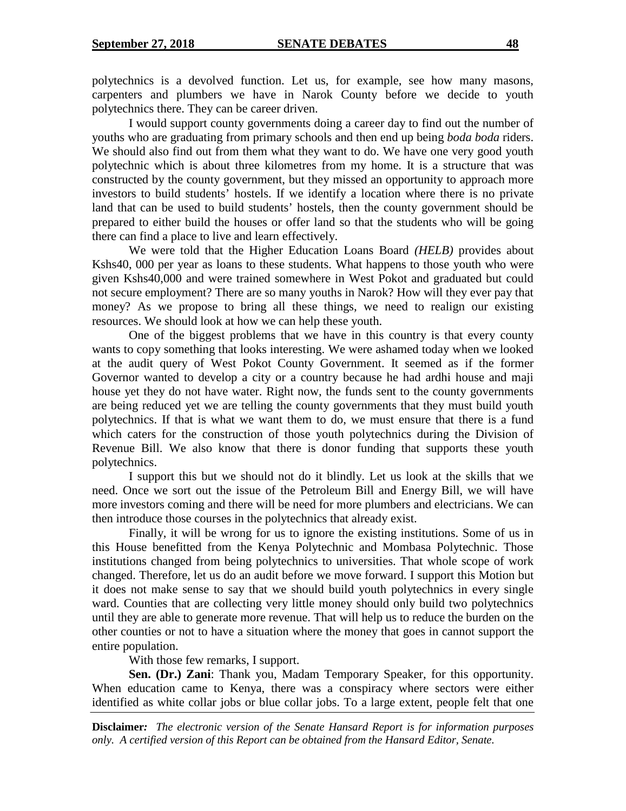polytechnics is a devolved function. Let us, for example, see how many masons, carpenters and plumbers we have in Narok County before we decide to youth polytechnics there. They can be career driven.

I would support county governments doing a career day to find out the number of youths who are graduating from primary schools and then end up being *boda boda* riders. We should also find out from them what they want to do. We have one very good youth polytechnic which is about three kilometres from my home. It is a structure that was constructed by the county government, but they missed an opportunity to approach more investors to build students' hostels. If we identify a location where there is no private land that can be used to build students' hostels, then the county government should be prepared to either build the houses or offer land so that the students who will be going there can find a place to live and learn effectively.

We were told that the Higher Education Loans Board *(HELB)* provides about Kshs40, 000 per year as loans to these students. What happens to those youth who were given Kshs40,000 and were trained somewhere in West Pokot and graduated but could not secure employment? There are so many youths in Narok? How will they ever pay that money? As we propose to bring all these things, we need to realign our existing resources. We should look at how we can help these youth.

One of the biggest problems that we have in this country is that every county wants to copy something that looks interesting. We were ashamed today when we looked at the audit query of West Pokot County Government. It seemed as if the former Governor wanted to develop a city or a country because he had ardhi house and maji house yet they do not have water. Right now, the funds sent to the county governments are being reduced yet we are telling the county governments that they must build youth polytechnics. If that is what we want them to do, we must ensure that there is a fund which caters for the construction of those youth polytechnics during the Division of Revenue Bill. We also know that there is donor funding that supports these youth polytechnics.

I support this but we should not do it blindly. Let us look at the skills that we need. Once we sort out the issue of the Petroleum Bill and Energy Bill, we will have more investors coming and there will be need for more plumbers and electricians. We can then introduce those courses in the polytechnics that already exist.

Finally, it will be wrong for us to ignore the existing institutions. Some of us in this House benefitted from the Kenya Polytechnic and Mombasa Polytechnic. Those institutions changed from being polytechnics to universities. That whole scope of work changed. Therefore, let us do an audit before we move forward. I support this Motion but it does not make sense to say that we should build youth polytechnics in every single ward. Counties that are collecting very little money should only build two polytechnics until they are able to generate more revenue. That will help us to reduce the burden on the other counties or not to have a situation where the money that goes in cannot support the entire population.

With those few remarks, I support.

**Sen. (Dr.) Zani**: Thank you, Madam Temporary Speaker, for this opportunity. When education came to Kenya, there was a conspiracy where sectors were either identified as white collar jobs or blue collar jobs. To a large extent, people felt that one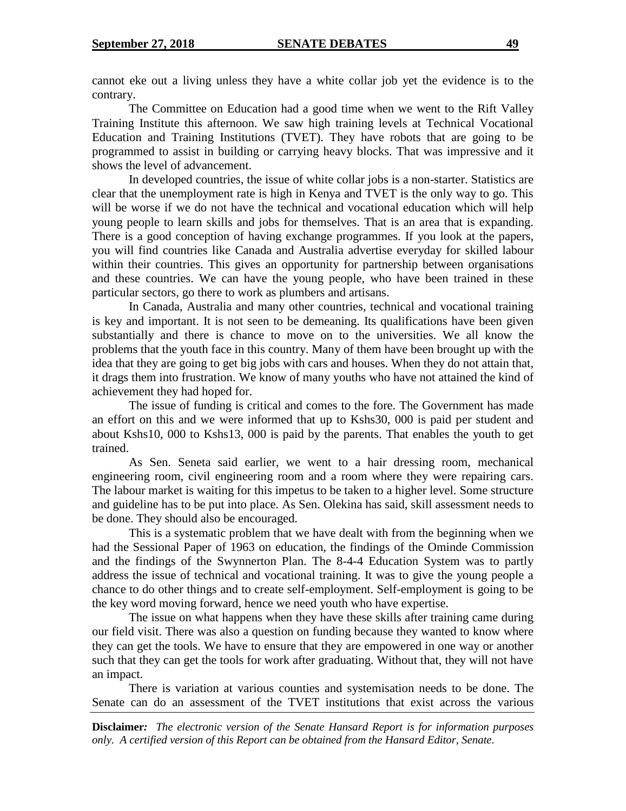cannot eke out a living unless they have a white collar job yet the evidence is to the contrary.

The Committee on Education had a good time when we went to the Rift Valley Training Institute this afternoon. We saw high training levels at Technical Vocational Education and Training Institutions (TVET). They have robots that are going to be programmed to assist in building or carrying heavy blocks. That was impressive and it shows the level of advancement.

In developed countries, the issue of white collar jobs is a non-starter. Statistics are clear that the unemployment rate is high in Kenya and TVET is the only way to go. This will be worse if we do not have the technical and vocational education which will help young people to learn skills and jobs for themselves. That is an area that is expanding. There is a good conception of having exchange programmes. If you look at the papers, you will find countries like Canada and Australia advertise everyday for skilled labour within their countries. This gives an opportunity for partnership between organisations and these countries. We can have the young people, who have been trained in these particular sectors, go there to work as plumbers and artisans.

In Canada, Australia and many other countries, technical and vocational training is key and important. It is not seen to be demeaning. Its qualifications have been given substantially and there is chance to move on to the universities. We all know the problems that the youth face in this country. Many of them have been brought up with the idea that they are going to get big jobs with cars and houses. When they do not attain that, it drags them into frustration. We know of many youths who have not attained the kind of achievement they had hoped for.

The issue of funding is critical and comes to the fore. The Government has made an effort on this and we were informed that up to Kshs30, 000 is paid per student and about Kshs10, 000 to Kshs13, 000 is paid by the parents. That enables the youth to get trained.

As Sen. Seneta said earlier, we went to a hair dressing room, mechanical engineering room, civil engineering room and a room where they were repairing cars. The labour market is waiting for this impetus to be taken to a higher level. Some structure and guideline has to be put into place. As Sen. Olekina has said, skill assessment needs to be done. They should also be encouraged.

This is a systematic problem that we have dealt with from the beginning when we had the Sessional Paper of 1963 on education, the findings of the Ominde Commission and the findings of the Swynnerton Plan. The 8-4-4 Education System was to partly address the issue of technical and vocational training. It was to give the young people a chance to do other things and to create self-employment. Self-employment is going to be the key word moving forward, hence we need youth who have expertise.

The issue on what happens when they have these skills after training came during our field visit. There was also a question on funding because they wanted to know where they can get the tools. We have to ensure that they are empowered in one way or another such that they can get the tools for work after graduating. Without that, they will not have an impact.

There is variation at various counties and systemisation needs to be done. The Senate can do an assessment of the TVET institutions that exist across the various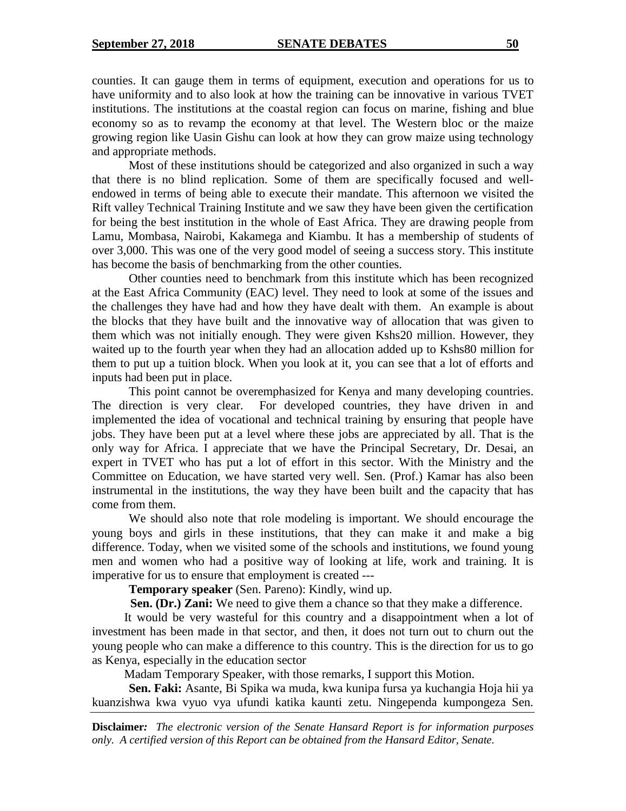counties. It can gauge them in terms of equipment, execution and operations for us to have uniformity and to also look at how the training can be innovative in various TVET institutions. The institutions at the coastal region can focus on marine, fishing and blue economy so as to revamp the economy at that level. The Western bloc or the maize growing region like Uasin Gishu can look at how they can grow maize using technology and appropriate methods.

Most of these institutions should be categorized and also organized in such a way that there is no blind replication. Some of them are specifically focused and wellendowed in terms of being able to execute their mandate. This afternoon we visited the Rift valley Technical Training Institute and we saw they have been given the certification for being the best institution in the whole of East Africa. They are drawing people from Lamu, Mombasa, Nairobi, Kakamega and Kiambu. It has a membership of students of over 3,000. This was one of the very good model of seeing a success story. This institute has become the basis of benchmarking from the other counties.

Other counties need to benchmark from this institute which has been recognized at the East Africa Community (EAC) level. They need to look at some of the issues and the challenges they have had and how they have dealt with them. An example is about the blocks that they have built and the innovative way of allocation that was given to them which was not initially enough. They were given Kshs20 million. However, they waited up to the fourth year when they had an allocation added up to Kshs80 million for them to put up a tuition block. When you look at it, you can see that a lot of efforts and inputs had been put in place.

This point cannot be overemphasized for Kenya and many developing countries. The direction is very clear. For developed countries, they have driven in and implemented the idea of vocational and technical training by ensuring that people have jobs. They have been put at a level where these jobs are appreciated by all. That is the only way for Africa. I appreciate that we have the Principal Secretary, Dr. Desai, an expert in TVET who has put a lot of effort in this sector. With the Ministry and the Committee on Education, we have started very well. Sen. (Prof.) Kamar has also been instrumental in the institutions, the way they have been built and the capacity that has come from them.

We should also note that role modeling is important. We should encourage the young boys and girls in these institutions, that they can make it and make a big difference. Today, when we visited some of the schools and institutions, we found young men and women who had a positive way of looking at life, work and training. It is imperative for us to ensure that employment is created ---

**Temporary speaker** (Sen. Pareno): Kindly, wind up.

**Sen. (Dr.) Zani:** We need to give them a chance so that they make a difference.

It would be very wasteful for this country and a disappointment when a lot of investment has been made in that sector, and then, it does not turn out to churn out the young people who can make a difference to this country. This is the direction for us to go as Kenya, especially in the education sector

Madam Temporary Speaker, with those remarks, I support this Motion.

**Sen. Faki:** Asante, Bi Spika wa muda, kwa kunipa fursa ya kuchangia Hoja hii ya kuanzishwa kwa vyuo vya ufundi katika kaunti zetu. Ningependa kumpongeza Sen.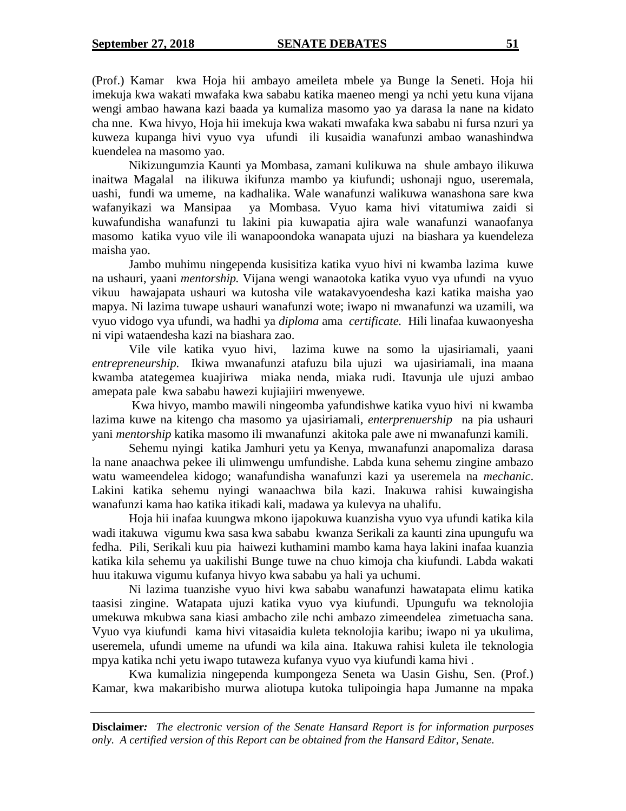(Prof.) Kamar kwa Hoja hii ambayo ameileta mbele ya Bunge la Seneti. Hoja hii imekuja kwa wakati mwafaka kwa sababu katika maeneo mengi ya nchi yetu kuna vijana wengi ambao hawana kazi baada ya kumaliza masomo yao ya darasa la nane na kidato cha nne. Kwa hivyo, Hoja hii imekuja kwa wakati mwafaka kwa sababu ni fursa nzuri ya kuweza kupanga hivi vyuo vya ufundi ili kusaidia wanafunzi ambao wanashindwa kuendelea na masomo yao.

Nikizungumzia Kaunti ya Mombasa, zamani kulikuwa na shule ambayo ilikuwa inaitwa Magalal na ilikuwa ikifunza mambo ya kiufundi; ushonaji nguo, useremala, uashi, fundi wa umeme, na kadhalika. Wale wanafunzi walikuwa wanashona sare kwa wafanyikazi wa Mansipaa ya Mombasa. Vyuo kama hivi vitatumiwa zaidi si kuwafundisha wanafunzi tu lakini pia kuwapatia ajira wale wanafunzi wanaofanya masomo katika vyuo vile ili wanapoondoka wanapata ujuzi na biashara ya kuendeleza maisha yao.

Jambo muhimu ningependa kusisitiza katika vyuo hivi ni kwamba lazima kuwe na ushauri, yaani *mentorship.* Vijana wengi wanaotoka katika vyuo vya ufundi na vyuo vikuu hawajapata ushauri wa kutosha vile watakavyoendesha kazi katika maisha yao mapya. Ni lazima tuwape ushauri wanafunzi wote; iwapo ni mwanafunzi wa uzamili, wa vyuo vidogo vya ufundi, wa hadhi ya *diploma* ama *certificate.* Hili linafaa kuwaonyesha ni vipi wataendesha kazi na biashara zao.

Vile vile katika vyuo hivi, lazima kuwe na somo la ujasiriamali, yaani *entrepreneurship.* Ikiwa mwanafunzi atafuzu bila ujuzi wa ujasiriamali, ina maana kwamba atategemea kuajiriwa miaka nenda, miaka rudi. Itavunja ule ujuzi ambao amepata pale kwa sababu hawezi kujiajiiri mwenyewe.

Kwa hivyo, mambo mawili ningeomba yafundishwe katika vyuo hivi ni kwamba lazima kuwe na kitengo cha masomo ya ujasiriamali, *enterprenuership* na pia ushauri yani *mentorship* katika masomo ili mwanafunzi akitoka pale awe ni mwanafunzi kamili.

Sehemu nyingi katika Jamhuri yetu ya Kenya, mwanafunzi anapomaliza darasa la nane anaachwa pekee ili ulimwengu umfundishe. Labda kuna sehemu zingine ambazo watu wameendelea kidogo; wanafundisha wanafunzi kazi ya useremela na *mechanic*. Lakini katika sehemu nyingi wanaachwa bila kazi. Inakuwa rahisi kuwaingisha wanafunzi kama hao katika itikadi kali, madawa ya kulevya na uhalifu.

Hoja hii inafaa kuungwa mkono ijapokuwa kuanzisha vyuo vya ufundi katika kila wadi itakuwa vigumu kwa sasa kwa sababu kwanza Serikali za kaunti zina upungufu wa fedha. Pili, Serikali kuu pia haiwezi kuthamini mambo kama haya lakini inafaa kuanzia katika kila sehemu ya uakilishi Bunge tuwe na chuo kimoja cha kiufundi. Labda wakati huu itakuwa vigumu kufanya hivyo kwa sababu ya hali ya uchumi.

Ni lazima tuanzishe vyuo hivi kwa sababu wanafunzi hawatapata elimu katika taasisi zingine. Watapata ujuzi katika vyuo vya kiufundi. Upungufu wa teknolojia umekuwa mkubwa sana kiasi ambacho zile nchi ambazo zimeendelea zimetuacha sana. Vyuo vya kiufundi kama hivi vitasaidia kuleta teknolojia karibu; iwapo ni ya ukulima, useremela, ufundi umeme na ufundi wa kila aina. Itakuwa rahisi kuleta ile teknologia mpya katika nchi yetu iwapo tutaweza kufanya vyuo vya kiufundi kama hivi .

Kwa kumalizia ningependa kumpongeza Seneta wa Uasin Gishu, Sen. (Prof.) Kamar, kwa makaribisho murwa aliotupa kutoka tulipoingia hapa Jumanne na mpaka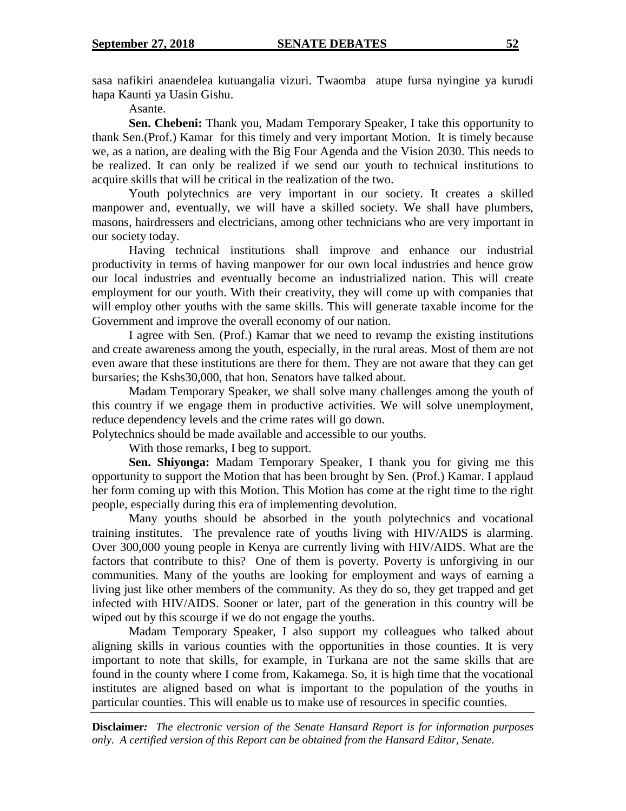sasa nafikiri anaendelea kutuangalia vizuri. Twaomba atupe fursa nyingine ya kurudi hapa Kaunti ya Uasin Gishu.

Asante.

**Sen. Chebeni:** Thank you, Madam Temporary Speaker, I take this opportunity to thank Sen.(Prof.) Kamar for this timely and very important Motion. It is timely because we, as a nation, are dealing with the Big Four Agenda and the Vision 2030. This needs to be realized. It can only be realized if we send our youth to technical institutions to acquire skills that will be critical in the realization of the two.

Youth polytechnics are very important in our society. It creates a skilled manpower and, eventually, we will have a skilled society. We shall have plumbers, masons, hairdressers and electricians, among other technicians who are very important in our society today.

Having technical institutions shall improve and enhance our industrial productivity in terms of having manpower for our own local industries and hence grow our local industries and eventually become an industrialized nation. This will create employment for our youth. With their creativity, they will come up with companies that will employ other youths with the same skills. This will generate taxable income for the Government and improve the overall economy of our nation.

I agree with Sen. (Prof.) Kamar that we need to revamp the existing institutions and create awareness among the youth, especially, in the rural areas. Most of them are not even aware that these institutions are there for them. They are not aware that they can get bursaries; the Kshs30,000, that hon. Senators have talked about.

Madam Temporary Speaker, we shall solve many challenges among the youth of this country if we engage them in productive activities. We will solve unemployment, reduce dependency levels and the crime rates will go down.

Polytechnics should be made available and accessible to our youths.

With those remarks, I beg to support.

**Sen. Shiyonga:** Madam Temporary Speaker, I thank you for giving me this opportunity to support the Motion that has been brought by Sen. (Prof.) Kamar. I applaud her form coming up with this Motion. This Motion has come at the right time to the right people, especially during this era of implementing devolution.

Many youths should be absorbed in the youth polytechnics and vocational training institutes. The prevalence rate of youths living with HIV/AIDS is alarming. Over 300,000 young people in Kenya are currently living with HIV/AIDS. What are the factors that contribute to this? One of them is poverty. Poverty is unforgiving in our communities. Many of the youths are looking for employment and ways of earning a living just like other members of the community. As they do so, they get trapped and get infected with HIV/AIDS. Sooner or later, part of the generation in this country will be wiped out by this scourge if we do not engage the youths.

Madam Temporary Speaker, I also support my colleagues who talked about aligning skills in various counties with the opportunities in those counties. It is very important to note that skills, for example, in Turkana are not the same skills that are found in the county where I come from, Kakamega. So, it is high time that the vocational institutes are aligned based on what is important to the population of the youths in particular counties. This will enable us to make use of resources in specific counties.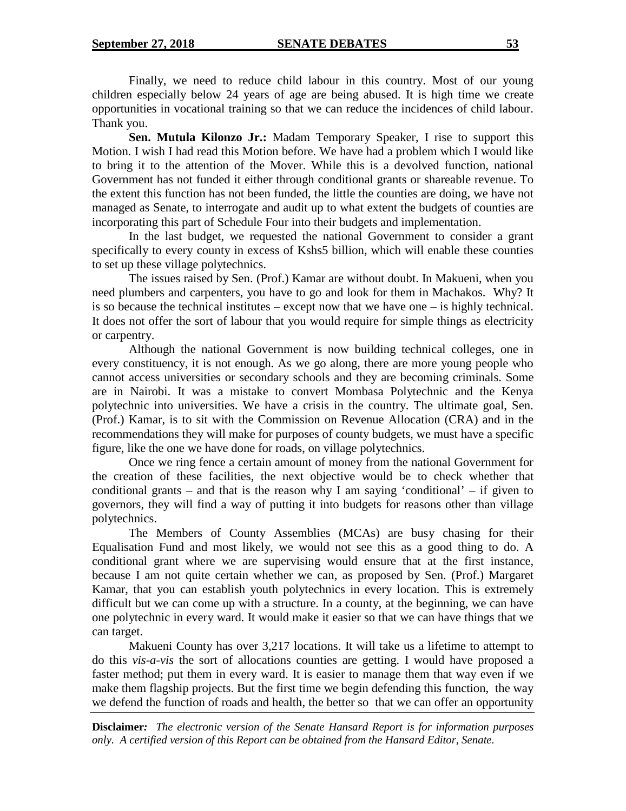Finally, we need to reduce child labour in this country. Most of our young children especially below 24 years of age are being abused. It is high time we create opportunities in vocational training so that we can reduce the incidences of child labour. Thank you.

**Sen. Mutula Kilonzo Jr.:** Madam Temporary Speaker, I rise to support this Motion. I wish I had read this Motion before. We have had a problem which I would like to bring it to the attention of the Mover. While this is a devolved function, national Government has not funded it either through conditional grants or shareable revenue. To the extent this function has not been funded, the little the counties are doing, we have not managed as Senate, to interrogate and audit up to what extent the budgets of counties are incorporating this part of Schedule Four into their budgets and implementation.

In the last budget, we requested the national Government to consider a grant specifically to every county in excess of Kshs5 billion, which will enable these counties to set up these village polytechnics.

The issues raised by Sen. (Prof.) Kamar are without doubt. In Makueni, when you need plumbers and carpenters, you have to go and look for them in Machakos. Why? It is so because the technical institutes – except now that we have one – is highly technical. It does not offer the sort of labour that you would require for simple things as electricity or carpentry.

Although the national Government is now building technical colleges, one in every constituency, it is not enough. As we go along, there are more young people who cannot access universities or secondary schools and they are becoming criminals. Some are in Nairobi. It was a mistake to convert Mombasa Polytechnic and the Kenya polytechnic into universities. We have a crisis in the country. The ultimate goal, Sen. (Prof.) Kamar, is to sit with the Commission on Revenue Allocation (CRA) and in the recommendations they will make for purposes of county budgets, we must have a specific figure, like the one we have done for roads, on village polytechnics.

Once we ring fence a certain amount of money from the national Government for the creation of these facilities, the next objective would be to check whether that conditional grants – and that is the reason why I am saying 'conditional' – if given to governors, they will find a way of putting it into budgets for reasons other than village polytechnics.

The Members of County Assemblies (MCAs) are busy chasing for their Equalisation Fund and most likely, we would not see this as a good thing to do. A conditional grant where we are supervising would ensure that at the first instance, because I am not quite certain whether we can, as proposed by Sen. (Prof.) Margaret Kamar, that you can establish youth polytechnics in every location. This is extremely difficult but we can come up with a structure. In a county, at the beginning, we can have one polytechnic in every ward. It would make it easier so that we can have things that we can target.

Makueni County has over 3,217 locations. It will take us a lifetime to attempt to do this *vis-a-vis* the sort of allocations counties are getting. I would have proposed a faster method; put them in every ward. It is easier to manage them that way even if we make them flagship projects. But the first time we begin defending this function, the way we defend the function of roads and health, the better so that we can offer an opportunity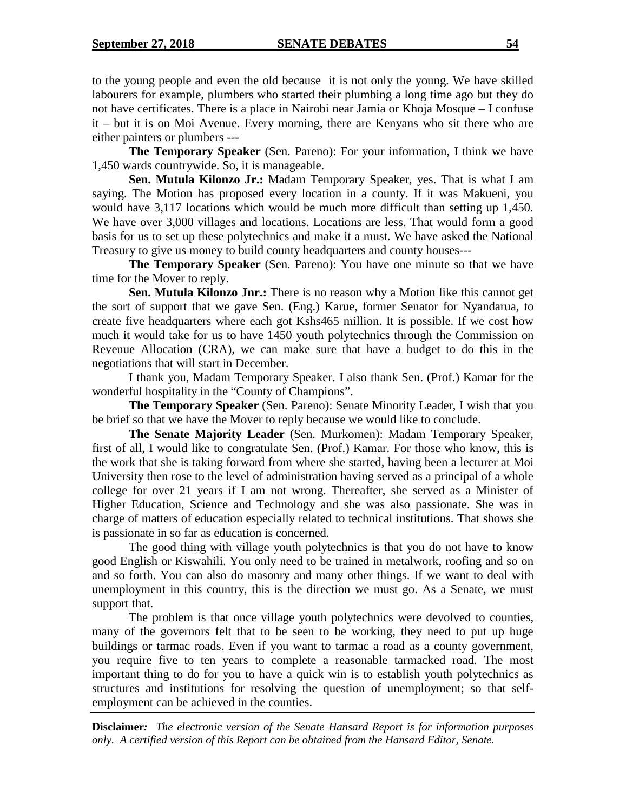to the young people and even the old because it is not only the young. We have skilled labourers for example, plumbers who started their plumbing a long time ago but they do not have certificates. There is a place in Nairobi near Jamia or Khoja Mosque – I confuse it – but it is on Moi Avenue. Every morning, there are Kenyans who sit there who are either painters or plumbers ---

**The Temporary Speaker** (Sen. Pareno): For your information, I think we have 1,450 wards countrywide. So, it is manageable.

**Sen. Mutula Kilonzo Jr.:** Madam Temporary Speaker, yes. That is what I am saying. The Motion has proposed every location in a county. If it was Makueni, you would have 3,117 locations which would be much more difficult than setting up 1,450. We have over 3,000 villages and locations. Locations are less. That would form a good basis for us to set up these polytechnics and make it a must. We have asked the National Treasury to give us money to build county headquarters and county houses---

**The Temporary Speaker** (Sen. Pareno): You have one minute so that we have time for the Mover to reply.

**Sen. Mutula Kilonzo Jnr.:** There is no reason why a Motion like this cannot get the sort of support that we gave Sen. (Eng.) Karue, former Senator for Nyandarua, to create five headquarters where each got Kshs465 million. It is possible. If we cost how much it would take for us to have 1450 youth polytechnics through the Commission on Revenue Allocation (CRA), we can make sure that have a budget to do this in the negotiations that will start in December.

I thank you, Madam Temporary Speaker. I also thank Sen. (Prof.) Kamar for the wonderful hospitality in the "County of Champions".

**The Temporary Speaker** (Sen. Pareno): Senate Minority Leader, I wish that you be brief so that we have the Mover to reply because we would like to conclude.

**The Senate Majority Leader** (Sen. Murkomen): Madam Temporary Speaker, first of all, I would like to congratulate Sen. (Prof.) Kamar. For those who know, this is the work that she is taking forward from where she started, having been a lecturer at Moi University then rose to the level of administration having served as a principal of a whole college for over 21 years if I am not wrong. Thereafter, she served as a Minister of Higher Education, Science and Technology and she was also passionate. She was in charge of matters of education especially related to technical institutions. That shows she is passionate in so far as education is concerned.

The good thing with village youth polytechnics is that you do not have to know good English or Kiswahili. You only need to be trained in metalwork, roofing and so on and so forth. You can also do masonry and many other things. If we want to deal with unemployment in this country, this is the direction we must go. As a Senate, we must support that.

The problem is that once village youth polytechnics were devolved to counties, many of the governors felt that to be seen to be working, they need to put up huge buildings or tarmac roads. Even if you want to tarmac a road as a county government, you require five to ten years to complete a reasonable tarmacked road. The most important thing to do for you to have a quick win is to establish youth polytechnics as structures and institutions for resolving the question of unemployment; so that selfemployment can be achieved in the counties.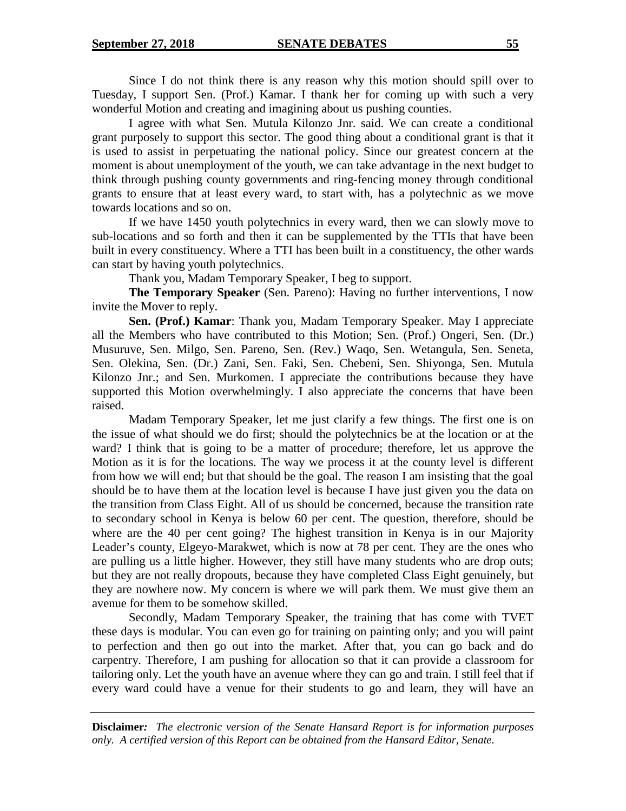Since I do not think there is any reason why this motion should spill over to Tuesday, I support Sen. (Prof.) Kamar. I thank her for coming up with such a very wonderful Motion and creating and imagining about us pushing counties.

I agree with what Sen. Mutula Kilonzo Jnr. said. We can create a conditional grant purposely to support this sector. The good thing about a conditional grant is that it is used to assist in perpetuating the national policy. Since our greatest concern at the moment is about unemployment of the youth, we can take advantage in the next budget to think through pushing county governments and ring-fencing money through conditional grants to ensure that at least every ward, to start with, has a polytechnic as we move towards locations and so on.

If we have 1450 youth polytechnics in every ward, then we can slowly move to sub-locations and so forth and then it can be supplemented by the TTIs that have been built in every constituency. Where a TTI has been built in a constituency, the other wards can start by having youth polytechnics.

Thank you, Madam Temporary Speaker, I beg to support.

**The Temporary Speaker** (Sen. Pareno): Having no further interventions, I now invite the Mover to reply.

**Sen. (Prof.) Kamar**: Thank you, Madam Temporary Speaker. May I appreciate all the Members who have contributed to this Motion; Sen. (Prof.) Ongeri, Sen. (Dr.) Musuruve, Sen. Milgo, Sen. Pareno, Sen. (Rev.) Waqo, Sen. Wetangula, Sen. Seneta, Sen. Olekina, Sen. (Dr.) Zani, Sen. Faki, Sen. Chebeni, Sen. Shiyonga, Sen. Mutula Kilonzo Jnr.; and Sen. Murkomen. I appreciate the contributions because they have supported this Motion overwhelmingly. I also appreciate the concerns that have been raised.

Madam Temporary Speaker, let me just clarify a few things. The first one is on the issue of what should we do first; should the polytechnics be at the location or at the ward? I think that is going to be a matter of procedure; therefore, let us approve the Motion as it is for the locations. The way we process it at the county level is different from how we will end; but that should be the goal. The reason I am insisting that the goal should be to have them at the location level is because I have just given you the data on the transition from Class Eight. All of us should be concerned, because the transition rate to secondary school in Kenya is below 60 per cent. The question, therefore, should be where are the 40 per cent going? The highest transition in Kenya is in our Majority Leader's county, Elgeyo-Marakwet, which is now at 78 per cent. They are the ones who are pulling us a little higher. However, they still have many students who are drop outs; but they are not really dropouts, because they have completed Class Eight genuinely, but they are nowhere now. My concern is where we will park them. We must give them an avenue for them to be somehow skilled.

Secondly, Madam Temporary Speaker, the training that has come with TVET these days is modular. You can even go for training on painting only; and you will paint to perfection and then go out into the market. After that, you can go back and do carpentry. Therefore, I am pushing for allocation so that it can provide a classroom for tailoring only. Let the youth have an avenue where they can go and train. I still feel that if every ward could have a venue for their students to go and learn, they will have an